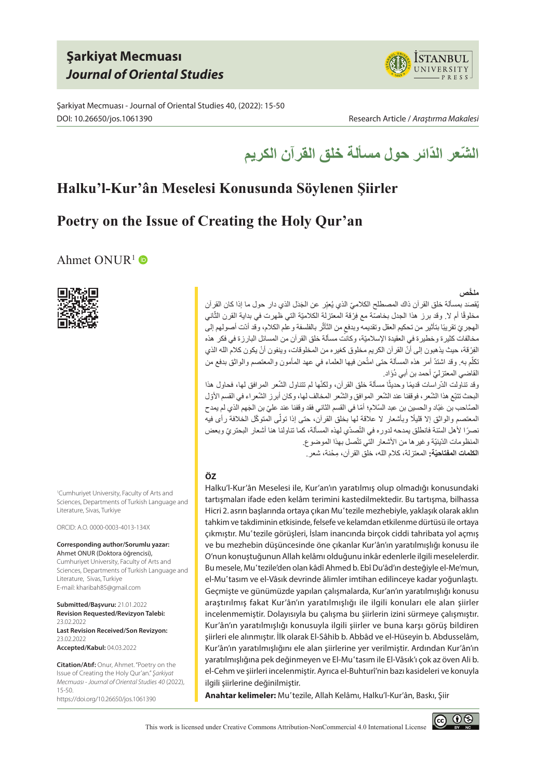# **Şarkiyat Mecmuası** *Journal of Oriental Studies*

Şarkiyat Mecmuası - Journal of Oriental Studies 40, (2022): 15-50 DOI: 10.26650/jos.1061390 Research Article / *Araştırma Makalesi*





# **Halku'l-Kur'ân Meselesi Konusunda Söylenen Şiirler**

# **Poetry on the Issue of Creating the Holy Qur'an**

## Ahmet ONUR<sup>1</sup>



1 Cumhuriyet University, Faculty of Arts and Sciences, Departments of Turkish Language and Literature, Sivas, Turkiye

ORCID: A.O. 0000-0003-4013-134X

### **Corresponding author/Sorumlu yazar:** Ahmet ONUR (Doktora öğrencisi),

Cumhuriyet University, Faculty of Arts and Sciences, Departments of Turkish Language and Literature, Sivas, Turkiye E-mail: kharibah85@gmail.com

**Submitted/Başvuru:** 21.01.2022 **Revision Requested/Revizyon Talebi:**  23.02.2022 **Last Revision Received/Son Revizyon:**  23.02.2022 **Accepted/Kabul:** 04.03.2022

**Citation/Atıf:** Onur, Ahmet. "Poetry on the Issue of Creating the Holy Qur'an." *Şarkiyat Mecmuası - Journal of Oriental Studies 40* (2022), 15-50. https://doi.org/10.26650/jos.1061390

### **َّ ملخص**

بُقصَد بمسألة خلق القر ان ذاك المصطلح الكلاميّ الذي يُعبِّر عن الْجَدَل الذي دار حول مـا إذا كان القر ان مخلوقًا أم لا. وقد برز هذا الجدل بخاصّة مع فِرْقة المعتزلة الكلاميّة التي ظهرت في بداية القرن الثّاني الهجريّ تقريبًا بتأثير من تحكيم العقل وتقديمه وبدفعٍ من النَّاثّر بالفلسفة وعلم الكلام، وقد أدّت أصولهم إلى مخالفات كثيرة وخطيرة في العقيدة اإلسالميّة، وكانت مسألة خلق القرآن من المسائل البارزة في فكر هذه الفِرْقة، حيث يذهبون إلى أنّ القرآن الكريم مخلوق كغيره من المخلوقات، وينفون أنْ يكون كلام الله الذي نكلّم به. وقد اشتدّ أمر هذه المسألة حتى امتُحن فيها العلماء في عهد المأمون والمعتصم والواثق بدفع من القاضي المعتزليّ أحمد بن أبي دُوَّاد.

رقد تناولت الدّر اسات قديمًا وحديثًا مسألة خلق القرآن، ولكنّها لم تتناول الشّعر المرافق لمها، فحاول هذا البحث تتبّع هذا الشّعر ، فوقفنا عند الشّعر الموافق والشّعر المخالف لها، وكان أبرز الشّعر اء في القسم الأوّل الصَّاحب بن عَبّاد والحسين بن عبد السّلام؛ أمّا في القسم الثاني فقد وقفنا عند عليّ بن الجَهم الذي لم يمدح المعتصم والواثق إلا قليلًا وبأشعار لا علاقة لمها بخلق القرآن، حتى إذا تولَّمي المتوكَّل الخلافة رأى فيه نصرًا لأهل السّنة فانطلق يمدحه لدوره في التّصدّي لهذه المسألة، كما تناولنا هنا أشعار البحتريّ وبعض المنظومات الدّينيّة و غير ها من الأشعار التي تتّصل بهذا الموضوع. ا**لكلمات المفتاحيّة:** المعتزلة، كلام الله، خلق القرآن، مِحْنة، شعر ـ

### **ÖZ**

Halku'l-Kur'ân Meselesi ile, Kur'an'ın yaratılmış olup olmadığı konusundaki tartışmaları ifade eden kelâm terimini kastedilmektedir. Bu tartışma, bilhassa Hicri 2. asrın başlarında ortaya çıkan Muʽtezile mezhebiyle, yaklaşık olarak aklın tahkim ve takdiminin etkisinde, felsefe ve kelamdan etkilenme dürtüsü ile ortaya çıkmıştır. Muʽtezile görüşleri, İslam inancında birçok ciddi tahribata yol açmış ve bu mezhebin düşüncesinde öne çıkanlar Kur'ân'ın yaratılmışlığı konusu ile O'nun konuştuğunun Allah kelâmı olduğunu inkâr edenlerle ilgili meselelerdir. Bu mesele, Muʽtezile'den olan kâdî Ahmed b. Ebî Du'âd'ın desteğiyle el-Me'mun, el-Muʽtasım ve el-Vâsık devrinde âlimler imtihan edilinceye kadar yoğunlaştı. Geçmişte ve günümüzde yapılan çalışmalarda, Kur'an'ın yaratılmışlığı konusu araştırılmış fakat Kur'ân'ın yaratılmışlığı ile ilgili konuları ele alan şiirler incelenmemiştir. Dolayısıyla bu çalışma bu şiirlerin izini sürmeye çalışmıştır. Kur'ân'ın yaratılmışlığı konusuyla ilgili şiirler ve buna karşı görüş bildiren şiirleri ele alınmıştır. İlk olarak El-Sâhib b. Abbâd ve el-Hüseyin b. Abdusselâm, Kur'ân'ın yaratılmışlığını ele alan şiirlerine yer verilmiştir. Ardından Kur'ân'ın yaratılmışlığına pek değinmeyen ve El-Muʽtasım ile El-Vâsık'ı çok az öven Ali b. el-Cehm ve şiirleri incelenmiştir. Ayrıca el-Buhturî'nin bazı kasideleri ve konuyla ilgili şiirlerine değinilmiştir.

**Anahtar kelimeler:** Muʽtezile, Allah Kelâmı, Halku'l-Kur'ân, Baskı, Şiir

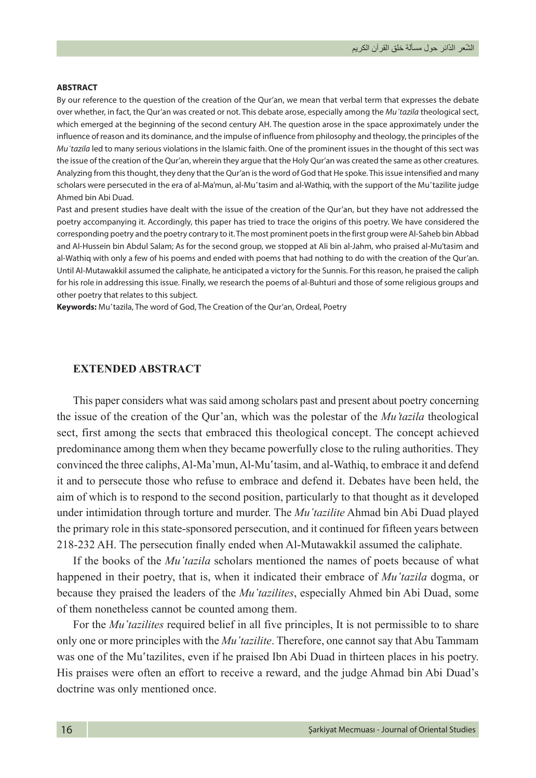### **ABSTRACT**

By our reference to the question of the creation of the Qur'an, we mean that verbal term that expresses the debate over whether, in fact, the Qur'an was created or not. This debate arose, especially among the *Muʽtazila* theological sect, which emerged at the beginning of the second century AH. The question arose in the space approximately under the influence of reason and its dominance, and the impulse of influence from philosophy and theology, the principles of the *Mu'tazila* led to many serious violations in the Islamic faith. One of the prominent issues in the thought of this sect was the issue of the creation of the Qur'an, wherein they argue that the Holy Qur'an was created the same as other creatures. Analyzing from this thought, they deny that the Qur'an is the word of God that He spoke. This issue intensified and many scholars were persecuted in the era of al-Ma'mun, al-Muʿtasim and al-Wathiq, with the support of the Muʿtazilite judge Ahmed bin Abi Duad.

Past and present studies have dealt with the issue of the creation of the Qur'an, but they have not addressed the poetry accompanying it. Accordingly, this paper has tried to trace the origins of this poetry. We have considered the corresponding poetry and the poetry contrary to it. The most prominent poets in the first group were Al-Saheb bin Abbad and Al-Hussein bin Abdul Salam; As for the second group, we stopped at Ali bin al-Jahm, who praised al-Mu'tasim and al-Wathiq with only a few of his poems and ended with poems that had nothing to do with the creation of the Qur'an. Until Al-Mutawakkil assumed the caliphate, he anticipated a victory for the Sunnis. For this reason, he praised the caliph for his role in addressing this issue. Finally, we research the poems of al-Buhturi and those of some religious groups and other poetry that relates to this subject.

Keywords: Muʿtazila, The word of God, The Creation of the Qur'an, Ordeal, Poetry

### **EXTENDED ABSTRACT**

This paper considers what was said among scholars past and present about poetry concerning the issue of the creation of the Qur'an, which was the polestar of the *Mu'tazila* theological sect, first among the sects that embraced this theological concept. The concept achieved predominance among them when they became powerfully close to the ruling authorities. They convinced the three caliphs, Al-Ma'mun, Al-Mu'tasim, and al-Wathiq, to embrace it and defend it and to persecute those who refuse to embrace and defend it. Debates have been held, the aim of which is to respond to the second position, particularly to that thought as it developed under intimidation through torture and murder. The *Muʽtazilite* Ahmad bin Abi Duad played the primary role in this state-sponsored persecution, and it continued for fifteen years between 218-232 AH. The persecution finally ended when Al-Mutawakkil assumed the caliphate.

If the books of the *Muʽtazila* scholars mentioned the names of poets because of what happened in their poetry, that is, when it indicated their embrace of *Mu'tazila* dogma, or because they praised the leaders of the *Mu'tazilites*, especially Ahmed bin Abi Duad, some of them nonetheless cannot be counted among them.

For the *Mu'tazilites* required belief in all five principles, It is not permissible to to share only one or more principles with the *Mu'tazilite*. Therefore, one cannot say that Abu Tammam was one of the Muʽtazilites, even if he praised Ibn Abi Duad in thirteen places in his poetry. His praises were often an effort to receive a reward, and the judge Ahmad bin Abi Duad's doctrine was only mentioned once.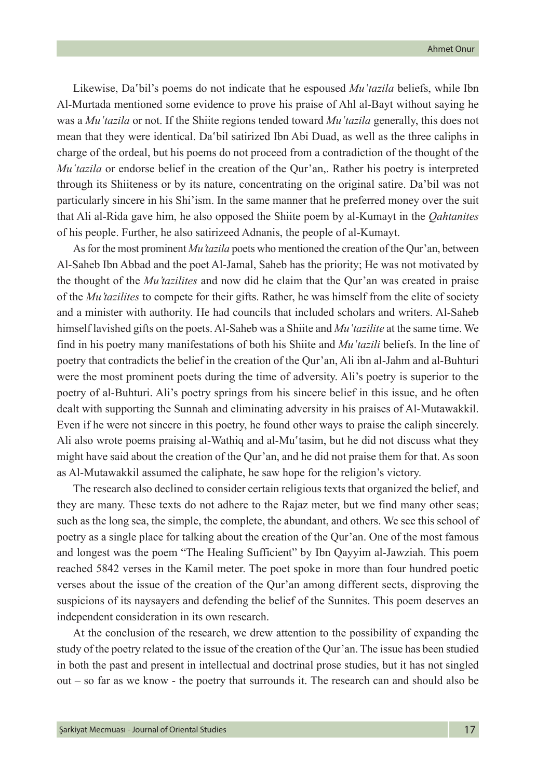Likewise, Da<sup>s</sup>bil's poems do not indicate that he espoused *Mu'tazila* beliefs, while Ibn Al-Murtada mentioned some evidence to prove his praise of Ahl al-Bayt without saying he was a *Muʽtazila* or not. If the Shiite regions tended toward *Muʽtazila* generally, this does not mean that they were identical. Da bil satirized Ibn Abi Duad, as well as the three caliphs in charge of the ordeal, but his poems do not proceed from a contradiction of the thought of the *Mu'tazila* or endorse belief in the creation of the Qur'an,. Rather his poetry is interpreted through its Shiiteness or by its nature, concentrating on the original satire. Da'bil was not particularly sincere in his Shi'ism. In the same manner that he preferred money over the suit that Ali al-Rida gave him, he also opposed the Shiite poem by al-Kumayt in the *Qahtanites* of his people. Further, he also satirizeed Adnanis, the people of al-Kumayt.

As for the most prominent *Mu'tazila* poets who mentioned the creation of the Qur'an, between Al-Saheb Ibn Abbad and the poet Al-Jamal, Saheb has the priority; He was not motivated by the thought of the *Mu'tazilites* and now did he claim that the Qur'an was created in praise of the *Mu'tazilites* to compete for their gifts. Rather, he was himself from the elite of society and a minister with authority. He had councils that included scholars and writers. Al-Saheb himself lavished gifts on the poets. Al-Saheb was a Shiite and *Muʽtazilite* at the same time. We find in his poetry many manifestations of both his Shiite and *Muʽtazili* beliefs. In the line of poetry that contradicts the belief in the creation of the Qur'an, Ali ibn al-Jahm and al-Buhturi were the most prominent poets during the time of adversity. Ali's poetry is superior to the poetry of al-Buhturi. Ali's poetry springs from his sincere belief in this issue, and he often dealt with supporting the Sunnah and eliminating adversity in his praises of Al-Mutawakkil. Even if he were not sincere in this poetry, he found other ways to praise the caliph sincerely. Ali also wrote poems praising al-Wathiq and al-Mu`tasim, but he did not discuss what they might have said about the creation of the Qur'an, and he did not praise them for that. As soon as Al-Mutawakkil assumed the caliphate, he saw hope for the religion's victory.

The research also declined to consider certain religious texts that organized the belief, and they are many. These texts do not adhere to the Rajaz meter, but we find many other seas; such as the long sea, the simple, the complete, the abundant, and others. We see this school of poetry as a single place for talking about the creation of the Qur'an. One of the most famous and longest was the poem "The Healing Sufficient" by Ibn Qayyim al-Jawziah. This poem reached 5842 verses in the Kamil meter. The poet spoke in more than four hundred poetic verses about the issue of the creation of the Qur'an among different sects, disproving the suspicions of its naysayers and defending the belief of the Sunnites. This poem deserves an independent consideration in its own research.

At the conclusion of the research, we drew attention to the possibility of expanding the study of the poetry related to the issue of the creation of the Qur'an. The issue has been studied in both the past and present in intellectual and doctrinal prose studies, but it has not singled out – so far as we know - the poetry that surrounds it. The research can and should also be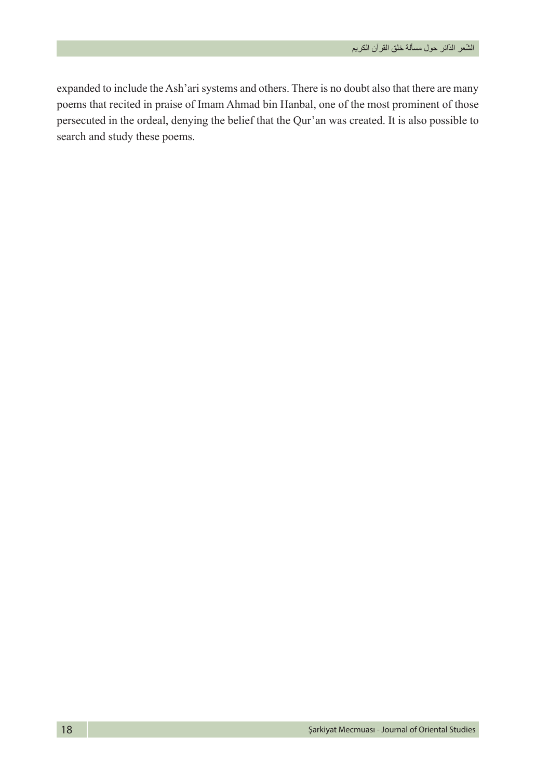expanded to include the Ash'ari systems and others. There is no doubt also that there are many poems that recited in praise of Imam Ahmad bin Hanbal, one of the most prominent of those persecuted in the ordeal, denying the belief that the Qur'an was created. It is also possible to search and study these poems.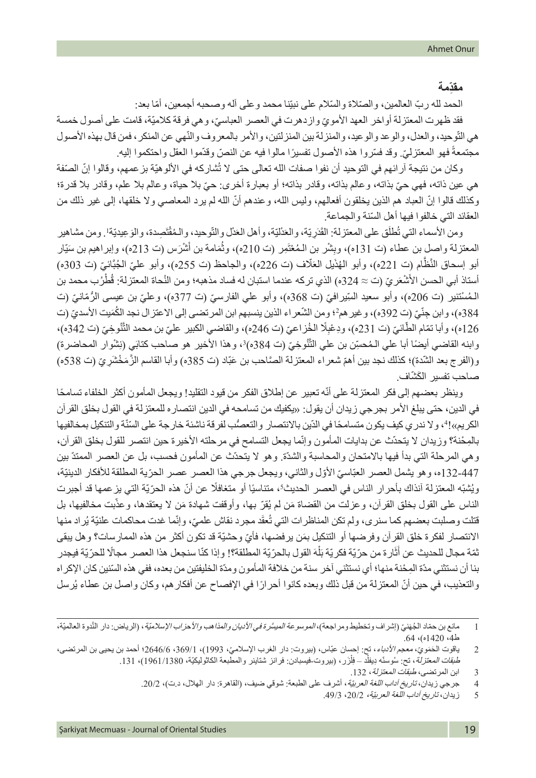### **ِّ مقدمة**

الحمد لله ربّ العالمين، والصّلاة والسّلام على نبيّنا محمد وعلى اله وصـحبه أجمعين، أمّا بعد: فقد ظهرت المعتزلة اواخر العهد الأمويّ وازدهرت في العصر العباسيّ، وهي فرقة كلاميّة، قامت على اصول خمسة هي التّوحيد، والعدل، والوعد والوعيد، والمنزلة بين المنزلتين، والأمر بالمعروف والنّهي عن المنكر ، فمن قال بهذه الأصول ֧֖֖֖֚֚֚֚֚֚֚֚֚֚֚֚֚֚֚֚֚֚֚֚֚֚֚֚֚֝֝֓<u>֓</u> مجتمعة فهو المعتزليّ وقد فسّروا هذه الأصول تفسيرًا مالوا فيه عن النصّ وقدّموا العقل واحتكموا إليه.

وكان من نتيجة آر ائهم في التوحيد أن نفوا صفات الله تعالى حتى لا تُشاركه في الألوهيّة بز عمهم، وقالوا إنّ الصّفة ّ هي عين ذاته، فهي حي ّ بذاته، وعالم بذاته، وقادر بذاته؛ أو بعبارة أخرى: حي بال حياة، وعالم بال علم، وقادر بال قدرة؛ ّ وكذلك قالوا إن ّ العباد هم الذين يخلقون أفعالهم، وليس الله، وعندهم أن الله لم يرد المعاصي وال خلقها، إلى غير ذلك من ّ العقائد التي خالفوا فيها أهل السنة والجماعة.

ومن الأسماء التي تُطلَق على المعتزلة: القَدَرِيّة، والعَدْليّة، وأهل العَدْل وِالتّوحيد، والمُقْتَصِدة، والوَعِيديّة!. ومن مشاهير المعتزلة واصل بن عطاء (ت 131ه)، وبِشْر بن الـمُعْتَمِر (ت 210ه)، وثُمَامة بن أَشْرَس (ت 213ه)، وابر اهيم بن سَيّار ُ أبو إسحاق النَّظَام (ت 221ه)، وأبو الهُذَيل العَلَّاف (ت 226ه)، والجاحظ (ت 255ه)، وأبو عليّ الجُبَّائيّ (ت 303ه) ٔ<br>ا أستاذ أبي الحسن الأَشْعَريّ (ت ≈ 324ه) الذي تركه عندما استبان له فساد مذهبه؛ ومن النُحاة المعتزلة: قُطْرُب محمد بن الـمُسْتنير (ت 206ه)، وأبو سعيد السِّيرافيّ (ت 368ه)، وأبو علي الفارسيّ (ت 377ه)، وعليّ بن عيسى الرُّمّانيّ (ت 384ه)، وابن جِنّيّ (ت 392ه)، وغير همَّ؛ ومن الشّعر اء الذين ينسبهم ابن المرتضى إلى الاعتزال نجد الكَمَيت الأسديّ (ت ֖֖֖֖֖֖֖֖֖֚֚֚֚֚֚֚֚֚֚֚֚֚֚֡֬**֚** 126ه)، وأبا نمّام الطَّائيّ (ت 231ه)، ودِعْبِلًا الخُزاعيّ (ت 246ه)، والقاضي الكبير عليّ بن محمد التَّنُوخِيّ (ت 342ه)، وابنه القاضي أيضًا أبا علي الـمُحسِّن بن علي التَّنُوخِيّ (ت 384ه)'، وهذا الأخير هو صاحب كتابَي (نِشْوار المحاضرة) و(الفرج بعد الشّدة)؛ كذلك نجد بين أهمّ شعراء المعتزلة الصَّاحب بن عَبّاد (ت 385ه) وأبا القاسم الزّمَخْشَرِيّ (ت 538ه) صاحب تفسير الكَشّاف.

وينظر بعضهم إلى فكر المعتزلة على أنّه تعبير عن إطلاق الفكر من قيود التقليد! ويجعل المأمون أكثر الخلفاء تسامحًا في الدين، حتى يبلغ األمر بجرجي زيدان أن يقول: »يكفيك من تسامحه في الدين انتصاره للمعتزلة في القول بخلق القرآن الكريم»!4، ولا ندري كيف يكون متسامحًا في الدّين بالانتصار والتعصُّب لفرقة ناشئة خارجة على السّنّة والتنكيل بمخالفيها بالمِحْنة؟ وزيدان لا يتحدّث عن بدايات المأمون وإنّما يجعل التسامح في مرحلته الأخيرة حين انتصر للقول بخلق القرآن، وهي المرحلة التي بدأ فيها باالمتحان والمحاسبة والشدّة. وهو ال يتحدّث عن المأمون فحسب، بل عن العصر الممتدّ بين 447-132ه، وهو يشمل العصر العبّاسيّ الأوّل والثّاني، ويجعل جرجي هذا العصر عصر الحرّية المطلقة للأفكار الدينيّة، ويُشبّه المعتزلة آنذاك بأحرار الناس في العصر الحديث؟، متناسيًا أو متغافلًا عن أنّ هذه الحرّيّة التي يزعمها قد أجبرت الناس على القول بخلق القرآن، وعزلت من القضاة مَن لم يُقرّ بها، وأوقفت شهادة مَن لا يعتقدها، وعذّبت مخالفيها، بل ؚ<br>ا قتلت وصلبت بعضهم كما سنري، ولم تكن المناظرات التي تُعقَد مجرد نقاش علميّ، وإنّما غدت محاكمات علنيّة يُراد منها ٔ<br>ا الانتصار لفكرة خلق القران وفرضها أو التنكيل بمَن يرفضها، فأيّ وحشيّة قد تكون اكثر من هذه الممارسات؟ وهل يبقى َ نْمَة مجال للحديث عن أثَارة من حرّيّة فكريّة بَلْهَ القول بالحرّيّة المطلقة؟! وإذا كنّا سنجعل هذا العصر مجالًا للحرّيّة فيجدر  $\overline{1}$ بنا أن نستثني مدّ ِ ة الم ْحنة منها؛ أي نستثني آخر سنة من خالفة المأمون ومدّ ّ ة الخليفتين من بعده، ففي هذه السنين كان اإلكراه والتعذيب، في حين أنّ المعتزلة من قبل ذلك وبعده كانوا أحرارًا في الإفصاح عن أفكار هم، وكان واصل بن عطاء يُرسل

<sup>1</sup> مانع بن حمّاد الجُهَنيّ (إشراف وتخطيط ومراجعة)، *الموسوعة الميسَّرة في الأديان والمذاهب والأحزاب الإسلاميّة*، (الرياض: دار النَّدوة العالميّة، ط4، 1420ه)، 64.

<sup>2</sup> ياقوت الحَمَويّ، معجم *الأدباء*، تح: إحسان عبّاس، (بيروت: دار الغرب الإسلاميّ، 1993)، 1/1646، 2646/6؛ أحمد بن يحيى بن المرتضى، طب*قات المعتزلة*، تح: سُوسنّه دِيفلْد \_ فِلْزَر ، (بيروت-فيسبادن: فرانز شتاينر والمطبعة الكاثوليكيّة، 1961/1380)، 131. ِل

<sup>3</sup> ابن المرتضى، *طبقات المعتزلة*، 132.

<sup>4</sup> جرجي زيدان، *تاريخ آداب اللغة العربيّة*، أشرف على الطبعة: شوقي ضيف، (القاهرة: دار الهلال، د.ت)، 20/2.

<sup>5</sup> زيدان، تاريخ آداب اللغة العربيّة، ،20/2 .49/3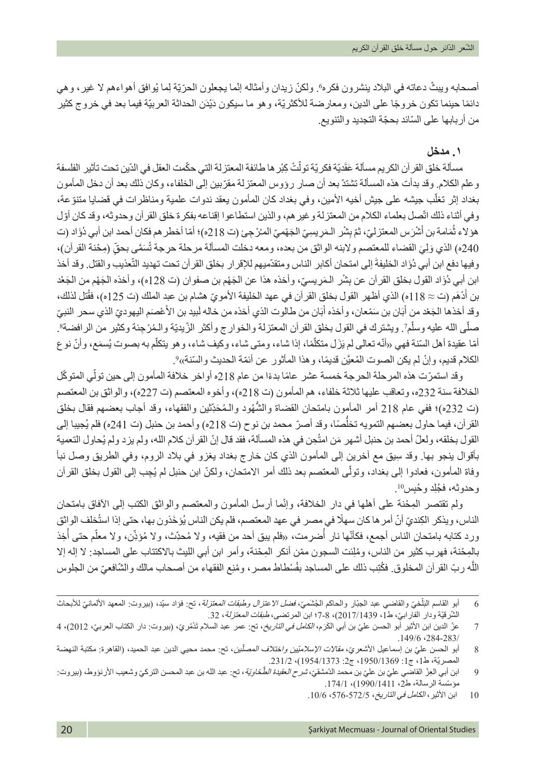أصحابه ويبثّ دعاته في البلاد ينشرون فكره٬ ولكنّ زيدان وأمثاله إنّما يجعلون الحرّيّة لِما يُوافق أهواءهم لا غير، وهي دائمًا حينما تكون خروجًا على الدين، ومعارضة للأكثريّة، وهو ما سيكون دَيْدَن الحداثة العربيّة فيما بعد في خروج كثير من أربابها على السّائد بحجّة التجديد والتنويع.

## **.١ مدخل**

مسألة خلق القر آن الكريم مسألة عَقَديّة فكريّة تولّتْ كِبْر ها طائفة المعتزلة التي حكّمت العقل في الدّين تحت تأثير الفلسفة وعلم الكالم. وقد بدأت هذه المسألة تشتدّ ّ بعد أن صار رؤوس المعتزلة مقربين إلى الخلفاء، وكان ذلك بعد أن دخل المأمون ֖֖֖֖֧֚֚֚֚֚֚֚֚֚֚֚֚֚֚֚֡֝֓֕֓֡֓֓֞֓֡*֟* بغداد إثر تغلّب جيشه على جيش أخيه الأمين، وفي بغداد كان المأمون يعقد ندوات علمية ومناظرات في قضايا متنوّعة، وفي أثناء ذلك اتّصل بعلماء الكلام من المعتزلة وغير هم، والذين استطاعوا إقناعه بفكرة خلق القرآن وحدوثه، وقد كان أوّل هؤ لاء ثُمَامة بن أَشْرَس المعتزليّ، ثمّ بِشْر الـمَريسِيّ الجَهْميّ المـُرْجِئ (ت 218ه)؛ أمّا أخطر هم فكان أحمد ابن أبي دُؤَاد (ت ؚ<br>ا 240ه) الذي وَلِيَ القضاء للمعتصم ولابنه الواثق من بعده، ومعه دخلت المسألة مرحلة حرجة تُسَمَّى بحقٍّ (مِحْنة القرآن)، وفيها دفع ابن أبي دُوَّاد الخليفةُ إلى امتحان أكابر الناس ومتقدّميهم للإقرار بخلق القرآن تحت تهديد التّعذيب والقتل. وقد أخذ ابن أبي دُوَاد القول بخلق القرآن عن بِشْر الـمَرِيسيّ، وأخذه هذا عن الجَهْم بن صفوان (ت 128ه)، وأخذه الجَهْم من الجَعْد بن أُدْهَم (ت ≈ 118ه) الذي أظهر القول بخلق القرآن في عهد الخليفة الأمويّ هشام بن عبد الملك (ت 125ه)، فقُتل لذلك، وقد أخذها الجَعْد من أُبَان بن سَمْعان، وأخذه أبَان من طالوت الذي أخذه من خاله لَبيد بن الأَعْصَم اليهوديّ الذي سحر النبيّ صلَّى الله عليه وسلَّمٍ٬ ويشترك في القول بخلق القرآن المعتزلة والخوارج وأكثر الزّيديّة والمُرْجِنة وكثير من الرافضة؟. أمّا عقيدة أهل السّنة فهي «أنّه تعالى لم يَزَل متكلَّمًا، إذا شاء، ومتى شاء، وكيف شاء، وهو يتكلَّم به بصوت يُسمَع، وأنّ نوع ֧֖֖֖֖֖֧֚֚֚֚֚֚֚֚֚֚֚֚֚֚֚֚֚֚֚֚֚֚֚<u>֓</u> الكلام قديم، وإنْ لم يكن الصوت المُعيَّن قديمًا، وهذا المأثور عن أئمّة الحديث والسّنة»?

وقد استمرّت هذه المرحلة الحرجة خمسة عشر عامًا بدءًا من عام 218ه أواخر خلافة المأمون إلى حين تولّي المتوكّل الخلافة سنة 232ه، وتعاقب عليها ثلاثة خلفاء، هم المأمون (ت 218ه)، وأخوه المعتصم (ت 227ه)، والواثق بن المعتصم (ت 232ه)؛ ففي عام 218 أمر المأمون بامتحان القضاة والشُّهُود والـمُحَدِّثين والفقهاء، وقد أجاب بعضهم فقال بخلق القران، فيما حاول بعضهم التمويه تخلَّصمًا، وقد أصرّ محمد بن نوح (ت 218ه) وأحمد بن حنبل (ت 241ه) فلم يُجيبا إلى ُّالقول بخلقه، ولعلّ أحمد بن حنبل أشهر مَن امتُحِن في هذه المسألة، فقد قال إنّ القرآن كلام الله، ولم يزد ولم يُحاول التعمية ِ بأقوال ينجو بها. وقد سيق مع آخرين إلى المأمون الذي كان خارج بغداد يغزو في بالد الروم، وفي الطريق وصل نبأ وفاة المأمون، فعادوا إلى بغداد، وتولَّى المعتصم بعد ذلك أمر الامتحان، ولكنّ ابن حنبل لم يُجِب إلى القول بخلق القرآن وحدوثه، فجُلِد وحُبِس<sup>10</sup>.

ولم تقتصر المِحْنة على أهلها في دار الخلافة، وإنّما أرسل المأمون والمعتصم والواثق الكتب إلى الأفاق بامتحان الناس، ويذكر الكِنديّ أنّ أمر ها كان سهلًا في مصر في عهد المعتصم، فلم يكن الناس يُؤخَذون بها، حتى إذا استُخلف الواثق ُورد كتابه بامتحان الناس أجمع، فكأنّها نار أُضرِمت، «فلم يبق أحد من فقيه، ولا مُحدِّث، ولا مُؤذِّن، ولا معلّم حتى أخِذ ّ ُبالمِحْنة، فهرب كثير من الناس، ومُلِّئت السجون ممّن أنكر المِحْنة، وأمر ابن أبي الليث بالاكتتاب على المساجد: لا إله إلا الله ربّ القرآن المخلوق. فكُتِب ذلك على المساجد بفُسْطاط مصر ، ومُنِع الفقهاء من أصحاب مالك والشّافعيّ من الجلوس َّ

ا<br>ا 6 أبو القاسم النِّلخيّ والقاضـي عبد الـجَبّار والـحاكم الـجَشويّ، *فضل الاعتزل وطبقات المعتزلة*، نتح: فؤاد سيّد، (بيروت: المعهد الألمانـيّ للأبـحاث َل الشّرقيّة ودار الفارابيّ، ط1، 2017/1439)، 8-7؛ ابن المرتضى، طبقا*ت المعتزلة، 3*2.

<sup>7</sup> من الدين ابن الأثير أبو الحسن عليّ بن أبي الكَرَم، *الكامل في التاريخ*، تح: عمر عبد السلام تَدُمْريّ، (بيروت: دار الكتاب العربيّ، 2012)، 4 .149/6 ،284-283/

<sup>8</sup> أبو الحسن عليّ بن إسماعيل الأشعريّ، *مقالات الإسلامتيين واختلاف المصلّين*، تح: محمد محيي الدين عبد الحميد، (القاهرة: مكتبة النهضة المصريّة، ط،1 ج:1 ،1950/1369 ج:2 1954/1373(، .231/2

<sup>9</sup> ابن أبي العِزّ القاضّي عليّ بن عليّ بن محمد الدّمشقيّ، *شرح العقيدة الطَّخاوِيّة*، تح: عبد الله بن عبد المحسن التركيّ وشعيب الأرنؤوط، (بيروت: مؤسّسة الرسالة، ط2، 1990/1411)، 174/1.

<sup>10</sup> ابن األثير، الكامل في التاريخ، ،576-572/5 .10/6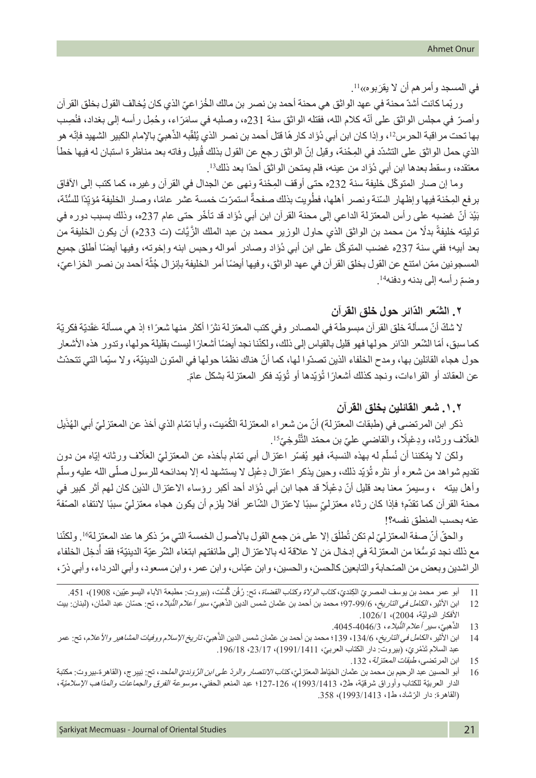في المسجد وأمر هم أن لا يقرَبوه»<sup>11</sup>.

ور بّما كانت أشدّ محنة في عهد الو اثق هي محنة أحمد بن نصر بن مالك الخُز اعيّ الذي كان يُخالف القول بخلق القر أن وأصرّ في مجلس الواثق على أنّه كلام الله، فقتله الواثق سنة 231ه، وصلبه في سامَرّاء، وحُمِل رأسه إلى بغداد، فنُصِب بها تحت مر اقبة الحرس2'، وإذا كان ابن أبي دُوًاد كار هًا قتل أحمد بن نصر الذي يُلقّبه الذّهبيّ بالإمام الكبير الشهيد فإنّه هو ّالذي حمل الواثق على التشدّد في المِحْنة، وقيل إنّ الواثق رجع عن القول بذلك قُبيل وفاته بعد مناظرة استبان له فيها خطأ معتقده، وسقط بعدها ابن أبي دُوَّاد من عينه، فلم يمتحن الواثق أحدًا بعد ذلك<sup>13</sup>.

وما إن صار المتوكّل خليفة سنة 232ه حتى أوقف المِحْنة ونهى عن الجدال في القرآن وغيره، كما كتب إلى الأفاق بر فع المِحْنة فيها وإظهار السّنة ونصر أهلها، فطُويت بذلك صفحةٌ استمرّت خمسة عشر عامًا، وصار الخليفة مُؤيِّدًا للسُّنّة، ّ ٌبَيْدَ أنّ غضبه على ر أس المعتزلة الداعي إلى محنة القر آن ابن أبي دُوَّاد قد تأخّر حتى عام 237ه، وذلك بسبب دور ه في توليته خليفةً بدلًا من محمد بن الواثق الذي حاول الوزير محمد بن عبد الملك الزَّيَّات (ت 233ه) أن يكون الخليفة من بعد أبيه؛ ففي سنة 237ه غضب المتوكّل على ابن أبي دُوَّاد وصادر أمواله وحبس ابنه وإخوته، وفيها أيضًا أطلق جميع ֦֧<u>֓</u> المسجونين ممّن امتنع عن القول بخلق القرآن في عهد الواثق، وفيها أيضًا أمر الخليفة بإنزال جُثّة أحمد بن نصر الخزاعيّ، . ّ وضم رأسه إلى بدنه ودفنه<sup>14</sup>

## **٢ ّ . الش ّ عر الدائر حول خلق القرآن**

لا شْكَّ أنّ مسألة خلق القر أن مبسوطة في المصـادر وفي كتب المعتزلة نثرًا أكثر منها شعرًا؛ إذ هي مسألة عَقَديّة فكريّة كما سبق، أمّا الشّعر الدّائر حولها فهو قليل بالقياس إلى ذلك، ولكنّنا نجد أيضًا أشعارًا ليست بقليلة حولها، وتدور هذه الأشعار حول هجاء القائلين بها، ومدح الخلفاء الذين تصدّوا لها، كما أنّ هناك نظمًا حولها في المتون الدينيّة، ولا سيّما التي تتحدّث عن العقائد أو القراءات، ونجد كذلك أشعارًا تُؤيّدها أو تُؤيّد فكر المعتزلة بشكل عامّ.

## **.١.٢ شعر القائلين بخلق القرآن**

ذكر ابن المرتضى في (طبقات المعتزلة) أنّ من شعراء المعتزلة الكُمَيت، وأبا تمّام الذي أخذ عن المعتزليّ أبي الهُذَيل العَلّاف ورثاه، ودِعْبِلًا، والقاضي عليّ بن محمّد النَّتُوخِيَّ<sup>15</sup>. َ

ولكن لا يمُكننا أن نُسلّم له بهذه النسبة، فهو يُفسّر اعتزال أبي تمّام بأخذه عن المعتزليّ العَلّاف ورثائه إيّاه من دون َ نقديم شواهد من شعره أو نثره تُؤيّد ذلك، وحين يذكر اعتزال دِعْبِل لا يستشهد له إلا بمدائحه للرسول صلّى الله عليه وسلّم وأهل بيته ، وسيمرّ معنا بعد قليل أنّ دِعْبِلًا قد هجا ابن أبي دُؤَاد أحد أكبر رؤساء الاعتزال الذين كان لمهم أثر كبير في محنة القرآن كما تقدّم؛ فإذا كان رثاء معتزليٍّ سببًا لاعتزال الشّاعر أفلا يلزم أن يكون هجاء معتزليّ سببًا لانتفاء الصنّفة عنه بحسب المنطق نفسه؟!

والحقّ أنّ صفة المعتزليّ لم تكن تُطلَق إلا على مَن جمع القول بالأصول الخمسة التي مرّ ذكر ها عند المعتزلة16. ولكنّنا َِّ ٍ مع ذلك نجد توسُّعًا من المعتزلة في إدخال مَن لا علاقة له بالاعتزال إلى طائفتهم ابتغاء الشّر عيّة الدينيّة؛ فقد أدخِل الخلفاء الر اشدين وبعض من الصّحابة والتابعين كالحسن، والحسين، وابن عبّاس، وابن عمر ، وابن مسعود، وأبي الدرداء، وأبي ذرّ ،

هبيّ، سير أعلام النَّبلاء، 4046-4045. ّ13 الذ

<sup>11</sup> أبو عمر محمد بن يوسف المصريّ الكِنديّ، كتا*ب الولاة وكتاب القضاة*، تح: رُفُن گُسْت، (بيروت: مطبعة الآباء اليسوعيّين، 1908)، 451.

<sup>12</sup> ابن الأثير، *الكامل في التاريخ*، 99/6-97؛ محمد بن أحمد بن عثمان شمس الدين الذّهبيّ، *سير أعلام التُبلاء*، تح: حسّان عبد المذّان، (لبنان: بيت ֖֖֖֖֚֚֚֚֚֚֚֚֚֚֚֚֡֬<br>֧֪֝֩֩ األفكار الدوليّة، 2004(، .1026/1

<sup>َّ</sup>14 ٪ ابن الأثير، *الكامل في التاريخ*، 134/6، 139؛ محمد بن أحمد بن عثمان شمس الدين الذّهبيّ، *تاريخ الإسلام ووفيات المشاهير والأعلام*، تح: عمر عبد السلام تَدْمُريّ، (بيروت: دار الكتاب العربيّ، 1991/1411)، 23/17، 196/18.

<sup>15</sup> ابن المرتضى، *طبقات المعتزلة*، 132.

<sup>16</sup> أبو الحسين عبد الرحيم بن محمد بن عثمان الخيّاط المعتزلي، *كتاب الانتصار والردّ على ابن الرَّوَنديّ المل*حد، تح: نِيبِرج، (القاهر ة-بيروت: مكتبة الدار العربيّة للكتاب وأوراق شرقيّة، ط،2 1993/1413(، 127-126؛ عبد المنعم الحفني، موسوعة الفرق والجماعات والمذاهب اإلسالميّة، ّ )القاهرة: دار الرشاد، ط،1 1993/1413(، .358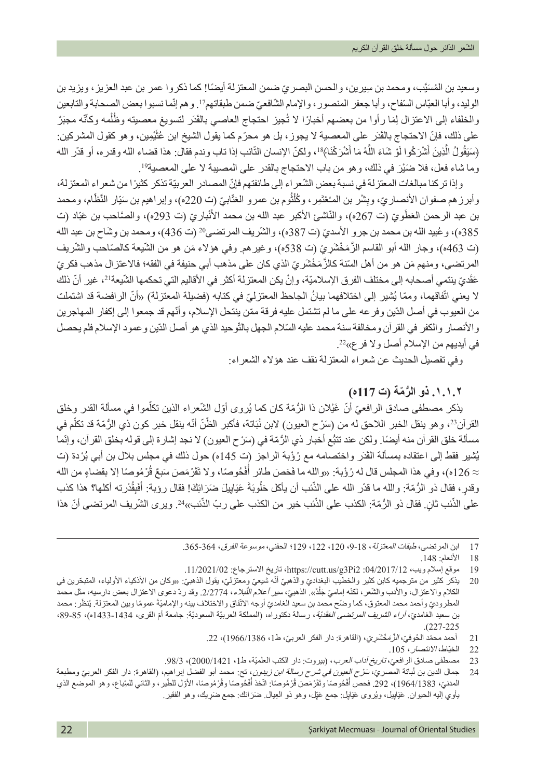وسعيد بن المُسَيّب، ومحمد بن سِير بن، والحسن البصريّ ضمن المعتزلة ايضًا! كما ذكروا عمر بن عبد العزيز ، ويزيد بن الوليد، وأبا العبّاس السّفاح، وأبا جعفر المنصور ، والإمام الشّافعيّ ضمن طبقاتهمi'. وهم إنّما نسبوا بعض الصحابة والتابعين والخلفاء إلى الاعتزال لِمَا رأوا من بعضهم أخبارًا لا تُجيز احتجاج العاصبي بالقَدَر لتسويغ معصيته وظُلْمه وكأنّه مجبَرٌ على ذلك، فإنّ الاحتجاج بالقَدَر على المعصية لا يجوز، بل هو محرّم كما يقول الشيخ ابن عُثَيْمِين، وهو كقول المشركين: (سَيَقُولُ الَّذِينَ أَشْرَكُوا لَوْ شَاءَ اللّهُ مَا أَشْرَكْنَا﴾<sup>1</sup>، ولكنّ الإنسان النّائب إذا تاب وندم فقال: هذا قضاء الله وقدره، أو قدّر الله ؘ<br>ا وما شاء فعل، فلا ضَيْرَ في ذلك، وهو من باب الاحتجاج بالقدر على المصيبة لا على المعصية<sup>19</sup>.

وإذا تركنا مبالغات المعتزلة في نسبة بعض الشّعراء إلى طائفتهم فإنّ المصادر العربيّة تذكر كثيرًا من شعراء المعتزلة، وأبرز هم صفوان الأنصـاريّ، وبِشْر بن المـُعْتَمِر، وكُلْثُوم بن عمرو العَتّابيّ (ت 220ه)، وإبراهيم بن سَيّار النَّظّام، ومحمد ֚֡<u>֚</u> بن عبد الرحمن العَطُويّ (ت 267ه)، والنّاشئ الأكبر عبد الله بن محمد الأنْباريّ (ت 293ه)، والصَّاحب بن عَبّاد (ت 385ه)، وعُبيد الله بن محمد بن جرو الأسديّ (ت 387ه)، والشّريف المرتضى20 (ت 436)، ومحمد بن وشّاح بن عبد الله (ت 463ه)، وجار الله أبو القاسم الزَّ مَخْشَر يّ (ت 538ه)، وغير هم. وفي هؤ لاء مَن هو من الشّيعة كالصّاحب والشّريف المرتضى، ومنهم مَن هو من أهل السّنة كالزَّمَخْشَر يّ الذي كان على مذهب أبي حنيفة في الفقه؛ فالاعتزال مذهب فكريّ عَقْديّ ينتمي أصـحابه إلى مختلف الفرق الإسلاميّة، و إنْ يكن المعتز لة أكثر في الأقاليم التي تحكمها الشّيعةَ<sup>21</sup>، غير أنّ ذلك لا يعني اتّفاقهما، وممّا يُشير إلى اختلافهما بيانُ الجاحظ المعتزليّ في كتابه (فضيلة المعتزلة) «أنّ الرافضة قد اشتملت من العيوب في أصل الدّين وفر عه على ما لم تشتمل عليه فرقة ممّن ينتحل الإسلام، وأنّهم قد جمعوا إلى إكفار المهاجرين والأنصـار والكفر في القرآن ومخالفة سنة محمد عليه السّلام الجهل بالتّوحيد الذي هو أصل الدّين وعمود الإسلام فلم يحصل في أيديهم من الإسلام أصل ولا فرع»22.

وفي تفصيل الحديث عن شعراء المعتزلة نقف عند هؤالء الشعراء:

## **ُّ .١.١.٢ ذو الر ّمة )ت 117ه(**

يذكر مصطفى صـادق الرافعيّ أنّ غَيْلان ذا الرُّمّة كان كما يُروى أوّل الشّعراء الذين تكلّموا في مسألة القدر وخلق القرآن<sup>23</sup>، وهو ينقل الخبر اللاحق له من (سَرْح العيون) لابن نُبَاتة، فأكبر الظّنّ أنّه ينقل خبر كون ذي الرُّمّة قد تكلّم في مسألة خلق القرآن منه أيضًا. ولكن عند تتبُّع أخبار ذي الرُّمّة في (سَرْح العيون) لا نجد إشارة إلى قوله بخلق القرآن، وإنّما يُشير فقط إلى اعتقاده بمسألة القَدَر واختصامه مع رُؤْبة الراجز (ت 145ه) حول ذلك في مجلس بلال بن أبي بُرْدة (ت ≈ 126ه)، وفي هذا المجلس قال له رُؤْبة: «والله ما فَحَصَ طائر أَفْحُوصًا، ولا تَقَرْمَصَ سَبعٌ قُرْمُوصًا إلا بقضاءٍ من الله ُ وقدرٍ، فقال ذو الرُّمّة: والله ما قدّر الله على الذّنب أن يأكل حَلْوبَةَ عَيَايِيلَ ضَرَائِكَ! فقال رؤبة: أَفَبِقُدْرته أكلها؟ هذا كذب َ֖֧֧֧֧֧֧֚֚֚֚֚֚֚֚֚֚֚֚֚֚֚֚֚֚֚֡֝֓֝֬֝֬֝֓֝֬֜**֓** على الذّنب ثانٍ. فقال ذو الرُّمّة: الكذب على الذّنب خير من الكذب على ربّ الذّنب»<sup>24</sup>. ويرى الشّريف المرتضى أنّ هذا ֧֖֚֚֚֝֝֝֝֝<br>֧֚֚֚֝

21 أحمد محمّد الحُوفيّ، *الزَّمَخْشَرِيّ*، (القاهرة: دار الفكر العربيّ، ط1، 1966/1386)، 22.<br>22 الخنّاط، *الانتصار* ، 105.

23 مصطفى صادق الرافع*يّ، تاريخ آداب العرب*، (بيروت: دار الكتب العلميّة، ط1، 2421/1020)، 98/3.<br>24 جمال الدين بن نُباتة المصر*يّ، سَرْح العيون في شرح رسالة ابن زيدون*، تح: محمد أبو الفضل ايراهيم

<sup>17</sup> ابن المرتضى، طبقا*ت المعتزلة*، 18-9، 120، 122، 129! الحفني، *موسوعة الفرق، 364*-365.

<sup>18</sup> األنعام: .148

<sup>19</sup> موقع إسالم ويب، :04/2017/12 [2Pi3g/us.cutt://https](https://cutt.us/g3Pi2)، تاريخ االسترجاع: .11/2021/02

<sup>֖֖֖֖֖֖֖֖֖֧֚֚֚֚֚֚֚֚֚֚֚֚֚֚֚֚֚֡֬&</sup>lt;u>֓</u> 20 ٪ يذكر كثير من مترجميه كابن كثير والخطيب البغداديّ والذهبيّ أنّه شيعيّ ومعتزليّ، يقول الذهبيّ: «وكان من الأذكياء الأولياء، المتبحّرين في الكلام والاعتزال، والأنب والشّعر، لكنّه إماميّ جَلْدٌ». الذهبيّ، *سير أعلام النُّبلاء*، 2/2774. وقد ردّ دعوى الاعتزال بعض دارسيه، مثل محمد ֖֖֖֖֖֖֖֖֖֖֚֚֚֚֚֚֚֚֚֚֚֚֚֚֚֡֬**֓** المطروديّ وأحمد محمد المعتوق، كما وضّح محمد بن سعيد الغامديّ أوجه الاتّفاق والاختلاف بينه والإماميّةَ عمومًا وبين المعتزلة. يُنظَر: محمد ؚ<br>ؙ بن سعيد الغامد*يّ، آراء الشريف المرتضى العَقْدَيّة*، رسالة دكتوراه، (المملكة العربيّة السعوديّة: جامعة أمّ القرى، 1434-1433ه)، 85-89، .)227-225

الخيّاط، الانتصار، 105.

<sup>24</sup> جمال الدين بن نْباتة المصد*ري، سَرْح العِيون في شرح رسالة ابن زيدون*، تح: محمد أبو الفضل ابراهيم، (القاهرة: دار الفكر العرب*ي وم*طبعة المدنيّ، 1964/1383)، 292. فحص أَفْحُوصَا وتَقَرْمَصَ قُرْمُوصَا: اتّخذ أَفْحُوصَا وقُرْمُوصَا، الأول للطّير ، والثاني للسِّباع، وهو الموضع الذي ُ ُ بَأوي إليه الحيوان. عَنِبَايِيل، ويُروى عَنِبَايِل: جمع عَيِّل، وهو ذو الْعِيال ِ ضَرَائَك: جمع ضَرِيك، وهو الفقير ِ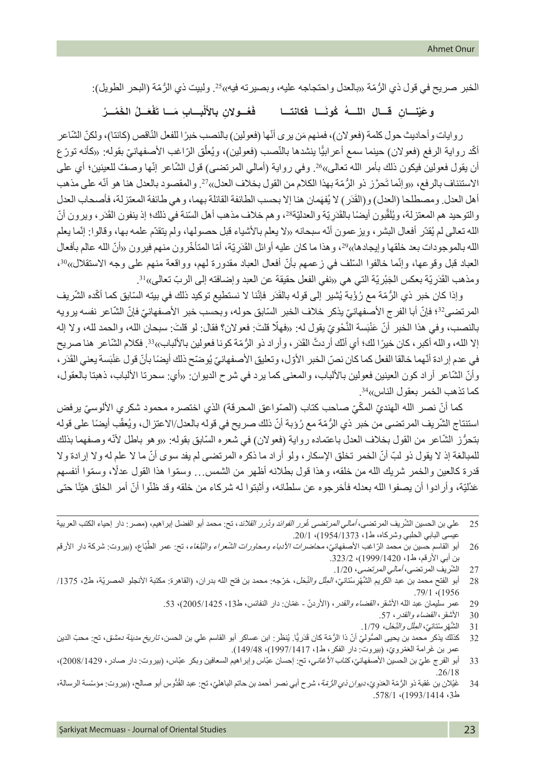الخبر صريح في قول ذي الرُّمّة «بالعدل واحتجاجه عليه، وبصيرته فيه»25. ولبيت ذي الرُّمّة (البحر الطويل):

#### **َـــا فكانتـــا ُ ُ كون** وعَيْنــانِ قسال اللسهُ كُونَسا فكانتــا فَعُــولانِ بالألْبــابِ مَــا تَفْعَــلُ الخَمْــرُ **َْل**

روايات وأحاديث حول كلمة (فعولان)، فمنهم مَن يرى أنّها (فعولين) بالنصب خبرًا للفعل النّاقص (كانتا)، ولكنّ الشّاعر ّأكّد رواية الرفع (فعولان) حينما سمع أعرابيًا بنشدها بالنّصب (فعولين)، ويُعلّق الرّاغب الأصفهانيّ بقوله: «كأنه تورّع ّ أن يقول فعولين فيكون ذلك بأمر الله تعالى»26. وفي رواية (أمالي المرتضى) قول الشّاعر إنّها وصفٌ للعينين؛ أي على الاستئناف بالرفع، «وإنّما تَحرَّز ذو الرُّمّة بهذا الكلام من القول بخلاف العدل»?? والمقصود بالعدل هنا هو أنّه على مذهب أهل العدل. ومصطلحا (العدل) و(القَدَر) لا يُفهَمان هنا إلا بحسب الطائفة القائلة بهما، و هي طائفة المعتزلة، فأصحاب العدل والتوحيد هم المعتزلة، ويُلَقّبون أيضًا بالقَدَرِيّة والعدليّة?؟، وهم خلاف مذهب أهل السّنة في ذلك؛ إذ ينفون القَدَر ، ويرون أنّ الله تعالى لم يُقدّر أفعال البشر ، ويز عمون أنّه سبحانه «لا يعلم بالأشياء قبل حصولها، ولم يتقدّم علمه بها، وقالوا: إنّما يعلم الله بالموجودات بعد خلقها وإيجادها»2°، وهذا ما كان عليه أوائل القَدَرِيّة، أمّا المتأخّرون منهم فيرون «أنّ الله عالم بأفعال العباد قبل وقوعها، وإنّما خالفوا السّلف في زعمهم بأنّ أفعال العباد مقدورة لهم، وواقعة منهم على وجه الاستقلال»<sup>30</sup>، ومذهب القَدَرِ يّة بعكس الْجَبْرِ يّة الّتي هي «نفي الفعل حقيقة عن العبد و إضافته إلى الربّ تعالى»<sup>31</sup>.

وإذا كان خبر ذي الرُّمّة مع رُؤْبة يُشير إلى قوله بالقَدَر فإنّنا لا نستطيع توكيد ذلك في بيته السّابق كما أكّده الشّريف المرتضى32؛ فإنّ أبا الفرج الأصفهانيّ يذكر خلاف الخبر السّابق حوله، وبحسب خبر الأصفهانيّ فإنّ الشّاعر نفسه يرويه بالنصب، وفي هذا الخبر أنّ عَنْبَسة النَّحْويّ يقول له: «فهلّا قلتَ: فعولان؟ فقال: لو قلتَ: سبحان الله، والحمد لله، ولا إله إلا الله، والله أكبر ، كان خيرًا لك؛ أي أنّك أردتٌ القُدَر ، وأراد ذو الرُّمّة كونا فعولين بالألباب»<sup>33</sup>. فكلام الشّاعر هنا صريح في عدم إرادة أنّهما خالقا الفعل كما كان نصّ الخبر الأوّل، وتعليق الأصفهانيّ يُوضّح ذلك أيضًا بأنّ قول عَنْبَسة يعني القَدَر ، وأنّ الشّاعر أراد كون العينين فعولين بالألباب، والمعنى كما يرد في شرح الديوان: «أي: سحرتا الألباب، ذهبتا بالعقول، كما تذهب الخمر بعقول الناس»<sup>34</sup>.

كما أنّ نصر الله الهنديّ المكّيّ صاحب كتاب (الصّواعق المحرقة) الذي اختصره محمود شكري الألوسيّ يرفض استنتاج الشّريف المرتضى من خبر ذي الرُّمّة مع رُوْبة أنّ ذلك صريح في قوله بالعدل/الاعتزال، ويُعقّب أيضًا على قوله بتحرُّز الشَّاعر من القول بخلاف العدل باعتماده رواية (فعولان) في شعره السَّابق بقوله: «وهو باطل لأنَّه وصفهما بذلك ّ للمبالغة إذ ال يقول ذو لب ّ أن ّ الخمر تخلق اإلسكار، ولو أراد ما ذكره المرتضى لم يفد سوى أن ما ال علم له وال إرادة وال ّ قدرة كالعين والخمر شريك الله من خلقه، وهذا قول بطالنه أظهر من الشمس... وسموا هذا القول عدًل ّ ، وسموا أنفسهم عَدْليّة، وأرادوا أن يصفوا الله بعدله فأخرجوه عن سلطانه، وأثبتوا له شركاء من خلقه وقد ظنّوا أنّ أمر الخلق هيّئًا حتى

27 الشّريف المرتضى، *أمالي المرتضى*، 1/20.

- 28 أبو الفتح محمد بن عبد الكريم الشُّهْرِسْتانيّ، *المِلّل والنِّحَل*، خرَجه: محمد بن فتح الله بدران، (القاهرة: مكتبة الأنجلو المصريّة، ط2، 1375/ 1956. 79/1
	- 29 عمر سليمان عبد الله الأشقر، *القضاء والقدر* ، (الأردنَ عَمَان: دار النفائس، ط13، 2005/1425)، 53.<br>30 الأشقر ، *القضاء والقدر* ، 57.
		- الأشقر، *القضاء والقدر*، 57.
		- 31 الشَّهْرِ سْنتانيّ، *المِلَل والنِّحَل، 1/79*.
- 32 كذلك يذكر محمد بن يحيى الصُّوليّ أنّ ذا الرُّمّة كان قَدَريًّا. يُنظَر: ابن عساكر أبو القاسم علي بن الحسن، *تاريخ مدينة دمشق*، تح: محبّ الدين عمر بن غَرامة العَمْرويّ، (بيروت: دار الفكر، ط1، 149/1417). 149/48).
- 33 أبو الفرج عليّ بن الحسين الأصفهاني، كتاب *الأغاني*، تح: إحسان عبّاس وإبراهيم السعافين وبكر عبّاس، (بيروت: دار صادر، 2008/1429)، .26/18
- 34 غَيْلان بن عُقبة ذو الرُّمّة العَدَوِيّ، *ديوان ذي الرُّمّة*، شرح أبي نصر أحمد بن حاتم الباهليّ، تح: عبد القُدُّوس أبو صـالح، (بيروت: مؤسّسة الرسالة، ط،3 1993/1414(، .578/1

<sup>25 ٪</sup> علي بن الحسين الشّريف المرتضى، *أمالي المرتضى غُرر الفوائد ودُرر القلائد*، تح: محمد أبو الفضل إبراهيم، (مصر: دار إحياء الكتب العربية عيسى البابي الحلبي وشركاه، ط1، 1954/1373)، 20/1.

<sup>26</sup> أبو القاسم حسين بن محمد الرّاغب الأصفهانيّ، *محاضرات الأدباء ومحاورات الشّعراء والنُلّغاء*، نح: عمر الطّبّاع، (بيروت: شركة دار الأرقم بن أبي الأرقم، ط1، 1999/1420)، 323/2.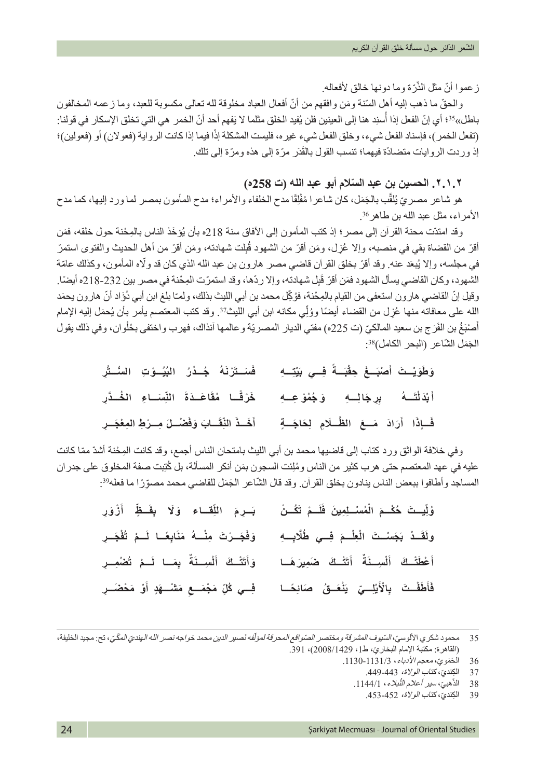֧֧֧֧֧֧֧֚֚֚֚֚֚֚֚֚֚֚֚֚֚֝֝֓֝֓֝֓֟֓֝֬֟֓֝֟֓֝֬֟֩֓֓֝֬֝ زعموا أنّ مثل الذّرّة وما دونها خالق لأفعاله.

والحقّ ما ذهب إليه أهل السّنة ومّن وافقهم من أنّ أفعال العباد مخلوقة لله تعالى مكسوبة للعبد، وما زعمه المخالفون باطل»<sup>35</sup>؛ أي إنّ الفعل إذا أُسنِد هنا إلى العينين فلن يُفيد الخلق مثلما لا يَفهم أحد أنّ الخمر هي التي تخلق الإسكار في قولنا: (تفعل الخمر )، فإسناد الفعل شيء، وخلق الفعل شيء غيره، فليست المشكلة إذًا فيما إذا كانت الرواية (فعولان) أو (فعولين)؛ إذ وردت الروايات متضـادّة فيهمـا؛ تنسب القول بالقَدَر مرّة إلى هذه ومرّة إلى نلك.

**٢.١.٢ ّ . الحسين بن عبد السالم أبو عبد الله )ت 258ه(** 

هو شاعر مصريّ يُلقّب بالجَمَل، كان شاعرا مُفْلِقًا مدح الخلفاء والأمراء؛ مدح المأمون بمصر لما ورد إليها، كما مدح َّاألمراء، مثل عبد الله بن طاهر.<sup>36</sup>

وقد امتدّت محنة القران إلى مصر ؛ إذ كتب المأمون إلى الافاق سنة 218ه بأن يُؤخَذ الناس بالمِحْنة حول خلقه، فمَن أقرّ من القضاة بقي في منصبه، وإلا عُزِل، ومَن أقرّ من الشهود قُبِلت شهادته، ومَن أقرّ من أهل الحديث والفتوى استمرّ في مجلسه، وإلا يُبعَد عنه. وقد أقرّ بخلق القرآن قاضي مصـر هارون بن عبد الله الذي كان قد ولّاه المأمون، وكذلك عامّة الشهود، وكان القاضي يسأل الشهود فمَن أقرّ قَبِل شهادته، وإلا ردّها، وقد استمرّت المِحْنة في مصـر بين 232-218ه أيضًا. وقيل إنّ القاضـي هارون استعفى من القيام بالمِحْنة، فوُكِّل محمد بن أبي الليث بذلك، ولمـّا بلغ ابن أبي دُوًاد أنّ هارون يحمَد الله على معافاته منها عُزِل من القضاء أيضًا ووُلِي مكانه ابن أبي الليث<sup>37</sup>. وقد كتب المعتصم يأمر بأن يُحمَل إليه الإمام ֖֖֖֖֖֖֖ׅ֖֧֚֚֚֚֚֚֚֚֚֚֚֚֚֚֚֡֬֝<u>֚</u> أصْبَعُ بن الفَرَج بن سعيد المالكيّ (ت 225ه) مفتي الديار المصريّة و عالمها آنذاك، فهرب واختفى بحُلُوان، وفي ذلك يقول ؘ<br>ا الجَمَل الشّاعر (البحر الكامل)<sup>38</sup>:

| وَطَوَيْـتَ أَصْبَــغَ حِقْبَــةً فِــي بَيْتِــهِ      فَسَــتَرْنَهُ  جُــدُرُ   البُيُــوْتِ   السُــتَّرِ               |  |
|-----------------------------------------------------------------------------------------------------------------------------|--|
| أَبْدَلْتَــهُ      بِرِجَالِــهِ      وَجُمُوْ عِــهِ        خَرْقًـا   مُقَاعَــدَةَ   النِّسنَــاءِ   الخُــدَّرِ        |  |
| فَسِإِذَا    أَرَادَ   مَسعَ    الظَّــلَامِ    لِحَاجَـــةٍ          أَخَــذَ النِّقَــابَ وَفَضْــلَ مِسرْطِ المِعْجَــرِ |  |

ِ وفي خالفة الواثق ورد كتاب إلى قاضيها محمد بن أبي الليث بامتحان الناس أجمع، وقد كانت الم ْحنة أشدّ ّ مما كانت عليه في عهد المعتصم حتى هرب كثير من الناس ومُلِئت السجون بمَن أنكر المسألة، بل كُتِبت صفة المخلوق على جدران المساجد وأطافوا ببعض الناس ينادون بخلق القرآن. وقد قال الشّاعر الجَمَل للقاضي محمد مصوّرًا ما فعله39.

| وُلِّيستَ حُكْــمَ الْمُسْــلِمِينَ فَلَــمْ تَكُــنْ     بَــرِمَ   اللِّقــاء   وَلَا   بِفَــظٍّ   أَزْوَرِ |                                                   |
|----------------------------------------------------------------------------------------------------------------|---------------------------------------------------|
| وَفَجَـرْتَ مِنْــهُ مَنَابِعًـا لَــمْ تُفْجَــرِ                                                             | ولَقَـدْ بَجَسْـتَ الْعِلْـمَ فِــي طُلَّابِــهِ  |
| وَأَتَتْـكَ أَلْسِـنَةٌ بِمَـا لَـمْ تُضْمِـرِ                                                                 | أَعْطَتْـكَ أَلْسِـنَةٌ أَتَتَّـكَ صَمِيرَهَـا    |
| فِــِي كُلِّ مَجْمَــعِ مَتْنُــهَدٍ أَوْ مَحْضَــرِ                                                           | فَأَطَفْتَ بِالْأَيْلِــيِّ يَنْعَــقُ صَائِحَــا |

<sup>35</sup> محمود شكر ي الألوسيّ، *السّيوف المشرقة ومختصر الصّواقع المحر*قة *لمؤلّفه نَصير. الدين محمد خواجه نصر الله الهنديّ المكّيّ*، تح: مجيد الخليفة، ّ )القاهرة: مكتبة اإلمام البخاري، ط،1 2008/1429(، .391

<sup>36</sup> الْحَمَويّ، معجم *الأدباء*، 1131/3-1130.<br>37 الكِنديّ، كتا*ب الولاة،* 443-449.

الكِنديّ، كتا*ب الولاة،* 443-449.

هبيّ، سير أعلام النَّبلاء، 1144/1. ّ38 الذ

<sup>39</sup> الكندي، كتاب *الولاة،* 452-453.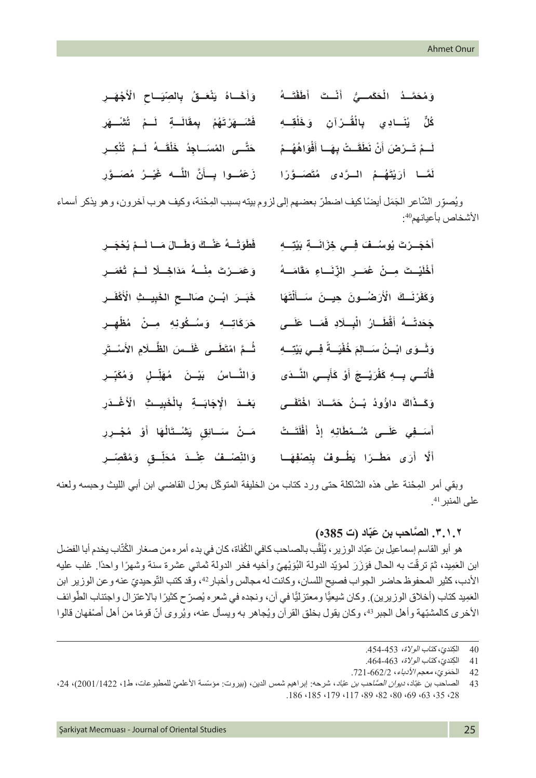| وَأَخَـاهُ يَنْعَـقُ بِالصِّيَـاحِ الْأَجْهَـرِ                                                | وَمُحَمَّـدُ الْحَكَمــيُّ أَنْــتَ أَطَفْتَــهُ        |
|------------------------------------------------------------------------------------------------|---------------------------------------------------------|
| فَتَسَــهَرْتَهُمْ بِمقَالَــةٍ لَــمْ تُتْنُـــهَرِ                                           | كُلِّ يُنَسَادِي بِالْقُـرْآنِ وَخَلْقِــهِ             |
| حَتَّـى المْسَـاجِدُ خَلْقَــهُ لَــمْ تُنْكِــرِ                                              | لَــمْ تَــرْضَ أَنْ نَطَقَــتْ بِهَــا أَفْوَاهُهُــمْ |
| لَمَّـا أَرَيْتَهُـمُ الْـرَّدى مُتَصَـوَّرًا ۚ زَعَصُـوا بِـأَنَّ اللَّــه غَيْـرُ مُصَـوَّرِ |                                                         |

ويُصوِّر الشَّاعر الْجَمَل أيضًا كيف اضطرّ بعضهم إلى لزوم بيته بسبب المِحْنة، وكيف هرب أخرون، وهو يذكر أسماء الأشخاص بأعيانهم<sup>40</sup>:

| فَطَوَتْــهُ عَنْــكَ وَطَــالَ مَــا لَــمْ يُحْجَــرِ | أَحْجَــرْتَ يُوسُــفَ فِــي خِزَانَـــةِ بَيْتِــهِ |
|---------------------------------------------------------|------------------------------------------------------|
| وَعَمَــرْتَ مِنْـــهُ مَذَاخِــلًا لَــمْ تُعْمَــرِ   | أَخْلَيْـتَ مِــنْ عُصَـرِ الزِّنَــاءِ مَقَامَــهُ  |
| خَبَــرَ ابْــنِ صَالـــحِ الخَبِيــثِ الْأَكْفَــرِ    | وَكَفَرْنَسِكَ الْأَرَضُسُونَ حِيسنَ سَسأَلْتَهَا    |
| حَرَكَاتِــهِ وَسُــكُونِهِ مِــنْ مُظْهِــرِ           | جَحَدتْــهُ أَقْطَــارُ الْبِــلَادِ فَمَــا عَلَــى |
| شُمَّ امْتَطَــى غُلَــسَ الظَّــلَامِ الأَسْــتَرِ     | وَتَسوَى ابْسُنُ سَسالِمَ خُفْيَسةً فِسي بَيْتِسِهِ  |
| وَالنَّـاسُ بَيْـنَ مُهَلِّـلٍ وَمُكَبِّـرٍ             | فَأْتسي بِسهِ كَفُرَيْسِجَ أَوْ كَأَبِسِي النَّسَدَى |
| بَعْدَ الْإِجَابَةِ بِالْخَبِيتِ الْأَغْـذَرِ           | وَكَـذَاكَ داوُودُ بْـنُ حَمَّـادَ اخْتَفَــى        |
| مَــنْ سَــائِقِ يَتْنُــتَالُهَا أَوْ مُجْــرِرِ       | أَسَـفِي عَلَــى شُــمْطَانِهِ إِذْ أَفْلَتَـتْ      |
| وَالنِّصْــفُ عِنْــدَ مُخَلِّــقٍ وَمُقَصِّــرِ        | أَلَّا أَرَى مَطَـرًا يَطُـوفُ بِنِصْفِهَـا          |

وبقي أمر المِحْنة على هذه الشّاكلة حتى ورد كتاب من الخليفة المتوكّل بعزل القاضي ابن أبي الليث وحبسه ولعنه على المنبر <sup>41</sup>.

## **ّاد )ت 385ه( َّ .٣.١.٢ الص َ احب بن عب**

هو أبو القاسم إسماعيل بن عبّاد الوزير ، يُلَقّب بالصـاحب كافي الكُفَاة، كان في بدء أمر ه من صـغار الكُتّاب يخدم أبا الفضل ابن العَمِيد، ثمّ ترقّت به الحال فوَزَرَ لمؤيّد الدولة البُوَيْهيّ وأخيه فخر الدولة ثماني عشرة سنة وشهرًا واحدًا. غلب عليه *<u>EXPLANA*</u> ; الأدب، كثير المحفوظ حاضر الجواب فصيح اللسان، وكانت له مجالس وأخبار 42، وقد كتب التّوحيديّ عنه وعن الوزير ابن العَمِيد كتاب (أخلاق الوزيرين). وكان شيعيًّا ومعتزليًّا في آن، ونجده في شعره يُصرّ ح كثيرًا بالاعتزال واجتناب الطّوائف َالأخرى كالمشبّهة وأهل الجبر <sup>43</sup>، وكان يقول بخلق القرآن ويُجاهر به ويسأل عنه، ويُروى أنّ قومًا من أهل أصنفهان قالوا

<sup>40</sup> الكِنديّ، كتا*ب الولاة،* 453-454.<br>41 الكنديّ، كتا*ب الولاة،* 463-464.

<sup>41</sup> الكِنديّ، كتا*ب الولاة،* 463-464.<br>42 الحَمَويّ، معج*م الأدباء*، 1-662/2

الحَمَويّ، معجم الأدباء، 1662/2-721.

<sup>43</sup> الصاحب بن عبّاد، *ديوان الصّاحب بن عبّاد*، شرحه: إبراهيم شمس الدين، (بيروت: مؤسّسة الأعلميّ للمطبوعات، ط1، 2001/1422)، 24، .186 ،185 ،179 ،117 ،89 ،82 ،80 ،69 ،63 ،35 ،28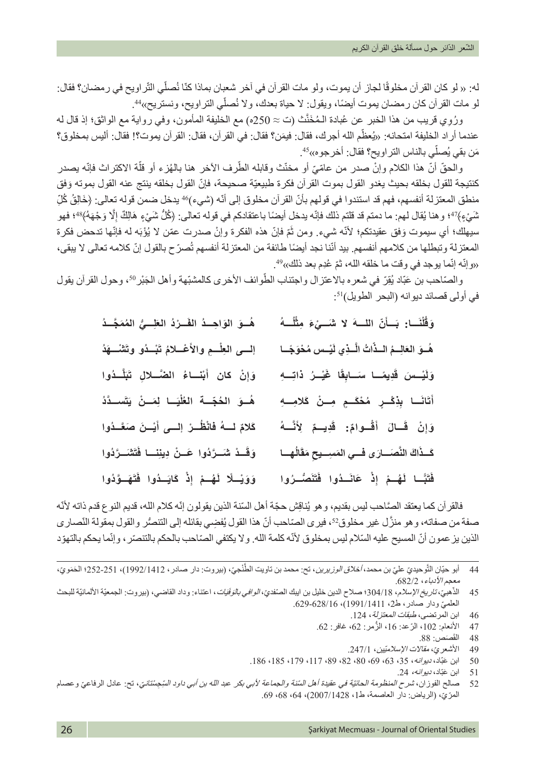له: « لو كان القرآن مخلوقًا لجاز أن يموت، ولو مات القرآن في آخر شعبان بماذا كنّا نُصلّي الثّراويح في رمضـان؟ فقال: لو مات القرآن كان رمضان يموت أيضًا، ويقول: لا حياة بعدك، ولا نُصلِّي التراويح، ونستريح»4.

ورُوِي قريب من هذا الخبر عن عُبادة المُخَنّث (ت ≈ 250ه) مع الخليفة المأمون، وفي رواية مع الواثق؛ إذ قال له عندما أر اد الخليفة امتحانه: «يُعظّم الله أجرك، فقال: فيمَن؟ فقال: في القرآن، فقال: القرآن بموت؟! فقال: أليس بمخلوق؟ مَن بقي يُصلِّي بالناس التر اويح؟ فقال: أخرجوه»<sup>45</sup>.

والحقّ أنّ هذا الكلام وإنْ صدر من عامّيّ أو مخنّث وقابله الطّرف الآخر هنا بالهُزء أو قلّة الاكتراث فإنّه بصدر كنتيجة للقول بخلقه بحيث يغدو القول بموت القرآن فكرة طبيعيّة صحيحة، فإنّ القول بخلقه ينتج عنه القول بموته وَفق ِ منطق المعتزلة أنفسهم، فهم قد استندوا في قولهم بأنّ القرآن مخلوق إلى أنّه (شيء)46 يدخل ضمن قوله تعالى: ﴿خَالِقُ كُلّ شَيْءٍ﴾47؛ و هنا يُقال لهم: ما دمتم قد قلتم ذلك فإنّه يدخل أيضًا باعتقادكم في قوله تعالى: ﴿كُلُّ شَيْءٍ هَالِكٌ إِلّا وَجْهَهُ﴾44؛ فهو ِ سيهلك؛ أي سيموت وَفق عقيدتكم؛ لأنّه شيء. ومن ثَمّ فإنّ هذه الفكرة وإنْ صدرت عمّن لا يُؤْبَه له فإنّها تدحض فكرة المعتزلة وتبطلها من كلامهم أنفسهم. بيد أنّنا نجد أيضًا طائفة من المعتزلة أنفسهم تُصرّ ح بالقول إنّ كلامه تعالى لا يبقى، «وإنّه إنّما يوجد في وقت ما خلقه الله، ثمّ عُدِم بعد ذلك».49

والصّاحب بن عَبّاد يُقِرّ في شعره بالاعتزال واجتناب الطّوائف الأخرى كالمشبّهة وأهل الجَبْر 50، وحول القرآن يقول في أولى قصائد ديوانه (البحر الطويل)<sup>51</sup>:

| هُــوَ الوَاحِــدُ الفَــرْدُ العَلِّــيُّ المُمَجَّــدُ | وَقُلْنَــا: بَــأنّ اللـــهَ لا شَـــيْءَ مِثْلُــهُ      |
|----------------------------------------------------------|------------------------------------------------------------|
| إلسى العِلْسِمِ والأَعْسلامُ تَبْسُدُو وتَشْسُهَدُ       | هُــوَ العَالِــمُ الــذَاتُ الَّــذِي لَيْــس مُحْوَجَــا |
| وَإِنْ كان أَبْنَــاءُ الضَّــلالِ تَبَلَّــدُوا         | وَلَيْـسَ قَدِيمًـا سَـابِقًا غَيْـرُ ذَاتِـهِ             |
| هُــوَ الحُجّــة العُلْيَــا لِمَــنْ يَتَســدَّدُ       | أَتَانَـا بِذِكْـرٍ مُخْكَـمٍ مِــنْ كَلامِــهِ            |
| كَلامٌ لسهُ فَانْظُــرْ إلسى أَيْــنَ صَغَــدُوا         | وَإِنْ قَـالَ أَقْـوامٌ: قَدِيــمٌ لِأَنَّــهُ             |
| وَقَـدْ شَـرَّدُوا عَـنْ دِينِنــا فَتَشَـرَّدُوا        | كَـذَاكَ النَّصَــارَى فَــي المَسِــيح مَقَالُهــا        |
| وَوَيْسِلًا لَهُسْمُ إِذْ كَايَسِدُوا فَتَهَسَوَّدُوا    | فَتَبَّــا لَهُــمْ إِذْ عَانَــدُوا فَتَنَصُّــرُوا       |

فالقر آن كما يعتقد الصَّاحب ليس بقديم، و هو يُناقِش حجّة أهل السّنة الذين يقولون إنّه كلام الله، قديم النوع قدم ذاته لأنّه صفة من صفاته، وهو منزّل غير مخلوق?؟، فيرى الصّاحب أنّ هذا القول يُفضِي بقائله إلى التنصُّر والقول بمقولة النّصاري الذين يز عمون أنّ المسيح عليه السّلام ليس بمخلوق لأنّه كلمة الله. ولا يكتفي الصّاحب بالحكم بالتنصّر ، وإنّما يحكم بالتهوّد

- َّ44 أبو حيّان الثّوحيديّ عليّ بن محمد، *أخلاق الوزيرين*، تح: محمد بن تاويت الطّنْجيّ، (بيروت: دار صادر ، 1412/1992)، 251-252؛ الحَمَويّ، معجم األدباء، .682/2
- هبيّ، *تاريخ الإسلام*، 304/18؛ صلاح الدين خليل بن ايبك الصّفديّ، *الوافي بالوَفَيَات* ، اعتناء: وداد القاضي، (بيروت: الجمعيّة الألمانيّة للبحث ّ45 الذ العلميّ ودار صادر ، ط2، 1991/1411)، 629-628.
	- 46 ابن المرتضى، طبقات المعتزلة، 124.
	- 47 األنعام: 102 ّ ، الرعد: 16 ُّ ، الزمر: ،62 غافر: .62
		- القَصنَص: 88. 48 الق
		- 49 الأشعريّ، مقا*لات الإسلاميّين*، 247/1.<br>50 ابن عَنّاد، بيوانيه، 35، 63، 69، 69، 2
	- 50 َ ابن عبّاد، ديوانه، ،35 ،63 ،69 ،80 ،82 ،89 ،117 ،179 ،185 .186
		- 51 ابن عَبّاد، *ديو انه،* 24.
- 52 صـالح الفوز ان، *شر ح المنظومة الحائيّة في عقيدة أهل السّنة والجماعة لأبي بكر* ع*بد الله بن أبي داود السّجِسْتانيّ*، تح: عادل الرفاعيّ وعصـام المرّيّ، (الرياض: دار العاصمة، ط1، 12007/1428)، 64، 68، 69.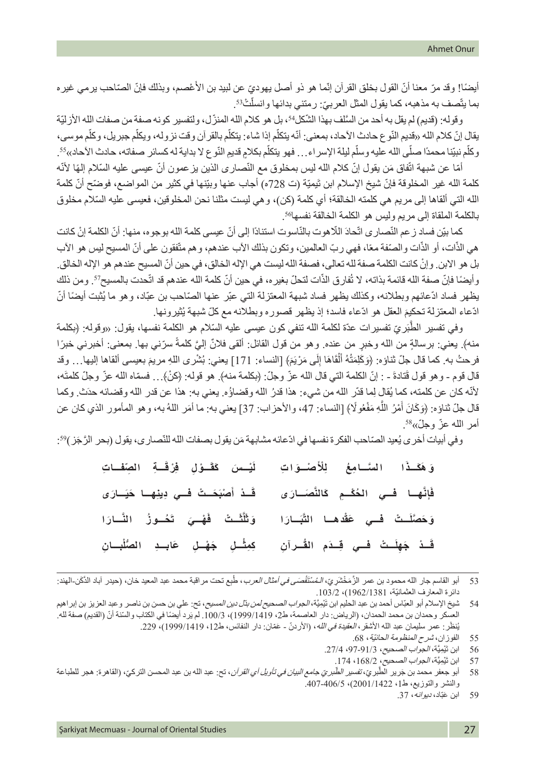أيضًا! وقد مرّ معنا أنّ القول بخلق القرآن إنّما هو ذو أصل يهوديّ عن لبيد بن الأعْصم، وبذلك فإنّ الصّاحب يرمي غيره ֦֧֦֧֦֧֦֧֦֧֡֡֡֬֝ بما يتّصف به مذهبه، كما يقول المثل العربيّ: رمتني بدائها وانسلْتْ<sup>53</sup>. ֖֖֖֖֚֚֚֚֚֚֚֚֚֚֝<br>֧֖֚֚֚֚֚֚֚֚֚֚֝֝֝֝֝<br>ׇ֧֚֚֚֝֝֝

وقوله: (قديم) لم يقل به أحد من السَّلف بهذا الشَّكلُّ<sup>5</sup>، بل هو كلام الله المنزّل، ولتفسير كونه صفة من صفات الله الأزليّة يقال إنّ كلام الله «فديم النّوع حادث الأحاد، بمعنى: أنّه يتكلّم إذا شاء: يتكلّم بالقرآن وقت نزوله، ويكلّم جبريل، وكلّم موسى، وكلّم نبيّنا محمدًا صلّى الله عليه وسلّم ليلة الإسراء... فهو يتكلّم بكلامٍ قديمِ النّوع لا بداية له كسائر صفاته، حادث الأحاد»<sup>55</sup>. ֖֖֖֖֖֖֖֖֧֪֪֪֪֪֪֪֪֪֪֪֪֪֪֪ׅ֚֚֚֚֚֚֚֚֚֚֚֚֚֚֚֚֚֚֚֡֝֟֓֡֞֬֝֬֝֓֞֡֡֬֓

أمّا عن شبهة اتّفاق مَن يقول إنّ كلام الله ليس بمخلوق مع النّصـار ى الّذين يز عمون أنّ عيسى عليه السّلام إلمهًا لأنّه ֧֦֧֖֖֚֚֚֚֚֚֝֝֝֬<br>֧֖֖֧֧֧֚֚֚֚֚֚֚֚֚֚֚֚֚֚֚֚֚֚֚֚֚֚֚֚֚֚֚֚֝֝֝<br>֧֚֚֚֝ كلمة الله غير المخلوقة فإنّ شيخ الإسلام ابن تَيميّة (ت 728ه) أجاب عنها وبيّنها في كثير من المواضـع، فوضـّح أنّ كلمة الله التي ألقاها إلى مريم هي كلمته الخالقة؛ أي كلمة (كن)، و هي ليست مثلنا نحن المخلوقين، فعيسى عليه السّلام مخلوق . بالكلمة الملقاة إلى مريم وليس هو الكلمة الخالقة نفسها<sup>56</sup>

كما بيّن فساد ز عم النّصـار ى اتّحادَ اللّاهوت بالنّاسوت استنادًا إلى أنّ عيسى كلمة الله بوجوه، منها: أنّ الكلمة إنْ كانت هي الذّات، أو الذّات والصّفة معًا، فهي ربّ العالمين، وتكون بذلك الأب عندهم، وهم متّفقون على أنّ المسيح ليس هو الأب ֧֧֧֧ׅ֧֧֧ׅ֧֧֧֧֧֧֧֧֧֧֧֧֧֧֧֧֧֧֧֧֧֧֧֧֧֧֧֡֡֡֬֓֓֓֓֓֝֬֜֓֓֝֬֜֓֓֝֬֟֩֬֓֓֬֓֓֩֕֓<br>֧֜**֧** ْ بل هو االبن. وإن ّ كانت الكلمة صفة لله تعالى، فصفة الله ليست هي اإلله الخالق، في حين أن المسيح عندهم هو اإلله الخالق. وأيضًا فإنّ صفة الله قائمة بذاته، لا تُفارق الذّات لتحلّ بغيره، في حين أنّ كلمة الله عندهم قد اتّحدت بالمسيح57. ومن ذلك يظهر فساد ادّعائهم وبطلانه، وكذلك يظهر فساد شبهة المعتزلة التي عبّر عنها الصّاحب بن عبّاد، وهو ما يُثبت أيضًا أنّ ادّعاء المعتزلة تحكيِمَ العقل هو ادّعاء فاسد؛ إذ يظهر قصوره وبطلانه مع كلّ شبهة يُثيرونها.

وفي تفسير الطَّبَريّ تفسيرات عدّة لكلمة الله تنفي كون عيسى عليه السّلام هو الكلمة نفسها، يقول: «وقوله: ﴿بكلمة ًمنه﴾. يعني: برسالةٍ من الله وخبرٍ من عنده. وهو من قول القائل: ألقى فلانٌ إليَّ كلمةٌ سرّني بها. بمعنى: أخبرني خبرًا فرحتُ به. كما قال جلّ ثناؤه: ﴿وَكَلِمَتُهُ أَلْقَاهَا إِلَى مَرْيَمَ﴾ [النساء: 171] يعني: بُشْرى اللهِ مريمَ بعيسى ألقاها إليها… وقد َِل َ قال قوم - وهو قول قُتادةَ - : إنّ الكلمة الّتي قال الله عزّ وجلّ: ﴿بكلمة منه﴾. هو قوله: ﴿كنْ﴾… فسمّاه الله عزّ وجلّ كلمتَه، لأنّه كان عن كلمته، كما يُقال لِما قدّر الله من شيء: هذا قدرُ الله وقضاؤُه. يعني به: هذا عن قدر الله وقضائه حدَث. وكما قال جلّ ثناؤه: ﴿وَكَانَ أَمْرُ اللَّهِ مَفْعُولًا﴾ [النساء: 47، والأحزاب: 37] يعني به: ما أمَر اللهُ به، وهو المأمور الذي كان عن َؘّ<br>ا أمر الله عزّ وجلّ»<sup>58</sup>.

وفي أبيات أخرى يُعيد الصّاحب الفكرة نفسها في ادّعائه مشابهة مَن يقول بصفات الله للنّصاري، يقول (بحر الرَّجَز )%:

| وَ هَكَـذَا السَّـامِعُ لِلْأَصْـوَاتِ ۖ لَيْـس َ كَقَـوْلِ فِرْقَــةِ الصِّفَــاتِ           |  |
|-----------------------------------------------------------------------------------------------|--|
| فَإِنَّهِا فَسِي الحُكْــمِ كَالنَّصَــارَى ۚ قَــدْ أَصْبَحَــتْ فَــي دِينِهِــا حَيَــارَى |  |
| وَحَصَّلَـتْ فَــي عَقْدهـا التَّبَــارَا  وَتَلَّثَــتْ فَهْــيَ تَخُــوزُ النَّــارَا       |  |
| قَـدْ جَهِلَـتْ فَــي قِــدَم القُــرآنِ     كِمِثْــلِ جَهْــلِ   عَابــدِ  الصُّلْبــانِ    |  |

53 أبو القاسم جار الله محمود بن عمر الزَّمَخْشَرِيّ، *الـمُسْتَقْصَى في أمثال العرب*، طُبع تحت مراقبة محمد عبد المعيد خان، (حيدر آباد الذَكَن-الهند: دائرة المعارف العثمانيّة، 1962/1381(، .103/2

- 55 الفوزان، *شرح المنظومة الحائيّة*، 68.
- 56 ابن تَيْمِيَّة، *الجواب الصحيح*، 91/3-97، 27/4.
- 57 ابن تَْيِميَّة، الجواب الصحيح، ،168/2 .174

59 **م** ابن عبّاد، د*يو انه*، 37.

<sup>54 ٪</sup> شيخ الإسلام أبو العبّاس أحمد بن عبد الحليم ابن تَيْمِيَّة، *الجواب الصحيح لمن بذل دين المسيح*، تح: علي بن حسن بن ناصر وعبد العزيز بن إبراهيم العسكر وحمدان بن محمد الحمدان، (الرياض: دار العاصمة، ط2، 1999/1419)، 100/3. لم يَرد أيضنًا في الكتاب والسّنة أنّ (القديم) صفة لله. يُنظَر : عمر سليمان عبد الله الأشقر ، *العقيدة في الله* ، (الأردنّ - عَمّان: دار النفائس، ط12، 1419/1419)، 229.

<sup>58</sup> أبو جعفر محمد بن جَرير الطُّبر*يّ، تفسير الطّبريّ جامع البيان في تأويل أي القر آن*، تح: عبد الله بن عبد المحسن التركيّ، (القاهرة: هجر للطباعة والنشر والتوزيع، ط،1 2001/1422(، .407-406/5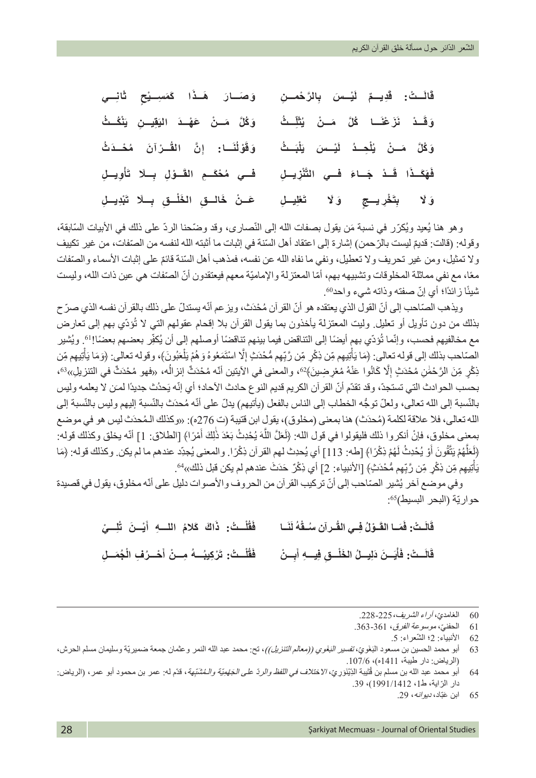**ِ َّ الر ْح ِ مـــن َ ْي َ ـــس ب َ ِد ٌ يـــم ل َ ْ ـــت: ق َ ق ان** الَــتُ: قَدِيـــمِّ لَيْـــسَ بِالرَّحْمـــنِ وَصَـــارَ هَــذَا كَمَسِــيْحِ تَّانِـــي **ِ ُ ـــث َل ُث َ ُ ـــا ك َّل َ م ْ ـــن ي َ َز ْعن َ ْ ـــد ن ّ َ ْن ُك ُ ـــث َوق َ ِق ِ يـــن ي َو ُك َّل َ م ْ ـــن َ ع ْه َ ـــد الي** وَكُلَّ مَـنْ يُلْحِـدُ لَيْـسنَ يَلْبَـثُ وَقَوْلُنَـا: إِنَّ الْقَـرْآنَ مُحْـدَثُ **ِ َّن الق َـــا: إ ُن ْول َوق ََّْنِز ِ يـــل َ ْ ـــد َ ج َ ـــاء فـــي الت َا ق َ َه َكـــذ** فهَكَــدُا قَــدْ جَــاءَ فَــي التَّنْزِيــلِ فَــي مُحْكَــمِ القَــوْلِ بِــلَا تَأوِيــلِ **َ ْعِل ِ يـــل** تَ**خْرِيـــجِ ۚ وَلَا ۚ تَ َ َو ْبِد ِ يـــل َل ب ِـــ َا ت ـــق ب ِ ْ الـــق َ الخل َع ْ ـــن َ خ ِ**

وهو هنا يُعيد ويُكرّر في نسبة مَن يقول بصفات الله إلى النّصارى، وقد وضّحنا الردّ على ذلك في الأبيات السّابقة، وقوله: (قالت: قديمٌ ليست بالرّ حمن) إشار ة إلى اعتقاد أهل السّنة في إثبات ما أثبته الله لنفسه من الصّنفات، من غير تكييف ولا تمثيل، ومن غير تحريف ولا تعطيل، ونفي ما نفاه الله عن نفسه، فمذهب أهل السّنة قائمٌ على إثبات الأسماء والصّفات معًا، مع نفي مماثلة المخلوقات وتشبيهه بهم، أمّا المعتزلة والإماميّة معهم فيعتقدون أنّ الصّنفات هي عين ذات الله، وليست شيئًا زائدًا؛ أي إنّ صفته وذاته شيء واحد60.

ويذهب الصّاحب إلى أنّ القول الذي يعتقده هو أنّ القرآن مُحْدَث، ويزعم أنّه يستدلّ على ذلك بالقرآن نفسه الذي صرّ ح بذلك من دون تأويل أو تعليل وليت المعتزلة يأخذون بما يقول القرأن بلا إقحام عقولهم التي لا تُؤدّي بهم إلى تعارض مع مخالفيهم فحسب، وإنّما تُؤدّي بهم أيضًا إلى التناقض فيما بينهم تناقضًا أوصلهم إلى أن يُكفِّر بعضهم بعضًا!'6. ويُشير ֧֧֧֧֦֝֟֟֓֝֬֟֓֬֓֬֝֬֓֝֬֝֬֓֝֬֝֬֓**֓** الصّاحب بذلك إلى قوله تعالى: ﴿مَا يَأْتِيهِم مِّن ذِكْرٍ مِّن رَّبِّهِم مُّحْدَثٍ إِلَّا اسْتَمَعُوهُ وَهُمْ يَلْعَبُونَ﴾، وقوله تعالى: ﴿وَمَا يَأْتِيهِم مِّن ֧֧֧֧֧֦֦֧֪֦֧֦֧֦֡֡֟֟֓֟֟֟֟֓֟֓֟֓֟֓֟֓֟֓֟֓֡֟֓֟֓֟֓֟֓֟֓֡֟֓֟֓֟֓֟֓֟֓֞֟֟ َل ِ ّ ֖֖֖֧֚֚֚֚֚֚֚֚֚֚֚֡<u>֓</u> ذِكْرٍ مِّنَ الرَّحْمٰنِ مُحْدَثٍ إِلَّا كَانُوا عَنْهُ مُعْرِضِينَ﴾ $\cdot$ ، والمعنى في الآيتين أنّه مُحْدَثٌ انزالُه، «فهو مُحْدَثٌ في التنزيلِ» $\cdot$ 6، المستقبل المستقبل المستقبل المستقبل المستقبل المستقبل المستقبل المستقبل المستقبل المستقبل المستقبل المستقبل ال<br>المستقبل المستقبل المستقبل المستقبل المستقبل المستقبل المستقبل المستقبل المستقبل المستقبل المستقبل المستقبل ال ِ بحسب الحوادث التي تستجدّ، وقد تقدّم أنّ القرآن الكريم قديم النوع حادث الأحاد؛ أي إنّه يَحدُث جديدًا لمـَن لا يعلمه وليس بالنّسبة إلى الله تعالى، ولعلّ توجُّه الخطاب إلى الناس بالفعل (يأتيهم) يدلّ على أنّه مُحدَث بالنّسبة إليهم وليس بالنّسبة إلى الله تعالى، فلا علاقة لكلمة (مُحدَث) هنا بمعنى (مخلوق)، يقول ابن قتيبة (ت 276ه): «وكذلك الـمُحدَث ليس هو في موضع بمعنى مخلوق، فإنْ أنكروا ذلك فليقولوا في قول الله: ﴿لَعَلَّ اللَّهَ يُحْدِثُ بَعْدَ ذَلِكَ أَمْرًا﴾ [الطلاق: 1] أنّه يخلق وكذلك قوله: َ ا<br>' َ (لَعَلَّهُمْ يَتَّقُونَ أَوْ يُحْدِثُ لَهُمْ ذِكْرًا﴾ [طه: 113] أي يُحدِث لهم القرآن ذِكْرًا. والمعنى يُجدِّد عندهم ما لم يكن. وكذلك قوله: ﴿مَا َؘ<br>ا َّ $\overline{1}$ يَأْتِيهِم مِّن ذِكْرٍ مِّن رَّبِّهِم مُّحْدَثٍ﴾ [الأنبياء: 2] أي ذِكْرٌ حَدَثَ عندهم لم يكن قبل ذلك»<sup>64</sup>. ֧֖֖֖֖֖֖֖֧֚֚֚֚֚֚֚֝֟֟֓֝֬<u>֓</u> **ٔ** 

وفي موضع أخر يُشير الصّاحب إلى أنّ تركيب القرآن من الحروف والأصوات دليل على أنّه مخلوق، يقول في قصيدة حواريّة (البحر البسيط)55:

> قَالَـتْ: فَمَــا القَــوْلُ فِــي القُــر آن سُــقَّهُ لَنَــا فَقُلْــتُ: ذَاكَ كَلامُ اللــــهِ أَيْـــنَ تُلِـــيْ **ََ َ اك َ ك ُالم ِ اللـــه أ ْ ُ ـــت: ذ ُل َق ف** قَالَـتْ: فَأَيَــنَ دَلِيــلُ الخَلْــقِ فِيـــهِ أَبِــنْ فَقُلْــتُ: تَرْكِيبُــهُ مِــنْ أَحْــرُفِ الْجُمَــلِ **َأ** فَقُلْــتُ: تَرْكِيبُـــهُ مِـــنْ أَحْـــرُفِ الْجُمَـــلِ

- 60 الغامديّ، *آراء الشريف،* 225-228.<br>61 الحفن*يّ، موسوعة الفرق،* 361-363
- 61 الحفنيّ، *موسوعة الفرق*، 361-363.<br>62 الأنبياء: 2؛ الشّعراء: 5.
	- الأنبياء: 2؛ الشَّعراء: 5.

64 أبو محمد عبد الله بن مسلم بن قُتَيبة الدِّيْنَوَرِيّ، *الاختلاف في اللفظ والردّ على الجَهْمِيّة والـمُشَبّهة*، قدّم له: عمر بن محمود أبو عمر ، (الرياض: دار الرّاية، ط1، 1991/1412)، 39.

65 َ ابن عبّاد، ديوانه، .29

<sup>63 ٪</sup> أبو محمد الحسين بن مسعود البَغَويّ، *تفسير البَغَوي ((معالم التنزيل))*، تح: محمد عبد الله النمر وعثمان جمعة ضميريّة وسليمان مسلم الحرش، )الرياض: دار طيبة، 1411ه(، .107/6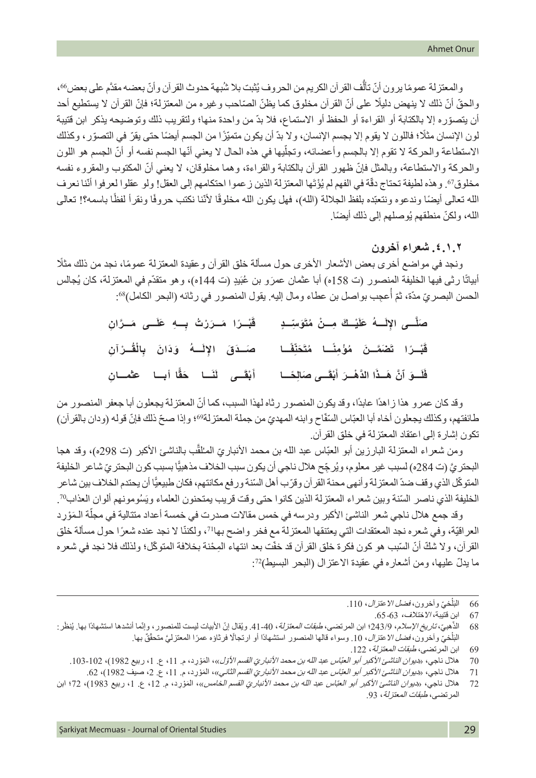والمعتزلة عمومًا يرون أنّ تألُّف القرآن الكريم من الحروف يُثبت بلا شُبهة حدوث القرآن وأنّ بعضه مقدَّم على بعض66، والحقّ أنّ ذلك لا ينهض دليلًا على أنّ القرآن مخلوق كما يظنّ الصّاحب وغيره من المعتزلة؛ فإنّ القرآن لا يستطيع أحد ّ أن يتصوره إال بالكتابة أو القراءة أو الحفظ أو االستماع، فال بدّ من واحدة منها؛ ولتقريب ذلك وتوضيحه يذكر ابن قتيبة لون الإنسان مثلًا؛ فاللون لا يقوم إلا بجسم الإنسان، ولا بدّ أن يكون متميّزًا من الجسم أيضًا حتى يقرّ في التصوّر، وكذلك الاستطاعة والحركة لا تقوم إلا بالجسم وأعضائه، وتجلِّيها في هذه الحال لا يعني أنّها الجسم نفسه أو أنّ الجسم هو اللون ّ والحركة واالستطاعة، وبالمثل فإن ّ ظهور القرآن بالكتابة والقراءة، وهما مخلوقان، ال يعني أن المكتوب والمقروء نفسه مخلوق" وهذه لطيفة تحتاج دقّة في الفهم لم يُؤْتَها المعتزلة الذين ز عموا احتكامهم إلى العقل! ولو عقلوا لعرفوا أنّنا نعرف الله تعالى أيضًا وندعوه ونتعبّده بلفظ الجلالة (الله)، فهل يكون الله مخلوقًا لأنّنا نكتب حروفًا ونقرأ لفظًا باسمه؟! تعالى الله، ولكنّ منطقهم يُوصلهم إلى ذلك أيضًا.

**.٤.١.٢ شعراء آخرون**

ونجد في مواضع أخرى بعض الأشعار الأخرى حول مسألة خلق القرآن وعقيدة المعتزلة عمومًا، نجد من ذلك مثلًا أبيانًا رثى فيها الخليفة المنصور (ت 158ه) أبا عثمان عمرَو بن عُبَيدٍ (ت 144ه)، وهو متقدّم في المعتزلة، كان يُجالس الحسن البصريّ مدّة، ثمّ أعجِب بواصل بن عطاء ومال إليه. يقول المنصور في رثائه (البحر الكامل)89.

| قَبْـرًا مَـرَرْتُ بِـهِ عَلَــى مَـرًانِ                                                           | صَلَّــى الإِلَـــهُ عَلَيْــكَ مِــنْ مُتَوَسِّــدٍ |
|-----------------------------------------------------------------------------------------------------|------------------------------------------------------|
| قَبْـرًا تَصْمَــنَ مُؤْمِنًــا مُتَحَلِّقْــا       صَــدَقَ الإِلَــهُ ۖ وَدَانَ ۖ بِالْقُــرْآنِ |                                                      |
|                                                                                                     |                                                      |

وقد كان عمر و هذا ز اهدًا عابدًا، وقد يكون المنصور ر ثاه لهذا السبب، كما أنّ المعتز لة يجعلون أبا جعفر المنصور من ׇ֖֖֖֖֖֖֧֖֧֖֧֪ׅ֪֪֪ׅ֪֪֪֪ׅ֧֧֪֧֚֚֚֚֚֚֚֚֚֚֚֚֚֚֚֚֚֡֡֬֝֝֬֝֬֓֓֞֬֓֬֓֬֝֬֝֬֝֬ طائفتهم، وكذلك يجعلون أخاه أبا العبّاس السّفّاح وابنه المهديّ من جملة المعتزلة?9، وإذا صحّ ذلك فإنّ قوله (ودان بالقرآن) تكون إشارة إلى اعتقاد المعتزلة في خلق القرآن.

ومن شعراء المعتزلة البارزين أبو العبّاس عبد الله بن محمد الأنباريّ المـُلقّب بالناشـئ الأكبر (ت 298ه)، وقد هجا البحتر يَّ (ت 284ه) لسبب غير معلوم، ويُرجِّح هلال ناجي أن يكون سبب الخلاف مذهبيًّا بسبب كون البحتر يِّ شاعر الخليفة المتوكّل الذي وقف ضدّ المعتزلة وأنهى محنة القرآن وقرّب أهل السّنة ورفع مكانتهم، فكان طبيعيًّا أن يحتدم الخلاف بين شاعر الخليفة الذي ناصر السّنة وبين شعراء المعتزلة الذين كانوا حتى وقت قريب يمتحنون العلماء ويَسُومونهم ألوان العذاب"*?* 

֖֖֖֖֖֖֖֖ׅ֖֪֪֪֪ׅ֪֪֪֪ׅ֪֪֪ׅ֪֪֪֪֪֪֪֪֪֪֪֪֪֪֪֪ׅ֧֚֚֚֚֚֚֚֚֚֚֚֚֚֚֚֚֚֚֚֚֚֚֚֡֬֝֟֓֝֬֝֬֝֓֞֬֓֓֬֝֬֓֞֬֝֬ وقد جمع هلال ناجي شعر الناشئ الأكبر ودرسه في خمس مقالات صدرت في خمسة أعداد متتالية في مجلة الـمَوْرِد العراقيّة، وفي شعره نجد المعتقدات التي يعتنقها المعتزلة مع فخر واضح بها!7، ولكننّا لا نجد عنده شعرًا حول مسألة خلق القرآن، ولا شكّ أنّ السّبب هو كون فكرة خلق القرآن قد خفّت بعد انتهاء المِحْنة بخلافة المتوكّل؛ ولذلك فلا نجد في شعره ما يدلّ عليها، ومن أشعاره في عقيدة الاعتزال (البحر البسيط)72:

<sup>ْ</sup>البَلْخيّ وآخرون، *فضل الاعتزال*، 110. َل 66 الب

<sup>67</sup> ابن قتيبة، االختالف، .65-63

هبيّ، *تاريخ الإسلام*، 243/9؛ ابن المرتضى، *طبقات المعتزل*ة، 40-41. ويُقال إنّ الأبيات ليست للمنصور ، وإنّما أنشدها استشهادًا بها. يُنظَر: ّ68 الذ البَلْخيّ وآخرون، *فضل الاعتزال*، 10. وسواء قالها المنصور استشهادًا أو ارتجالًا فرثاؤه عمرًا المعتزليَّ متحقّقٌ بها. َْل

<sup>69</sup> ابن المرتضى، طبقا*ت المعتزلة*، 122.

<sup>70</sup> هالل ناجي، «د*يوان الناشئ الأكبر أبو العبّاس عبد الله بن محمد الأنباريّ القسم الأول»،* المَوْرد، م. 11، ع. 1، ربيع 1982)، 102-103.<br>71 هالل ناجي، «د*يوان الناشئ الأكبر أبو العبّاس عبد الله بن محمد الأنباريّ القسم الثاني* 

<sup>71</sup> هلال ناجي، «بيوا*ن الناشئ الأكبر أبو العبّاس عبد الله بن محمد الأنباريّ القسم الثاني»*، المَوْرِد، م. 11، ع. 2، صيف 1982)، 62.<br>72 هلال ناجي، «ب*يوان الناشئ الأكبر أبو العبّاس عبد الله بن محمد الأنبار يّ القسم* 

هلال ناجي، «د*يوان الناشئ الأكبر أبو العبّاس عبد الله بن محمد الأنباريّ القسم الخامس»* المَوْرِد، م. 12، ع. 1، ربيع 1983)، 72؛ ابن المرتضى، طبقات المعتزلة، .93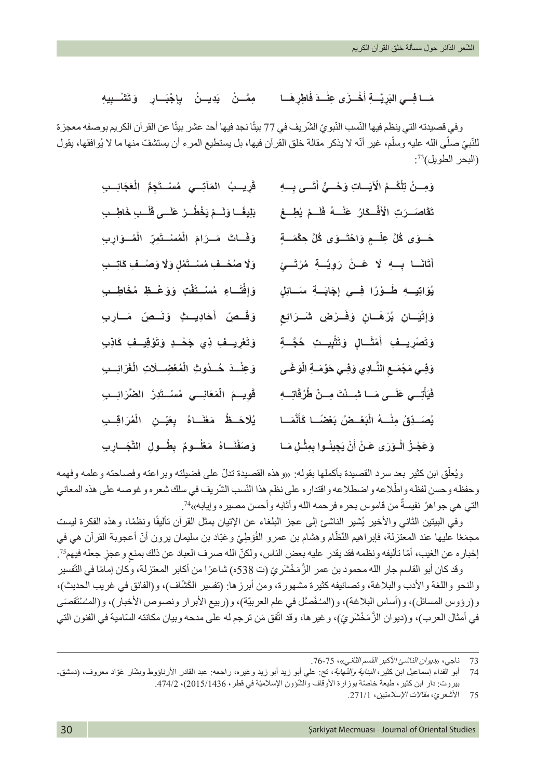### **َ ِ اطِر َهـــا َ ْخ َ ـــز ِى عْن َ ـــد ف َّ ِ ـــة أ َِري ِـــي الب** مَسَا فِسِي الْبَرِيَّسَةِ أَخْسَرُى عِنْسَدَ فَاطِرِهُسَا ۖ مِمَّسْنُ ۖ يَدِيسُنُ ۖ بِإِجْبَسَارٍ ۖ وَتَتَنْسبِيهِ

وفي قصيدته التي ينظم فيها النّسب النّبويّ الشّريف في 77 بيتًا نجد فيها أحد عشر بيتًا عن القر آن الكريم بوصفه معجزة ֧֦֧ׅ֧֪ׅ֧֡֡֡֡֡֡֡֡֬֜֓֓<u>֚</u> للَّنبيّ صلَّى الله عليه وسلَّم، غير أنّه لا يذكر مقالة خلق القرآن فيها، بل يستطيع المرء أن يستشفّ منها ما لا يُوافقها، يقول ֧֖֖֖֖֚֚֚֚֚֚֚֚֚֚֡֝<br>֧֚֚֚֝ : )البحر الطويل(<sup>73</sup>

| قَرِيسِبُ المَآتِسِي مُسْسَتَجِمُّ الْعَجَائِسِبِ         | وَمِسنْ تِلْكُسمُ الْآيَساتِ وَهُسيٍّ أَتَسى بِسِهِ            |
|-----------------------------------------------------------|----------------------------------------------------------------|
| بَلِيغًــا وَلَــمْ يَخْطُــرْ عَلَــى قَلْــبِ خَاطِــبِ | تَقَاصَــرَتِ الْأَفْــكَارُ ۚ عَنْـــهُ ۖ فَلَـــمْ يُطِـــعْ |
| وَفَسَاتَ مَسرَامَ الْمُسْتَمِرِّ الْمُسوَارِبِ           | حَــوَى كُلَّ عِلْــمٍ وَاحْتَــوَى كُلَّ حِكْمَــةٍ           |
| وَلَا صُحْسَفٍ مُسْــتَمْلٍ وَلَا وَصْــفٍ كَاتِــبِ      | أَتَانَـا بِـهِ لَا عَـنْ رَوِيَـةِ مُرْتَـ <i>ئٍ</i>          |
| وَإِفْتَـاءِ مُسْـتَفْتٍ وَوَعْـظِ مُخَاطِـبِ             | يُوَاتِيــهِ طَــوْرًا فِــي إِجَابَــةِ سَــائِلٍ             |
| وَقَصِنَ أَحَادِيتٍ وَنَصصِنَ مَسَآرِبِ                   | وَإِتَّيَـانِ بُرْهَـانٍ وَفَـرْضِ شَـرَائِعِ                  |
| وَتَعْرِيــفِ ذِي جَحْــدٍ وَتَوْقِيــفِ كَاذِبِ          | وَتَصْرِيـفِ أَمْثَـالٍ وَتَثْبِيـتِ حُجَّـةٍ                  |
| وَعِنْسَدَ حُسدُوتِ الْمُعْضِسلَاتِ الْغَرَائِسِبِ        | وَفِي مَجْمَعِ النَّـادِي وَفِي حَوْمَـةِ الْوَغَـى            |
| قَوِيسِمَ الْمَعَانِسِي مُسْسَثَرِزً الضَّرَائِسِبِ       | فَيَأْتِسِي عَلَسى مَسا شِسنْتَ مِسنْ طُرُقَاتِسِهِ            |
| يُلَاحَــظُ مَعْنَــاهُ بِعَيْــنِ الْمُرَاقِــبِ         | يُصَـدِّقُ مِنْــهُ الْبَعْــضُ بَعْضَــا كَأَنَّمَــا         |
| وَصَفْنَــاهُ مَعْلُــومٌ بِطُــولِ التَّجَــارِبِ        | وَعَجْـزُ الْـوَرَى عَـنْ أَنْ يَجِينُـوا بِمِثْـلِ مَـا       |

ويُعلّق ابن كثير بعد سرد القصيدة بأكملها بقوله: «وهذه القصيدة تدلّ على فضيلته وبراعته وفصاحته وعلمه وفهمه وحفظه وحسن لفظه واطّلاعه واضطلاعه واقتدار ه على نظم هذا النّسب الشّريف في سلك شعر ه و غوصه على هذه المعاني التي هي جواهرُ نفيسةٌ من قاموس بحره فرحمه الله وأثابه وأحسن مصيره وإيابه»?.

وفي البيتين الثانـي والأخير يُشير النـاشـئ إلـى عـجز البلـغاء عن الإتيان بمثل القرآن تأليفًا ونظمًا، وهذه الفكرة ليست مجمَعًا عليها عند المعتزلة، فابِراهيم النّظّام وهشام بن عمرو الفُوَطِيّ وعَبّاد بن سليمان يرون أنّ أعجوبة القرآن هي في ُ إخباره عن الغيب، أمّا تأليفه ونظمه فقد يقدر عليه بعض الناس، ولكنّ الله صرف العباد عن ذلك بمنعٍ وعجزٍ جعله فيهم75

وقد كان أبو القاسم جار الله محمود بن عمر الزَّمَخْشَرِيّ (ت 538ه) شاعرًا من أكابر المعتزلة، وكان إمامًا في التّفسير والنحو واللغة والأدب والبلاغة، وتصانيفه كثيرة مشهورة، ومن أبرزها: (تفسير الكَشّاف)، و(الفائق في غريب الحديث)، و(رؤوس المسائل)، و(أساس البلاغة)، و(المـُفَصَّل في علم العربيّة)، و(ربيع الأبرار ونصوص الأخبار)، و(المسْتَقصَى ّفي أمثال العرب)، و(ديوان الزَّمَخْشَرِيّ)، وغيرها، وقد اتّفق مَن ترجم له على مدحه وبيان مكانته السّامية في الفنون التي

<sup>73</sup> ناجي، «ديوا*ن الناشئ الأكبر القسم الثاني»،* 75-76.

<sup>74</sup> أبو الفداء إسماعيل ابن كثير، *البداية والنّهاية*، نتح: علي أبو زيد وغيره، راجعه: عبد القادر الأرنـاؤوط وبشّار عَوّاد معروف، (دمشق-بيروت: دار ابن كثير، طبعة خاصّة بوزارة الأوقاف والشَّؤون الإسلاميّة في قطر، 2015/1436(2016)، 474/2.

<sup>75</sup> ّ األشعري، مقاالت اإلسالميّين، .271/1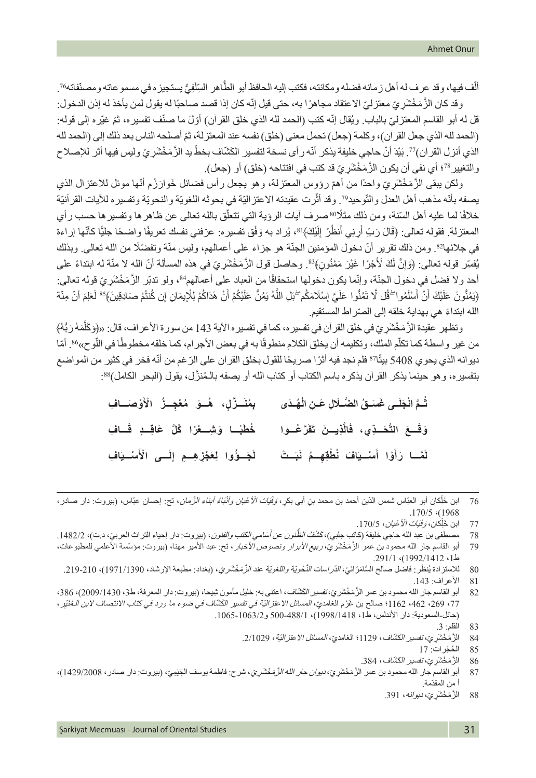ألّف فيها، وقد عرف له أهل زمانه فضله ومكانته، فكتب إليه الحافظ أبو الطّاهر السِّلَفِيُّ يستجيزه في مسمو عاته ومصنّفاته<sup>76</sup>. وقد كان الزّمَخْشَرِ يّ معتزليّ الاعتقاد مجاهرًا به، حتى قيل إنّه كان إذا قصد صاحبًا له يقول لمن يأخذ له إذن الدخول: قل له أبو القاسم المعتزليّ بالباب. ويُقال إنّه كتب (الحمد لله الذي خلق القرآن) أوّلَ ما صنّف تفسيره، ثمّ غيّره إلى قوله: (الحمد لله الذي جعل القر آن)، وكلمة (جعل) تحمل معنى (خلق) نفسه عند المعتز لة، ثمّ أصلحه الناس بعد ذلك إلى (الحمد لله الذي أنزل القرآن)77. بَيْدَ أنّ حاجي خليفة يذكر أنّه رأى نسخة لتفسير الكَشّاف بخطّ يد الزَّمَخْشَر يّ وليس فيها أثر للإصلاح والتغيير <sup>78</sup>؛ أي نفى أن يكون الزَّمَخْشَر يّ قد كتب في افتتاحه (خلق) أو (جعل).

ولكن بيقى الزّمَخْشَرِيّ واحدًا من أهمّ رؤوس المعتزلة، وهو يجعل رأس فضائل خَوارَزْم أنّها موئل للاعتزال الذي يصفه بأنّه مذهب أهل العدل والنّوحيد?". وقد أثّرت عقيدته الاعتز اليّة في بحوثه اللغويّة والنحويّة وتفسيره للأيات القرآنيّة خلافًا لما عليه أهل السّنة، ومن ذلك مثلّا<sup>80</sup>صرف آيات الرؤية التي تتعلَّق بالله تعالى عن ظاهر ها وتفسير ها حسب رأي المعتزلة. فقوله تعالى: ﴿قَالَ رَبِّ أُرنِي أَنظُرْ إِلَيْكَ﴾ا<sup>8</sup>، يُراد به وَفْق تفسيره: عرّفني نفسك تعريفًا واضحًا جليًّا كأنّها إراءة ِل َ في جلائها<sup>8</sup>2. ومن ذلك تقرير أنّ دخول المؤمنين الجنّة هو جزاء على أعمالهم، وليس منّة وتفضّلًا من الله تعالى. وبذلك يُفسِّر قوله تعالى: ﴿وَإِنَّ لَكَ لَأَجْرًا غَيْرَ مَمْنُونٍ﴾3°. وحاصل قول الزَّمَخْشَرِيّ في هذه المسألة أنّ الله لا منّة له ابتداءً على أحد ولا فضل في دخول الجنّة، وإنّما يكون دخولها استحقاقًا من العباد على أعمالهم84، ولو تدبّر الزّمَخْشَرِيّ قوله تعالى: (بَمُنُّونَ عَلَيْكَ أَنْ أَسْلَمُو ا<sup>ِس</sup>ْقُل لَّا تَمُنُّو ا عَلَيَّ إِسْلَامَكُم<sup>ِ س</sup>َبْلِ اللَّهُ يَمُنُّ عَلَيْكُمْ أَنْ هَدَاكُمْ لِلْإِيمَانِ إِن كُنتُمْ صَادِقِينَ﴾<sup>85</sup> لَعَلِمَ أنّ مِنّة َٔ<br>ا ؚ<br>ا ً الله ابتداء ّ هي بهداية خلقه إلى الصراط المستقيم.

وتظهر عقيدة الزّمَخْشَر يّ في خلق القر أن في تفسيره، كما في تفسيره الآية 143 من سورة الأعراف، قال: «﴿وَكَلْمَهُ رَبُّهُ ﴾ َّ من غير واسطة كما تكلّم الملك، وتكليمه أن يخلق الكلام منطوقًا به في بعض الأجرام، كما خلقه مخطوطًا في اللّوح»<sup>86</sup>. أمّا ديوانه الذي يحوي 5408 بيثًا<sup>87</sup> فلم نجد فيه أثرًا صريحًا للقول بخلق القر أن على الرّ غم من أنّه فخر في كثير من المواضع بتفسير ه، و هو حينما يذكر القرآن يذكر ه باسم الكتاب أو كتاب الله أو يصفه بالـمُنزَّ ل، يقول (البحر الكامل)88:

> ثُمَّ انْجَلَـ*ى* غَسَـقُ الضَّـلَالِ عَـنِ الْهُـدَى بِمُنَــزَّلٍ، هُــوَ مُعْجِــزُ الْأَوْصَـــافِ بِمُثَــزّلٍ، هُــوَ مُعْجِــزُ الْأ **َ َّر ُعـــوا َف َِّذ َ يـــن ت َال َّ َح ِّ ـــدي، ف َ**وَقَــعَ التَّحَــدِّي، فَالَّذِيــنَ تَفَرَّعُــوا خُطْبَــا وَشِــعْرًا كُلَّ عَاقِــدٍ قَــاف لَمَّـا رَأَوْا أَسْــيَافَ تُطْقِهِـمُ نَبَــتْ لَجَــوُوا لِعَجْزِهِــمِ إلَــى الْأَسْــيَ **ََ**مَّـا رَأَوْا أَسْــيَافَ نُطْقِهِـمُ نُبَــتْ لَجَــوُوا لِعَجْزِهِــمِ إِلَــى الْأَسْــيَافِ

- 77 ابن خَلِكان، *وَفَيَات الأَعْيان*، 170/5. ֖֖֖֖֧֖֧֚֚֚֚֚֚֚֚֚֚֚֚֚֚֚֚֞֝֡֡֡֬֝<u>֚</u>
- 78 مصطفى بن عبد الله حاجي خليفة (كاتب جلبي)، كَشْفُ *الظُّنون عن أسَامي الكتب والفنون*، (بيروت: دار إحياء النراث العربيّ، د.ت)، 1482/2.
- 79 أبو القاسم جار الله محمود بن عمر الزَّمَخْشَريّ، *ربيع الأبرار ونصوص الأخبار*، تح: عبد الأمير مهنا، (بيروت: مؤسّسة الأعلمي للمطبوعات، ط،1 1992/1412(، .291/1
	- 80 للاستزادة يُنظَر: فاضل صالح السَّامَرَ ال*يَّ، الذَراسات النَّحْويّة واللغويّة عند الزَّمَخْشَرِيّ،* (بغداد: مطبعة الإرشاد، 1971/1390)، 219-210.
		- 81 األعراف: .143
- 82 أبو القاسم جار الله محمود بن عمر الزَّمَخْشَريَ، *تفسير الكَشَّاف*، اعتنى به: خليل مأمون شيحا، (بيروت: دار المعرفة، ط3، 2009/1430)، 386، 77، 269- 1162؛ 162 صالح بن غَرْم الغامديّ، المسائل الاعتزاليّة في تفسير الكَشّاف في ضوء ما ورد في كتاب الانتصاف لابن الـمُنَيّر ، )حائل-السعودية: دار األندلس، ط،1 1998/1418(، 500-488/1 و.1065-1063/2
	- 83 القلم: .3
	- 84 الزَّمَخْشَرِيّ، تفسير الكَشَاف، 1129؛ الغامديّ، المسائل الاعتزاليّة، 2/1029.
		- 85 ُ الح ُجرات: 17
		- 86 الزَّمَخْشَرِ *يِّ، تفسير الكَشَّاف،* 384.<br>87 أبو القاسم جار الله محمود بن عمر ا
- 87 أبو القاسم جار الله محمود بن عمر الزَمَخْشَرِيّ، *ديوان جار الله الزَّمَخْشَرِيّ*، شرح: فاطمة يوسف الخِيَمِيّ، (بيروت: دار صادر، 1429/2008)، أ من المقدّمة.
	- 88 أَ الزَّمَخْشَر يِّ، *ديوانه*، 391.

<sup>76</sup> ابن خَلِّكان أبو العبّاس شمس الدّين أحمد بن محمد بنِ أب*ي بكرٍ ، وَفَيَلت الأُعْيان وأنْبَاءُ أبناءِ الزّمان*، تح: إحسان عبّاس، (بيروت: دار صادر، ֖֖֖֖֖֧֖֧֚֚֚֚֚֚֚֚֚֚֚֚֚֚֚֚֚֚֚֚֡֝<u>֓</u>  $.170/5$  (1968)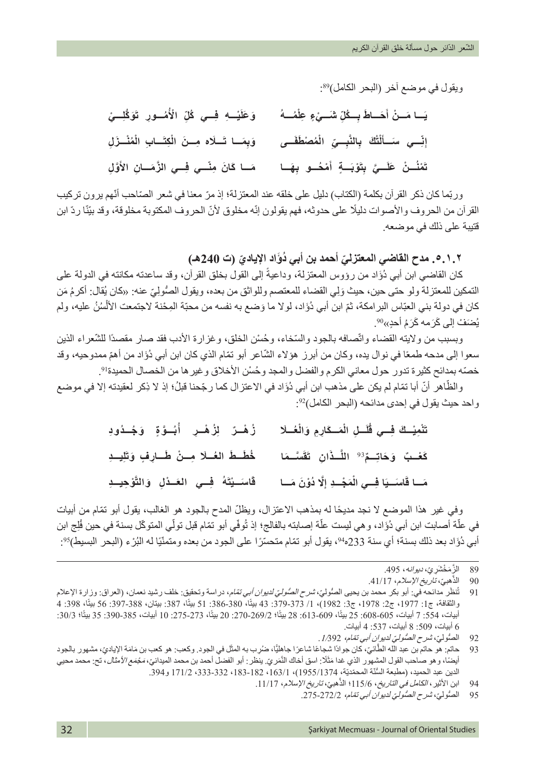ويقول في موضع اخر (البحر الكامل)89:

| وَعَلَيْــهِ فِــي كُلِّ الْأُمُــورِ تَوَكَٰلِــيْ | يَــا مَــنْ أَحَــاطَ بِــكُلِّ شَــيْءٍ عِلْمُـــهُ                                                           |
|-----------------------------------------------------|-----------------------------------------------------------------------------------------------------------------|
|                                                     | إنِّسِي سَــأَلْتُكَ  بِالنَّبِــيِّ  الْمُصْطَفَــي       وَبِمَــا تَــلَاه مِــنَ الْكِتَــابِ الْمُنْــزَلِ |
|                                                     | تَنْنُــنْ عَلَــيَّ بِتَوْبَــةٍ أَمْحُــو بِهَــا     مَــا كَانَ مِنْــي فِــي الزَّمَــانِ الأَوّلِ         |

وربّما كان ذكر القرآن بكلمة (الكتاب) دليل على خلقه عند المعتزلة؛ إذ مرّ معنا في شعر الصّاحب أنّهم برون تركيب القرآن من الحروف والأصوات دليلًا على حدوثه، فهم يقولون إنّه مخلوق لأنّ الحروف المكتوبة مخلوقة، وقد بيّنّا ردّ ابن قتيبة على ذلك في موضعه.

**يادي )ت 240هـ( ّ .٥.١.٢ مدح القاضي المعتزلي ُ أحمد بن أبي د َؤاد اإل ّ**

كان القاضـي ابن أبـي دُوَّاد من رؤوس المعتزلة، وداعيةً إلى القول بـخلق القرآن، وقد ساعدته مكانته في الدولة على التمكين للمعتزلة ولو حتى حين، حيث وَلِّي القضاء للمعتصم وللواثق من بعده، ويقول الصُّولِيّ عنه: «كان يُقال: أكرمُ مَن **ٔ** ْكان في دولة بني العبّاس البرامكة، ثمّ ابن أبي دُوَاد، لولا ما وَضع به نفسه من محبّة المِحْنة لاجتمعت الألسُنُ عليه، ولم يُّصَفُّ إلى كَرَمه كَرَمُ أَحدٍ»<sup>90</sup>.

وبسبب من ولايته القضاء واتّصافه بالجود والسّخاء، وحُسْن الخلق، وغزارة الأدب فقد صار مقصدًا للشّعراء الذين سعوا إلى مدحه طمعًا في نوال يده، وكان من أبرز هؤلاء الشّاعر أبو تمّام الذي كان ابن أبي دُؤَاد من أهمّ ممدوحيه، وقد خصّه بمدائح كثيرة تدور حول معاني الكرم والفضل والمجد وحُسْن الأخلاق وغير ها من الخصـال الحميدة<sup>91</sup>.

والظّاهر أنّ أبا تمّام لم يكن على مذهب ابن أبي دُوَّاد في الاعتزال كما رجّحنا قبلُ؛ إذ لا ذِكر لعقيدته إلا في موضع واحد حيث يقول في إحدى مدائحه (البحر الكامل)<sup>92</sup>:

| تَنْمِيْـكَ فِــي قُلَــلِ الْمَــكَارِمِ وَالْعُــلَا         زُهْــرٌ     لِزُهْــرِ     أُبُــوَّ وَ جُــدُودِ      |  |
|------------------------------------------------------------------------------------------------------------------------|--|
| كَعْـبٌ وَحَاتِـمٌ <sup>93</sup> اللَّـذَانِ تَقَسَّـمَا      خُطَـطَ العُـلَا مِــنْ طَــارِفٍ وَتَلِيــدِ            |  |
| مَــا قَاسَــيَا فِـــي الْمَجْــدِ إِلَّا دُوْنَ مَـــا        قَاسَــيْتَهُ   فِـــي   العَــدْلِ   وَالتَّوْجِيــدِ |  |

وفي غير هذا الموضع لا نجد مديحًا له بمذهب الاعتزال، ويظلّ المدح بالجود هو الغالب، يقول أبو تمّام من أبيات في علّة أصـابت ابن أبي دُوَّاد، و هي ليست علّة إصـابته بالفالج؛ إذ تُوفّي أبو تمّام قبل تولّي المتوكّل بسنة في حين فُلِج ابن ا<br>المسلمانية<br>المسلمانية أبي دُوَّاد بعد ذلك بسنة؛ أي سنة 233ه<sup>وم</sup>، يقول أبو تمّام متحسّرًا على الجود من بعده ومتمنّيًا له البُرْ ، (البحر البسيط)<sup>95</sup>:

<sup>89</sup> الزَّمَخْشَر يِّ، *ديوانه*، 495.

<sup>َّ</sup>الذَهبيِّ، تاريخ الإسلام، 41/17. 90 الذ

نظُر مدائحه في: أبو بكر محمد بن يحيى الصُّوليّ، *شرح الصُّوليّ لديوان أبي تمّا*م، در اسة وتحقيق: خلف رشيد نعمان، (العراق: وزارة الإعلام 91 ت والثقافة، ج1: 1977، ج3: 1982) ، 1/ 373-379: 43 بيتًا، 380-386: 51 بيتًا، 387: بيتان، 388-397: 56 بيتًا، 398: 4 أبيات، 554: 7 أبيات، 605-608: 25 بيتًا، 609-613: 28 بيتًا؛ 270-275، 272-275، 10 أبيات، 385-390: 35 بيتًا؛ 30/3: 6 أبيات، :509 8 أبيات، :537 4 أبيات.

<sup>92</sup> الصنُّوليّ، *شرح الصُّوليّ لديوان أبي تمّام، 1/*392 .<br>93 حاتم: هو حاتم بن عبد الله الطَّائيّ، كان جو ادًا شجاءُ

<sup>َ</sup>93 حاتم: هو حاتم بن عبد الله الطَّائيّ، كان جوادًا شيجاعًا شاعرًا جاهليًّا، ضرُرب به المثّل في الجود. وكعب: هو كعب بن مَامَة الإياديّ، مشهور بالجود َّأيضًا، وهو صاحب القول المشهور الذي غدا مَثَلًا: اسق أخاك النَّمَريّ. ينظر: أبو الفضل أحمد بن محمد الميدانيّ، *مَجْمَع الأمثال*، تح: محمد محيي الدين عبد الحميد، (مطبعة السُّنَّة المحمّديّة، 1953/1374)، 163/1 182-333 182-333 171/2 و 394.

<sup>َّ</sup>94 ابن الأثير ، *الكامل في التاريخ* ، 115/6؛ الذهبيّ، *تاريخ الإسلام* ، 11/17.

<sup>95 ﴾</sup> الصنُّوليّ، شرح الصُّوليّ لديوان أبي تمّام، 272/2-275.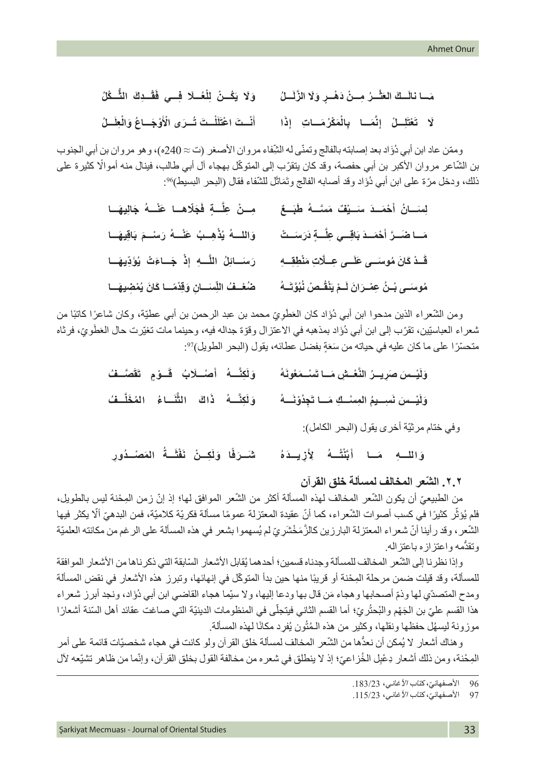| مَــا نالَــكَ العَثْــرُ مِــنْ دَهْــرٍ وَلَا الزَّلَـــلُ        وَلَا يَكْــنُ  لِلْعُــلَا فِــي فَقْــدِكَ  الثُّــكُلُ      |  |
|------------------------------------------------------------------------------------------------------------------------------------|--|
| لَا    تَعْتَلِــلْ    إِنَّمَــا     بِالْمَكْرُمَــاتِ     إِذْا          أَنْــتَ اعْتَلَلْـتَ تُــرَى الْأؤجَــاغَ وَالْطِــلُ |  |

وممّن عاد ابن أبي دُوَّاد بعد إصابته بالفالج وتمنّى له الشِّفاء مروان الأصغر (ت ≈ 240ه)، وهو مروان بن أبي الجنوب بن الشّاعر مروان الأكبر بن أبي حفصة، وقد كان يتقرّب إلى المتوكّل بهجاء آل أبي طالب، فينال منه أموالًا كثيرة على ذلك، ودخل مرّة على ابن أبي دُوَّاد وقد أصابه الفالج وتَمَاثَل للشّفاء فقال (البحر البسيط)%:

| مِـنْ عِلَّـةٍ فَجَلَاهـا عَنْــهُ جَالِيهَـا          | لِسَـانُ أَهْمَــدَ سَـَـيْفٌ مَسَّــهُ طَبَــعٌ        |
|--------------------------------------------------------|---------------------------------------------------------|
| وَاللَّـــهُ يُذْهِــبُ عَنْـــهُ رَسْــمَ بَاقِيهَــا | مَسَا صَمَـرَّ أَحْمَـدَ بَاقِــي عِلَّـــةٍ دَرَسَــتْ |
| رَسَـائِلُ اللَّـهِ إِذْ جَـاءَتْ يُؤَدِّيهَـا         | قَسدْ كَانَ مُوسَسى عَلَسى عِسلَاتِ مَنْطِقِسِهِ        |
| ضُعْـفُ اللِّسَــانِ وَقِدْمًــا كَانَ يُمْضِيهَــا    | مُوسَـى بْـنُ عِمْـرَانَ لَـمْ يَنْقُـصْ نُبُوَّتَــهُ  |

ومن الشُّعراء الذين مدحوا ابن أبي دُوَّاد كان العَطُوِيّ محمد بن عبد الرحمن بن أبي عطيّة، وكان شاعرًا كاتبًا من ثىعراء العباستِين، تقرّب إلى ابن أبي دُوًاد بمذهبه في الاعتزال وقوّة جداله فيه، وحينما مات تغيّرت حال العَطُويّ، فرثاه متحسَّرًا على ما كان عليه في حياته من سَعَةٍ بفضل عطائه، يقول (البحر الطويل)??.

> **ُ َهُون َ ْس َ ـــمع َّ ْع ِ ـــش َ مـــا ت** وَلَيْسسَ صَرِيسرُ النَّعْسشِ مَسا تَسْسَمَعُونَهُ وَلَكِنَّسهُ أَصْسلَابُ قَسوْمٍ تَقَصَّسفُ **َُ** وَلَيْــسَ نَسِــيمُ المِسْــكِ مَــا تَجِدُوْنَـــهُ وَلَكِنَـــهُ ذَاكَ التَنَــاءُ المُخَلَــفُ وَلَكِنَّــهُ ۖ ذَٰاكَ الثَّنَــاءُ المُخَلِّ

> > وفي ختام مرثيّة أخرى يقول (البحر الكامل):

**ُ** وَاللــهِ مَــا أَبَنْتُــهُ لِأَزِيــدَهُ ثمَــرَفًا وَلَكِــنْ نَفْشَــةً المَصنْــدُورِ **ُ**شَــرَفَا وَلَٰكِــنْ نَفْثَــةُ **ً**

## **٢.٢ ّ . الشعر المخالف لمسألة خلق القرآن**

من الطبيعيّ أن يكون الشّعر المخالف لهذه المسألة أكثر من الشّعر الموافق لها؛ إذ إنّ زمن المِحْنة ليس بالطويل، فلم يُوَثِّر كثيرًا في كسب أصوات الشّعر اء، كما أنّ عقيدة المعتزلة عمومًا مسألة فكريّة كلاميّة، فمن البدهيّ ألّا يكثر فيها .<br>ا الشّعر ، وقد رأينا أنّ شعراء المعتزلة البارزين كالزَّمَخْشَرِيّ لم يُسهموا بشعر في هذه المسألة على الرغم من مكانته العلميّة وتقدُّمه واعتزازه باعتزاله.

وإذا نظرنا إلى الشّعر المخالف للمسألة وجدناه قسمين؛ أحدهما يُقابل الأشعار السّابقة التي ذكرناها من الأشعار الموافقة للمسألة، وقد قيلت ضمن مرحلة المِحْنة أو قريبًا منها حين بدأ المتوكّل في إنهائها، وتبرز هذه الأشعار في نقض المسألة ومدح المتصدّي لها وذمّ أصحابها وهجاء مَن قال بها ودعا إليها، ولا سيّما هجاء القاضي ابن أبي دُؤَاد، ونجد أبرز شعراء هذا القسم عليّ بن الجَهْم والبُحثُر يَ؛ أما القسم الثاني فيتجلّى في المنظومات الدينيّة التي صـاغت عقائد أهل السّنة أشعارًا ُموزونة ليسهُل حفظها ونقلها، وكثير من هذه الـمُتُون يُفرِد مكانًا لمهذه المسألة.

و هناك أشعار لا يُمكن أن نعدَّها من الشُّعر المخالف لمسألة خلق القرآن ولو كانت في هجاء شخصيّات قائمة على أمر المِحْنة، ومن ذلك أشعار دِعْبِل الخُزاعيّ؛ إذ لا ينطلق في شعره من مخالفة القول بخلق القرآن، وإنّما من ظاهر تشيّعه لأل

<sup>96</sup> الأصفهانيّ، كتاب الأغاني، 183/23.<br>97 الأصفهانيّ، كتاب الأغاني، 115/23.

الأصفهانيّ، كتاب الأغاني، 115/23.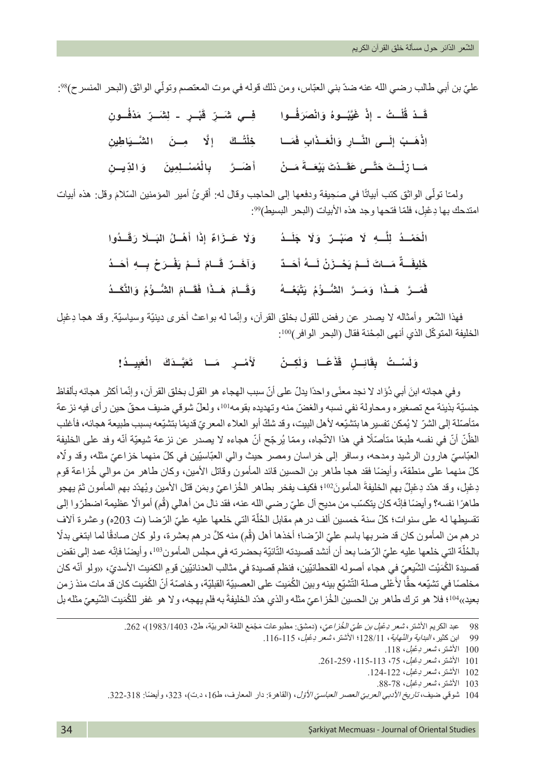عليّ بن أبي طالب رضـي الله عنه ضدّ بني العبّاس، ومن ذلك قوله في موت المعتصم وتولّي الواثق (البحر المنسر ح)%.

|  | قَـذ قُلْـتُ - إذْ غَيَّبُــوهُ وَانْصَرَفْــوا      فِــي شَــرِّ قَبْــرٍ - لِشَــرِّ مَدْفُــونِ            |
|--|----------------------------------------------------------------------------------------------------------------|
|  |                                                                                                                |
|  | مَـا زِلْــتَ حَتَّــى عَقَــدْتَ بَيْعَــةَ مَــنْ         أَصْــرَ      بِالْمُسْــلِمِينَ      وَالدِّيــنِ |

ولمـّا تولَّى الواثق كتب أبياتًا في صَحِيفة ودفعها إلى الحاجب وقال له: أُقرئْ أمير المؤمنين السّلامَ وقل: هذه أبيات ًَامتدحك بـها دِعْبِل، فلمّا فتحـها وجد هذه الأبيات (البحر البسيط)99.

| وَلَا عَـزَاءً إِذَا أَهْـلُ البَــلَا رَقَــدُوا   | الْحَمْــدُ لِلَّـــهِ لَا صَبْــرٌ وَلَا جَلَــدُ            |
|-----------------------------------------------------|---------------------------------------------------------------|
| وَآخَــرٌ قَــامَ لَــمْ يَفْــرَحْ بِــهِ أَحَــدُ | خَلِيفَــةٌ مَــاتَ لَــمْ يَحْــزَنْ لَـــهُ أَحَــدٌ        |
| وَقَـامَ هَـذَا فَقَـامَ الشُّـوُّمُ وَالنَّكَـدُ   | فَمَــرَّ   هَــذَا   وَمَــرَّ   الشُّــوّْمُ   يَتْبَعُــهُ |

فهذا الشُّعر وأمثاله لا يصدر عن رفض للقول بخلق القرآن، وإنّما له بواعث أخرى دينيّة وسياسيّة. وقد هجا دِعْلٍل الخليفة المتوكّل الذي أنهى المِحْنة فقال (البحر الوافر)100:

### وَلَسْـتُ بِقَانِـلٍ قَذْعَـا وَلَكِـنْ لأَمْـرِ مَـا تَعَبَّـذَكَ الْعَبِيـدُ! **َ**

وفي هجائه ابنَ أبي دُوَّاد لا نجد معنًى واحدًا بدلّ على أنّ سبب الهجاء هو القول بخلق القرآن، وإنّما أكثر هجائه بألفاظ جنسيّة بذيئة مع تصغيره ومحاولة نفي نسبه والغضّ منه وتهديده بقومه! 10، ولعلّ شوقي ضيف محقّ حين رأى فيه نزعة متأصّلة إلى الشرّ لا يُمكن تفسير ها بتشيّعه لأهل البيت، وقد شكّ أبو العلاء المعريّ قديمًا بتشيّعه بسبب طبيعة هجائه، فأغلب الظّنّ أنّ في نفسه طبعًا متأصّلًا في هذا الاتّجاه، وممّا يُرجّح أنّ هجاءه لا يصدر عن نزعة شيعيّة أنّه وفد على الخليفة العبّاسيّ هارون الرشيد ومدحه، وسافر إلى خراسان ومصر حيث والي العبّاسيّين في كلّ منهما خزاعيّ مثله، وقد ولّاه كلّ منهما على منطقة، وأيضًا فقد هجا طاهر بن الحسين قائد المأمون وقاتل الأمين، وكان طاهر من موالي خُزاعة قوم دِعْنِل، وقد هدّد دِعْنِلٌ بهم الخليفةَ المأمونَ<sup>02</sup>!؛ فكيف يفخر بطاهر الخُزاعيّ وبمَن قتل الأمين ويُهدّد بهم المأمون ثمّ يهجو طاهرًا نفسه؟ وأيضًا فإنّه كان يتكسّب من مديح آل عليّ رضيي الله عنه، فقد نال من أهالي (قُم) أموالًا عظيمة اضطرّوا إلى ֖֖֖֖֖֖֖֖֖֧֚֚֚֚֚֚֚֚֚֚֚֚֚֚֚֚֚֡֬<u>֚</u> تقسيطها له على سنوات؛ كلّ سنة خمسين ألف در هم مقابل الحُلّة التي خلعها عليه عليّ الرّضا (ت 203ه) وعشرة ألاف در هم من المأمون كان قد ضربها باسم عليّ الرّضا؛ أخذها أهل (قُم) منه كلَّ در هم بعشرة، ولو كان صادقًا لما ابتغي بدلًا بالحُلّة التي خلعها عليه عليّ الرّضا بعد أن أنشد قصيدته التّانيّة بحضرته في مجلس المأمون<sup>103</sup>، وأيضًا فإنّه عمد إلى نقض ֖֖֖֖֖֖֚֚֚֚֚֚֚֚֚֡֬ قصيدة الكُمَيْت الشّيعِيّ في هجاء أصوله القحطانيّين، فنظم قصيدة في مثالب العدنانيّين قومِ الكمَيت الأسديّ، «ولو أنّه كان مخلصًا في تشيّعه حقًّا لأُعْلى صلة التّشيّع بينه وبين الكُمَيت على العصبيّة القبليّة، وخاصّة أنّ الكُمَيت كان قد مات منذ زمن بعيد»<sup>104</sup>؛ فلا هو ترك طاهر بن الحسين الخُز اعيّ مثله والذي هدّد الخليفةَ به فلم يهجه، ولا هو غفر للكُمَيت الشّيعيّ مثله بل

98 عبد الكريم الأشنر ، *شعر دِعْبِل بن عليّ الخُزاعيّ* ، (دمشق: مطبوعات مَجْمَع اللغة العربيّة، ط2، 1983/1403)، 262.

103 الأشتر، *شعر دِعْبِل،* 78-88.

104 شوقي ضيف، *تاريخ الأدبي العربيّ العصر العباسيّ الأوّل*، (القاهرة: دار المعارف، ط16، د.ت)، 323، وأيضًا: 318-322.

<sup>99</sup> ابن كثير ، *البداية والنّهاية* ، 128/11؛ الأشتر ، *شعر دِعْلِ* ، 115-116.

<sup>100</sup> الأشتر، *شعر دِعْلِ،* 118.

<sup>101</sup> الأشتر، *شعر دِعْبِل، 7*5، 113-115، 259-261.

<sup>102</sup> الأشتر، *شعر دِعْلِ، 1*22-124.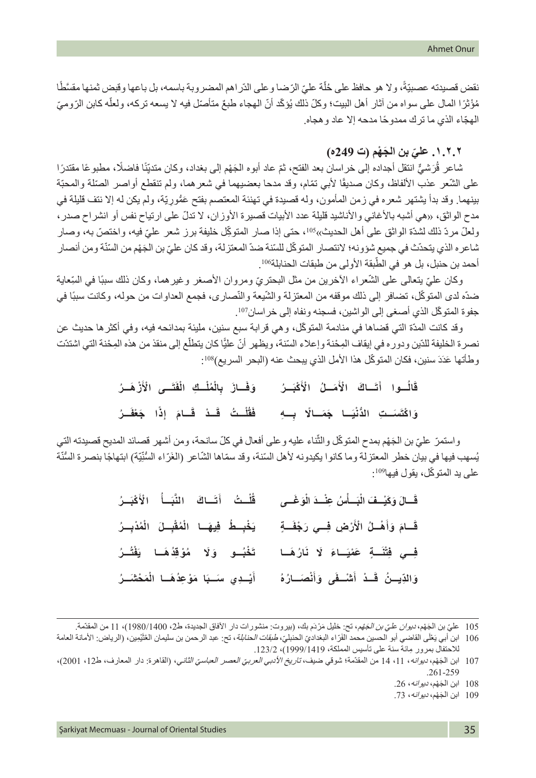֖֖֖֖֖֖֖֚֚֚֚֚֚֚֚֚֚֚֚֚֚֚֚֡֬**֚** نقض قصيدته عصبيّةً، ولا هو حافظ على حُلّة عليّ الرّضا وعلى الدّراهم المضروبة باسمه، بل باعها وقبض ثمنها مقسَّطًا ֖֖֖֖֚֚֚֚֚֚֚֚֚֚֚֚֚֚֘֝<br>֧֪֚֝֝<br>֧֚֚֚֝ ֖֖֖֖֖֧֖֧֖֚֚֚֚֚֚֚֚֚֚֚֚֚֚֚֚֚֚֚֞֝֝֬֝֝֓֞֝֬֝֓֬֝֬֝֓֬֝֬֝֬֝֓֬֝֬֝֓֬֝֬֝֓֬֝֬֝֬ مُؤْثَرًا المال على سواه من أثار أهل البيت؛ وكلّ ذلك يُؤكّد أنّ الهجاء طبعٌ متأصل فيه لا يسعه تركه، ولعله كابن الرّوميّ ّ الهج ً اء الذي ما ترك ممدوحا مدحه إال عاد وهجاه.

## **ّ .١.٢.٢ علي َ بن الج ْهم )ت 249ه(**

شاعر قُرَشْيٌّ انتقل أجداده إلى خراسان بعد الفتح، ثمّ عاد أبوه الْجَهْم إلى بغداد، وكان متديِّنًا فاضلًا، مطبوعًا مقتدرًا ֧֢ׅ֧֧֢ׅ֧֧֧֧֧֧֧֪֦֧֧֧֧֧֧֧֧֧֧֧֧֧֚֚֡֓֓֬֓֓֬֓֬֓֝֬֝֬֝֬֝֬֝֬֓֓֓֓֬֓֓֬֓֬֓֬֬֬ ُعلى الشّعر عذب الألفاظ، وكان صديقًا لأبي تمّام، وقد مدحا بعضيهما في شعر هما، ولم تنقطع أواصر الصّلة والمحبّة بينهما. وقد بدأ يشتهر شعره في زمن المأمون، وله قصيدة في تهنئة المعتصم بفتح عَمَّوريّة، ولم يكن له إلا نتف قليلة في مدح الواثق، «هي أشبه بالأغاني والأناشيد قليلة عدد الأبيات قصيرة الأوزان، لا تدلّ على ارتياح نفس أو انشراح صدر ، ولعلّ مردّ ذلك لشدّة الواثق على أهل الحديث»<sup>105</sup>، حتى إذا صار المتوكِّل خليفة برز شعر عليّ فيه، واختصّ به، وصار شاعره الذي يتحدّث في جميع شؤونه؛ لانتصار المتوكّل للسّنة ضدّ المعتزلة، وقد كان عليّ بن الجَهْم من السّنّة ومن أنصار أحمد بن حنبل، بل هو في الطّبقة الأولى من طبقات الحنابلة106.

وكان عليّ يتعالى على الشُّعراء الأخرين من مثل البحتريّ ومروان الأصغر وغيرهما، وكان ذلك سببًا في السِّعاية ضدّه لدى المتوكّل، تضافر إلى ذلك موقفه من المعتزلة والنَّسْيعة والنَّصـاري، فجمع العداوات من حوله، وكانت سببًا في جفوة المتوكّل الذي أصغى إلى الواشين، فسجنه ونفاه إلى خراسان107.

وقد كانت المدّة التي قضاها في منادمة المتوكّل، و هي قر ابة سبع سنين، مليئة بمدائحه فيه، وفي أكثر ها حديث عن ֖֖֖֖֖֖֖֖֖ׅ֖֚֚֚֚֚֚֚֚֚֚֚֚֚֚֚֚֡֬**֓** نصرة الخليفة للدّين ودوره في إيقاف المِحْنة وإعلاء السّنة، ويظهر أنّ عليًّا كان يتطلع إلى منقذ من هذه المِحْنة التي اشتدّت وطأتها عَدَدَ سنين، فكان المتوكّل هذا الأمل الذي يبحث عنه (البحر السريع)108:

> **َ ُ ـــر َ ْكب َم ُ ـــل ا ْل َ َ ـــاك ا ْل َت ُـــوا أ َ**قَالُــوا أَتَــاكَ الْأَمَــلُ الْأَكْبَــرُ وَفَــازَ بِالْمُلْــكِ الْفَتَــى الْأَزْهَــرُ **ْ**

> وَاكْتَ*َم*َــٰتِ الدَّنْبَـا جَمَــالًا بِــهِ فَقَلْــتُ قَــٰدْ قَــامَ إذَا جَعْفَــرُ فَقُلْــتُ قَــدْ قَــامَ إذًا جَعْفَ **َ**

واستمرّ عليّ بن الجَهْم بمدح المتوكّل والثّناء عليه وعلى أفعال في كلّ سانحة، ومن أشهر قصائد المديح قصيدته التي يُسهب فيها في بيان خطر المعتزلة وما كانوا يكيدونه لأهل السّنة، وقد سمّاها الشّاعر (الغَرّاء السُّنِّيّة) ابتهاجًا بنصرة السُّنّة ّ على يد المتوكّل، يقول فيها109:

| قُلْتُ أَتَسَاكَ النُّبَسَأُ الْأَكْبَــرُ     | قَسالَ وَكَيْسِفَ الْبَسَلْسُ عِنْسِدَ الْوَغَسى |
|------------------------------------------------|--------------------------------------------------|
| يَخْبِطُ فِيهَا الْمُقْبِلَ الْمُدْبِسُ        | قَسَامَ وَأَهْلُ الْأَرْضِ فِسِي رَجْفَةٍ        |
| تَخْبُـو وَلَا مُوْقِدُهَـا يَقْتُـرُ          | فِــي فِتْنَــةٍ عَمْيَـاءَ لَا نَارُهَـا        |
| أَيْــدِي سَــبَا مَوْعِذُهَــا الْمَحْشَـَـرُ | وَالدِّيِــنُ قَــدْ أَشْــفَى وَأَنْصَــارُهُ   |

- 105 عليّ بن الجَهْم، *ديوان عليّ بن الجَهْ*م، تح: خليل مَرْدَم بك، (بيروت: منشورات دار الأفاق الجديدة، ط2، 1400/1980)، 11 من المقدّمة.
- 106 ابن أبي يَعْلَى القاضي أبو الحسين محمد الفَرّ اء البغداديّ الحنابليّ الحنا*بلة* ، تح: عبد الرحمن بن سليمان العُثَيْمِين، (الرياض: الأمانة العامة ِ لالحتفال بمرور مائة سنة على تأسيس المملكة، 1999/1419(، .123/2

<sup>107</sup> ابن الجَهْم، *ديوانه*، 11، 14 من المقدّمة؛ شوقي ضيف، *تاريخ الأدبي العربيّ العصر العباسيّ الثاني*، (القاهرة: دار المعارف، ط12، 2001)، .261-259

<sup>108</sup> ابن الجَهْم، *ديوانه،* 26.

<sup>109</sup> ابن الجَهْم، *ديوانه،* 73.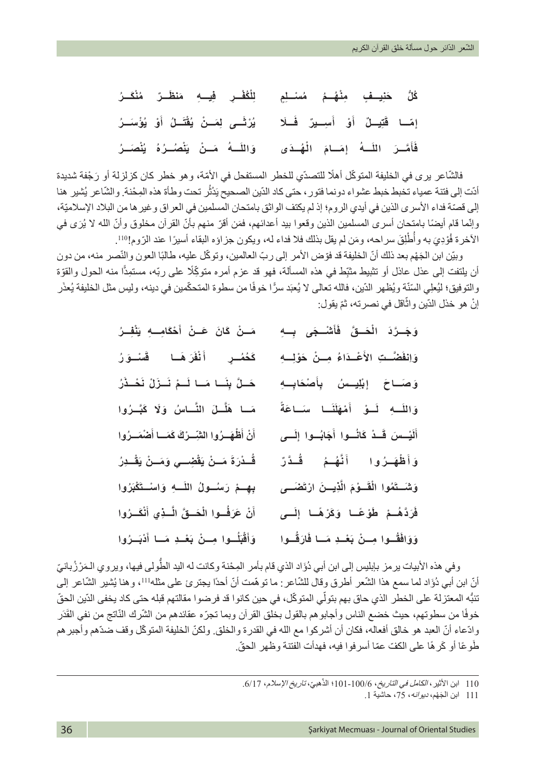**ِ ٍ يـــف ِ م ْن ُه ُ ـــم ُ م ْس ِ ـــلٍم ـــر ُ م ْن َك ُ ـــر ُك ُّل َ حن ِ ِ يـــه َ م َ نظ ٌ ْ ُكْف ِ ـــر ف ِلل** إِمَــا قَتِيــلٌ أَوْ أُسِـــيرٌ فَــلَا يُرْتَـــَى لِمَــنْ يُقَتَــلُ أَوْ يُؤْسَــرُ **ْو ي َ ُ ـــل أ ُ ْقت َ ِ ـــى ل َم ْ ـــن ي ُ ْرث ي** فَأَمَّــرَ اللَّـــهُ إمَــامَ الْهُــدَى وَاللّـــهُ مَــنْ يَتْصُــرُهُ يُتْصَــرُ **ُ ي َ ْن ُص ُ ـــره ُ َ م ْ ـــن ي َـــه**

فالشّاعر يرى في الخليفة المتوكّل أهلًا للتصدّي للخطر المستفحل في الأمّة، وهو خطر كان كزلزلة أو رَجْفة شديدة أدّت إلى فتنة عمياء تخبط خبط عشواء دونما فتور ، حتى كاد الدّين الصحيح يَدْثر تحت وطأة هذه المِحْنة. والشّاعر يُشير هنا ُإلى قصّة فداء الأسرى الذين في أيدي الروم؛ إذ لم يكتف الواثق بامتحان المسلمين في العراق و غير ها من البلاد الإسلاميّة، وإنَّما قام أيضًا بامتحان أسرى المسلمين الذين وقعوا بيد أعدائهم، فمَن أقرّ منهم بأنّ القرآن مخلوق وأنّ الله لا يُرَى في الأخرة فُوْدِيَ به وأُطْلِقَ سراحه، ومَن لم يقل بذلك فلا فداء له، ويكون جزاؤه البقاء أسيرًا عند الرّوم!1<sup>10</sup>. ∣<br>∤

وبيّن ابن الْجَهْم بعد ذلك أنّ الخليفة قد فوّض الأمر إلى ربّ العالمين، وتوكّل عليه، طالبًا العون والنّصر منه، من دون أن يلتفت إلى عذل عاذل أو تثبيط مثبِّط في هذه المسألة، فهو قد عزم أمره متوكِّلًا على ربّه، مستمِدًّا منه الحول والقوّة ّ والتوفيق؛ ليُعلِي السَنّة ويُظهر الدّين، فالله تعالى لا يُعبَد سرًّا خوفًا من سطوة المتحكّمين في دينه، وليس مثل الخليفة يُعذَر ׇ֖֖֖֖֖֖ׅ֖ׅ֚֚֚֚֚֚֚֚֚֚֚֚֚֚֚֚֚֚֚֡֡֡֬֞֟֓֞֓<u>֓</u> إنْ هو خذل الدّين واثّاقل في نصرته، ثمّ يقول:

| مَــنْ كَانَ عَــنْ أَحْكَامِـــهِ يَنْفِــرُ      | وَجَـرَٰدَ الْحَـقَّ فَأَشْـجَى بِـهِ           |
|----------------------------------------------------|-------------------------------------------------|
| كَحُصُــرٍ أَنْفَرَهَــا قَسْــوَرُ                | وَاِنْفَضَّـتِ الأَعْـدَاءُ مِــنْ حَوْلِــهِ   |
| حَـلَّ بِنَــا مَــا لَــمْ نَــزَلْ نَحْــذَرُ    | وَصَـاحَ إِبْلِيـسُ بِأَصْحَابِـهِ              |
| مَـا هَلَّـلَ النَّـاسُ وَلَا كَبَّـرُوا           | وَاللَّــهِ لَــوْ أَمْهَلَنَــا سَــاعَةً      |
| أَنْ أَظْهَــرُوا الشِّــرْكَ كَمَــا أَصْمَــرُوا | أَلَيْــسَ قَــدْ كَانُــوا أَجَابُــوا إِلَــى |
| قُــدْرَةَ مَــنْ يَقْضِــي وَمَــنْ يَقْــدِرُ    | وَأَظْهَـرُوا أَنَّهُـمُ قُـدَّرٌ               |
| بِهِــمْ رَسُــولُ اللَّــهِ وَاسْــتَكْبَرُوا     | وَشَــتَمُوا الْقَــوْمَ الَّذِيــنَ ارْتَصْــى |
| أَنْ عَرَفُوا الْحَسقَ الَّــٰذِي أَنْكَــرُوا     | فَرَدَّهُـمْ طَوْعًـا وَكَرْهًـا إِلَـى         |
| وَأَقْبَلُسوا مِسنْ بَعْسِدِ مَسا أَدْبَسرُوا      | وَوَافَقُــوا مِــنْ بَعْــدِ مَــا فَارَقُــوا |

وفي هذه الأبيات يرمز بإبليس إلى ابن أبي دُوَّاد الذي قام بأمر المِحْنة وكانت له اليد الطُّولى فيها، ويروي الـمَرْ زُبانيّ أنّ ابن أبي دُوَاد لما سمع هذا الشُّعر أطرق وقال للشَّاعر : ما توهَّمت أنّ أحدًا يجترئ على مثله'ا'، وهنا يُشير الشَّاعر إلى تنبُّه المعتزلة على الخطر الذي حاق بهم بتولّي المتوكّل، في حين كانوا قد فرضوا مقالتهم قبله حتى كاد يخفى الدّين الحقّ خوفًا من سطوتهم، حيث خضع الذاس وأجابوهم بالقول بخلق القرآن وبما تجرّه عقائدهم من الشّرك النّاتج من نفي القَدَر وادّعاء أنّ العبد هو خالق أفعاله، فكان أن أشركوا مع الله في القدرة والخلق. ولكنّ الخليفة المتوكّل وقف ضدّهم وأجبرهم طَوعًا أو كَرهًا على الكفّ عمّا أسرفوا فيه، فهدأت الفتنة وظهر الحقّ.

<sup>ّ</sup>110 ابن الأثير ، *الكامل في التاريخ*، 100/6-101؛ الذهبيّ، *تاريخ الإسلام*، 6/17.

<sup>111</sup> َ ابن الج ْهم، ديوانه، ،75 حاشية .1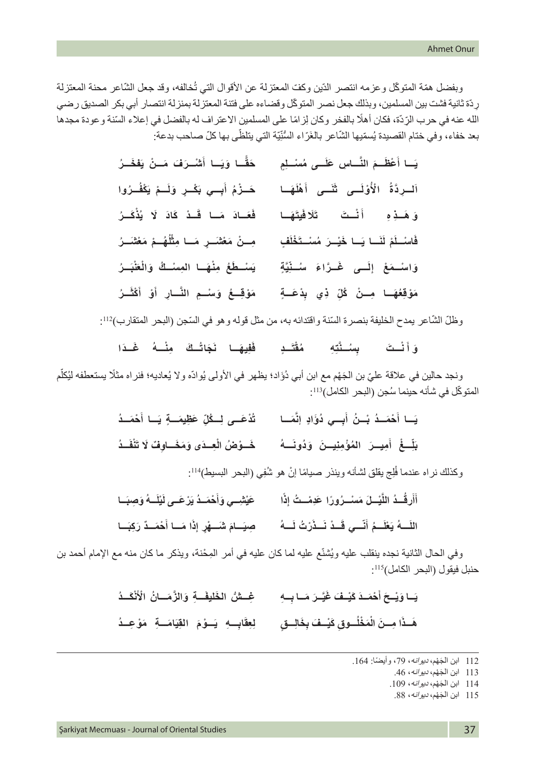وبفضل همّة المتوكّل وعزمه انتصر الدّين وكفّ المعتزلة عن الأقوال التي تُخالفه، وقد جعل الشّاعر محنة المعتزلة ِردّ ّ ة ثانية فشت بين المسلمين، وبذلك جعل نصر المتوكل وقضاءه على فتنة المعتزلة بمنزلة انتصار أبي بكر الصديق رضي الله عنه في حرب الرّدّة، فكان أهلًا بالفخر وكان لِزامًا على المسلمين الاعتراف له بالفضل في إعلاء السّنة وعودة مجدها بعد خفاء، وفي ختام القصيدة يُسمّيها الشّاعر بالغَرّاء السُّنِّيّة التي يتلظَّى بها كلّ صـاحب بدعة: ّ

| حَقًّا وَيَـا أَشْـرَفَ مَـنْ يَفْخَــرُ       | يَــا أَعْظَــمَ النَّـــاسِ عَلَـــى مُسْــلِمِ |
|------------------------------------------------|--------------------------------------------------|
| حَـزْمُ أَبِــي بَكْـرٍ وَلَــمْ يَكْفُــرُوا  | اَلْسِرِذَةُ الْأُوْلَسِي ثَنَسَى أَهْلَهَا      |
| فَعَـادَ مَـا قَـدْ كَادَ لَا يُذْكَـرُ        | وَهَـٰذِهِ أَنْـُتَ تَلَافَيتَهَـا               |
| مِسنْ مَعْتَسَرٍ مَسا مِثْلُهُـمْ مَعْتَسَرُ   | فَاسْـلَمْ لَلَـا يَـا خَيْـرَ مُسْـتَخْلَفٍ     |
| يَسْطَعُ مِنْهَـا المِسْـكُ وَالْعَنْبَـرُ     | وَاسْـمَعْ إِلَــى غَــرَّاءَ سُــنِّيَّةٍ       |
| مَوْقِــعُ وَسْــعِ النَّــارِ أَوْ أَكْثَــرُ | مَوْقِفُهَا مِـنْ كُلِّ ذِي بِدْعَـةٍ            |

وظلّ الشّاعر يمدح الخليفة بنصرة السّنة واقتدائه به، من مثّل قوله و هو في السّجن (البحر المتقارب)112.

وَأَنْـتَ بِسُـتَٰتِهِ مُقْتَــدٍ فَفِيهَـا نَجَاتُـكَ مِنْــهُ غَـدَا

ونجد حالين في علاقة عليّ بن الجَهْم مع ابن أبي دُوَّاد؛ يظهر في الأولى يُوادّه ولا يُعاديه؛ فنراه مثلًا يستعطفه ليُكلّم المتوكّل في شأنه حينما سُجن (البحر الكامل)<sup>113</sup>:

| تُدْعَــى لِــكُلِّ عَظِيمَــةٍ يَـا أَحْمَــدُ | يَـا أَحْمَـدُ بْـنُ أَبِــي دُوَّادٍ إنَّمَــا |
|-------------------------------------------------|-------------------------------------------------|
|                                                 |                                                 |

وكذلك نراه عندما فَلِج يقلق لشأنه وينذر صبيامًا إنْ هو شُفِي (البحر البسيط)114. ُ

| عَيْثْنِـــي وَأَحْمَــدُ يَرْعَـــي لَيْلَـــهُ وَصِبَــا | أَأَرِقُــدُ اللَّيْــلَ مَسْــرُورًا عَدِمْــتُ إِذًا        |
|------------------------------------------------------------|---------------------------------------------------------------|
| صِيَـامَ شَـــهْرِ إِذَا مَــا أَحْمَــذٌ رَكِبَــا        | اللَّـــهُ يَعْلَـــمُ أَنَّـــي قَـــدْ نَـــذَرْتُ لَــــهُ |

وفي الحال الثانية نجده ينقلب عليه ويُشنّع عليه لما كان عليه في أمر المِحْنة، ويذكر ما كان منه مع الإمام أحمد بن حنبل فيقول (البحر الكامل)115:

يَـا وَيْـحَ أَحْمَـدَ كَيْـفَ غَيَّـرَ مَـا بِـهِ غِــشُّ الخَليفَــةِ وَالزَّمَــانُ الْأَنْكَــدُ

هَـذَا مِــنَ الْمَخْلُــوقِ كَيْــفَ بِخَالِــقٍ ۖ لِعِقَابِــهِ ۖ يَــوْمَ ۚ الْقِيَامَـــةِ ۚ مَوْ عِــدُ **ْلِعِقَابِـــهِ ۖ يَـــوْمَ القِيَ** 

<sup>112</sup> ابن الجَهْم، ديوانه، 79، وأيضًا: 164.

<sup>113</sup> ابن الجَهْم، ديوانه، 46.

<sup>114</sup> ابن الجَهْم، ديوانه، 109.

<sup>115</sup> ابن الجَهْم، *ديو انه*، 88.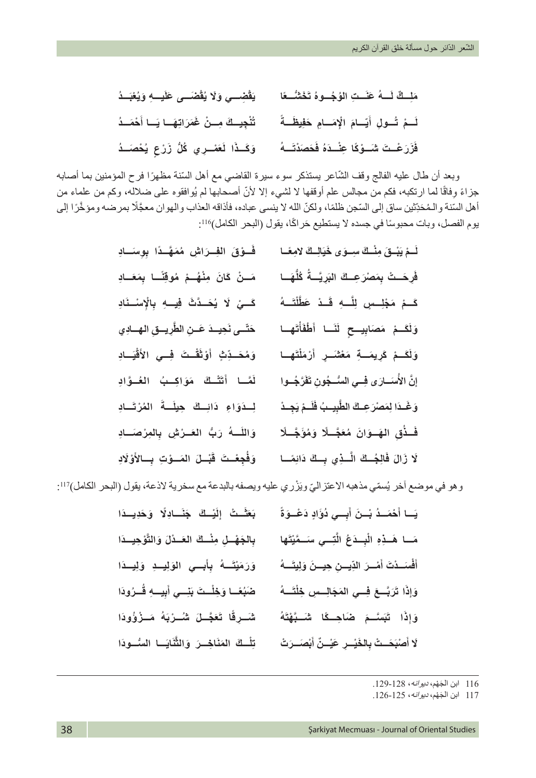| مَلِسكٌ لَسهُ عَنَستِ الوُجُسوهُ تَخَشُّسعًا ۚ ۚ يَقْضِسي وَلَا يُقْضَسى عَلَيسهِ وَيُغَبِّسُهُ |                                                 |
|-------------------------------------------------------------------------------------------------|-------------------------------------------------|
| لَـمْ تُـولِ أَيَـامَ الْإِمَـامِ حَفِيظَـةً ۚ تُتْجِيـكَ مِـنْ غَمَرَاتِهَـا يَـا أَحْمَـدُ    |                                                 |
| وَكَـذَا لَعَصْـرِي كُلُّ زَرْعٍ يُحْصَـٰدُ                                                     | فَزَرَعْـتَ شَــوْكًا عِنْــدَهُ فَحَصَدْتَــهُ |

وبعد أن طال عليه الفالج وقف الشّاعر يستذكر سوء سيرة القاضي مع أهل السّنة مظهرًا فرح المؤمنين بما أصابه جزاءً وِفاقًا لما ارتكبه، فكم من مجالس علم أوقفها لا لشيء إلا لأنّ أصحابها لم يُوافقوه على ضلاله، وكم من علماء من أهل السّنة والـمُحَدِّثين ساق إلى السّجن ظلمًا، ولكنّ الله لا ينسى عباده، فأذاقه العذاب والهوان معجَّلًا بمرضه ومؤخَّرًا إلى يوم الفصل، وبات محبوسًا في جسده لا يستطيع حَراكًا، يقول (البحر الكامل)116:

| فَــوْقَ الْفِــرَاشِ مُمَهَّــدًا بِوِسَــادِ   | لَــمْ يَبْــقَ مِنْــكَ سِــوَى خَيَالِــكَ لامِعًــا |
|--------------------------------------------------|--------------------------------------------------------|
| مَـنْ كَانَ مِنْهُـمْ مُوقِنًـا بِمَعَـادِ       | فَرِحَـتْ بِمَصْرَعِــكَ البَرِيَّــةُ كُلُّهَــا      |
| كَــيْ لَا يُحَــدَّتَ فِيــهِ بِالْإِسْـنَادِ   | كَـمْ مَجْلِـسٍ لِلَّـهِ قَـدْ عَطَّلْتَــهُ           |
| حَتّسى نَحِيسدَ عَسنِ الطَّرِيسقِ الهسادِي       | وَلَكَــمْ مَصَابِيـــح لَنَــا أَطْفَأْتَهــا         |
| وَمُحَــٰدِّتٍٰ أَوْتَقُّـتَ فِــي الأَقْيَــادِ | وَلَقَـمْ كَرِيمَـةٍ مَعْتَسَرٍ أَرْمَلْتَهِـا         |
| لَعَّـا أَتَتَّـكَ مَوَاكِـبُ الْعُـوَّادِ       | إِنَّ الأُسَسَارَى فِسِي السُّسجُونِ تَفَرَّجُسُوا     |
| لِسدَوَاءِ دَائِسِكَ حِيلَـةَ المُرْتَـادِ       | وَغَـذَا لِمَصْرَعِـكَ الطَّبِيـبُ فَلَـمْ يَجِـدْ     |
| وَاللَّـــهُ رَبُّ العَــرْشِ بِالْمِرْصَـــادِ  | فَـٰذُقِ الهَــوَانَ مُعَجَّــلًا وَمُؤَجَّــلًا       |
| وَفُجِعْـتَ قَبْــلَ المَــوْتِ بِــالأَوْلَادِ  | لَا زَالَ فَالِجُسِكَ الَّسَذِي بِسِكَ دَائِمًسا       |

وهو في موضع آخر يُسمّي مذهبه الاعتزاليّ ويَزْري عليه ويصفه بالبدعة مع سخرية لاذعة، يقول (البحر الكامل)117:

| بَعَثَــتُ إِلَيْــكَ جَنَــادِلًا وَحَدِيــذَا   | يَــا أَهْمَــدُ بْــنَ أَبِــي دُوَّادٍ دَعْــوَةً     |
|---------------------------------------------------|---------------------------------------------------------|
| بِالجَهْسِلِ مِنْسِكَ العَسْدُلَ وَالتَّوْحِيسدَا | مَــا هَــذِهِ الْبِــدَعُ الَّتِــي سَــمَّيْتَها      |
| وَرَمَيْتَــهُ بِأَبِــي الوَلِيــدِ وَلِيــذَا   | أَفْسَـدْتَ أَمْــرَ الدِّيـــرْ، حِيـــنَ وَلِيتَـــهُ |
| ضَبُعًــا وَخِلْــتَ بَنِــي أَبِيــهِ قُــرُودَا | وَإِذَا تَرَبَّـعَ فِــي المَجَالِــسِ خِلْتَـــهُ      |
| شَـرِقًا تَعَجَّـلَ شُـرْبَهُ مَـزْوُٰودَا        | وَإِذَا تَبَسَّـمَ صَاحِــكًا شَــبَّهْتَهُ             |
| تِلْسِكَ المَنَاخِسَ وَالثَّنَايَسا المسُّـودَا   | لَا أَصْبَحَــتْ بِالخَيْــرِ عَيْــنِّ أَبْصَــرَتْ    |

116 َ ابن الج ْهم، ديوانه، .129-128

117 َ ابن الج ْهم، ديوانه، .126-125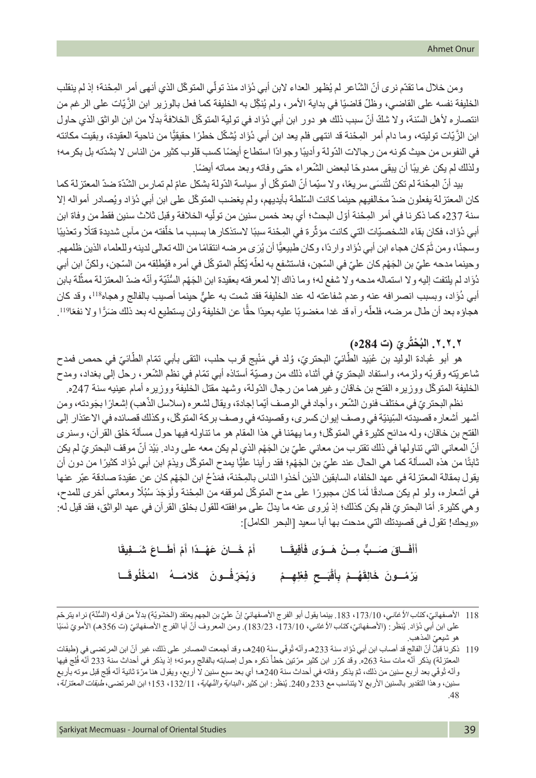ومن خلال ما تقدّم نرى أنّ الشّاعر لم يُظهر العداء لابن أبي دُوَّاد منذ تولّي المتوكّل الذي أنهى أمر المِحْنة؛ إذ لم ينقلب الْخَلْيفة نفسه على القاضي، وظلّ قاضيًا في بداية الأمر ، ولم يُنكِّل به الْخَلْيفة كما فعل بالوزير ابن الزَّيّات على الرغم من انتصاره لأهل السّنة، ولا شكّ أنّ سبب ذلك هو دور ابن أبي دُوَّاد في تولية المتوكّل الخلافة بدلًا من ابن الواثق الذي حاول ابن الزَّيّات توليته، وما دام أمر المِحْنة قد انتهى فلم يعد ابن أبي دُوَاد يُشكّل خطرًا حقيقيًّا من ناحية العقيدة، وبقيت مكانته في النفوس من حيث كونه من رجالات الدّولة وأديبًا وجوادًا استطاع أيضًا كسب قلوب كثير من الناس لا بشدّته بل بكرمه؛ ولذلك لم يكن غريبًا أن يبقى ممدوحًا لبعض الشّعراء حتى وفاته وبعد مماته أيضًا.

بيد أنّ المِحْنة لم تكن لتُنسَى سريعًا، ولا سيّما أنّ المتوكّل أو سياسة الدّولة بشكل عامّ لم تمارس الشّدّة ضدّ المعتزلة كما كان المعتزلة يفعلون ضدّ مخالفيهم حينما كانت السّلطة بأيديهم، ولم يغضب المتوكّل على ابن أبي دُوَّاد ويُصادر أمواله إلا سنة 237ه كما ذكرنا في أمر المِحْنة أوّل البحث؛ أي بعد خمس سنين من تولّيه الخلافة وقبل ثلاث سنين فقط من وفاة ابن أبي دُوَّاد، فكان بقاء الشخصيّات التي كانت مؤثّرة في المِحْنة سببًا لاستذكار ها بسبب ما خلْفته من مآسٍ شديدة قتلًا وتعذيبًا ّ֧֧֧֧֧֧֧֧֧֧֧֧֧֧ׅ֧֧֧֧֧֧֧֧֧ׅ֧֧֚֚֚֚֚֚֝֓֓֓֓֓֟֓֓֓֓֓֓֓֟֓֓֝֬֓֓֝֬֓֓֝֬֓֓֓֓֓֜֬֬֓֜֓֜֬֜֬֝֬֜֓ وسجنًا، ومن ثُمّ كان هجاء ابن أبي دُوَّاد واردًا، وكان طبيعيًّا أن يُرَى مرضه انتقامًا من الله تعالى لدينه وللعلماء الذين ظلمهم. وحينما مدحه عليّ بن الجَهْم كان عليّ في السّجن، فاستشفع به لعلّه يُكلّم المتوكّل في أمره فيُطلِقه من السّجن، ولكنّ ابن أبي دُوَّاد لم يلتفت إليه ولا استماله مدحه ولا شفع له؛ وما ذاك إلا لمعرفته بعقيدة ابن الجَهْم السُّنّيّة وأنّه ضدّ المعتزلة ممثّلة بابن أبي دُوَّاد، وبسبب انصرافه عنه وعدم شفاعته له عند الخليفة فقد شمت به عليٍّ حينما أصيب بالفالج وهجاه<sup>118</sup>، وقد كان هجاؤه بعد أن طال مرضه، فلعلّه رآه قد غدا مغضوبًا عليه بعيدًا حقًّا عن الخليفة ولن يستطيع له بعد ذلك ضَرًّا ولا نفعًا11! ًّ

# **ُ ْحتُ ّري )ت 284ه( .٢.٢.٢ الب**

هو أبو عُبادة الوليد بن عُبَيد الطَّانيّ البحتريّ، وُلد في مَنْبِج قرب حلب، النقى بأبي تمّام الطَّانيّ في حمص فمدح ثماعريّته وقربّه ولزمه، واستفاد البحتريّ في أثناء ذلك من وصبّة أستاذه أبي تمّام في نظم الشّعر ، رحل إلى بغداد، ومدح ّ الخليفة المتوكل ووزيره الفتح بن خاقان وغيرهما من رجال الدّولة، وشهد مقتل الخليفة ووزيره أمام عينيه سنة 247ه.

ׇ֖֖֖֖֖֚֚֚֚֚֚֚֚֚֚֚֚֚֚֚֚֚֚֚֚֚֚֞֝**֓** نظم البحتريّ في مختلف فنون الشّعر ، وأجاد في الوصف أيّما إجادة، ويقال لشعره (سلاسل الذّهب) إشعارًا بجَودته، ومن أشهر أشعار ه قصيدته السِّينيّة في وصف إيوان كسر ي، وقصيدته في وصف بركة المتوكّل، وكذلك قصائده في الاعتذار إلى الفتح بن خاقان، وله مدائح كثيرة في المتوكّل؛ وما يهمّنا في هذا المقام هو ما تناوله فيها حول مسألة خلق القرآن، وسنرى أنّ المعاني التي تناولها في ذلك تقترب من معاني عليّ بن الجَهْم الذي لم يكن معه على وداد. بَيْدَ أنّ موقف البحتريّ لم يكن نابثًا من هذه المسألة كما هي الحال عند عليّ بن الجَهْم؛ فقد رأينا عليًّا يمدح المتوكّل ويذمّ ابن أبي دُوَّاد كثيرًا من دون أن ًبقول بمقالة المعتزلة في عهد الخلفاء السابقين الذين أخذوا الناس بالمِحْنة، فمَدْحُ ابن الجَهْمِ كان عن عقيدة صادقة عبّر عنها في أشعاره، ولو لم يكن صادقًا لَمَا كان مجبورًا على مدح المتوكّل لموقفه من المِحْنة ولَوَجَدَ سُبُلًا ومعاني أخرى للمدح، ا<br>ا ٔ<br>ا وهي كثيرة. أمّا البحتريّ فلم يكن كذلك؛ إذ يُروى عنه ما يدلّ على موافقته للقول بخلق القرآن في عهد الواثق، فقد قيل له: »ويحك! تقول فى قصيدتك التي مدحت بها أبا سعيد ]البحر الكامل[:

> **َـــا ِيق َف َ َ ـــاق َ ص ٌّ ـــب ِ م ْ ـــن َ ه ً ـــوى ف َف أ َ أ ا َ َأ َ َط َ ـــاع َ ش ِ ـــفيق ْم أ ْم َ خ َ ـــان َ ع ْه ً ـــدا أ أ َ َ** يَرْمُــونَ خَالِقَهُــمْ بِأَقْبَــحِ فِعْلِهِــمْ وَيُحَرِّفُــونَ كَلَامَــهُ المَخْلُوقَــا وَيُحَرِّفُـونَ كَلَامَــهُ المَخْلُوقَ

<sup>118</sup> الأصفهاني، كتا*ب الأغاني*، 173/10، 183. بينما يقول أبو الفرج الأصفهانيّ إنّ عليّ بن الجهم يعتقد (الحَشَويّة) بدلاً من قوله (السُّنّة) نر اه يترحّم على ابن أبي دُوَّاد. يُنظَر: (الأصفهانيّ، ك*تاب الأغاني*، 173/10، 183/23). ومن المعروف أنّ أبا الفرج الأصفهانيّ (ت 356هـ) الأمويّ نَسبًا<br>هو شيعيّ المذهب.

<sup>119</sup> ذكرنا قبلُ أنّ الفالج قد أصاب ابن أبي دُوّاد سنة 233هـ وأنّه تُوفّي سنة 240هـ، وقد أجمعت المصادر على ذلك، غير أنّ ابن المرتضى في (طبقات المعتزلة) يذكر أنّه مات سنة 263ه. وقد كرّر ابن كثير مرّتين خطأً ذكره حول إصابته بالفالج وموته؛ إذ يذكر في أحداث سنة 233 أنّه فُلِج فيها اً<br>المراجع رأنّه تُوفّي بعد أربع سنين من ذلك، ثمّ يذكر وفاته في أحداث سنة 240هـ؛ أي بعد سبع سنين لا أربع، ويقول هنا مرّة ثانية أنّه فَلِج قبل موته بأربع اً<br>ا ֚֡<u>֚</u> سنين، و هذا التقدير بالسنين الأربع لا يتناسب مع 233 و 240. يُنظَر: ابن كثير، *البداية والنّهاية*، 132/11، 153؛ ابن المرتضى، *طبقات المعتزلة*،<br>48.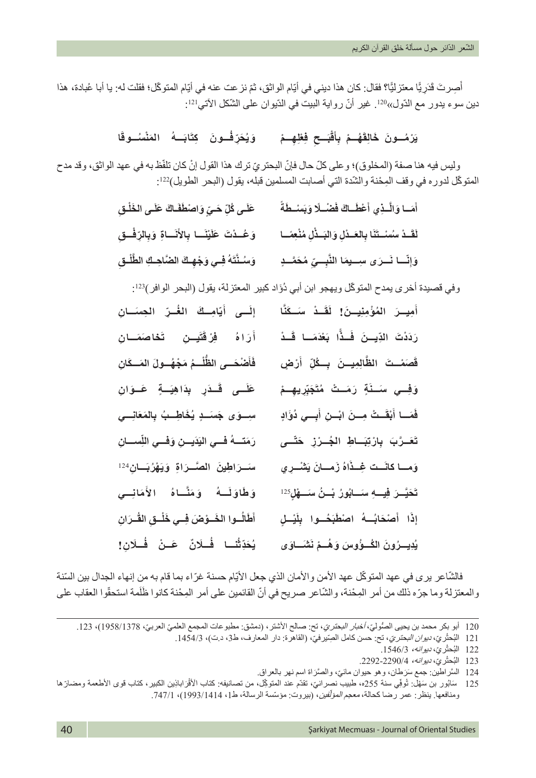أُصِرتَ قَدَرٍ يًّا معتزليًّا؟ فقال: كان هذا ديني في أيّام الواثق، ثمّ نز عت عنه في أيّام المتوكّل؛ فقلت له: يا أبا عُبادة، هذا ؘ<br>ا دين سوء يدور مع الدّول»<sup>120</sup>. غير أنّ رواية البيت في الدّيوان على الشّكل الآتي<sup>121</sup>:

# يَرْمُسونَ خَالِقَهُــمْ بِأَقْبَــحِ فِظْهِــمْ ۚ وَيُحَرِّفُــونَ ۚ كِتَابَــهُ ۚ الْمَنْسُــوقَا

وليس فيه هنا صفة (المخلوق)؛ وعلى كلّ حال فإنّ البحتريّ ترك هذا القول إنْ كان تلفّظ به في عهد الواثق، وقد مدح المتوكّل لدوره في وقف المِحْنة والشّدة التي أصابت المسلمين قبله، يقول (البحر الطويل)122:

| عَلَـى كُلِّ حَـيٍّ وَاصْطَفَـاكَ عَلَـى الخَلْـق     | أَمَسا وَالَّـذِي أَعْطَــاكَ فَضْــلًا وَبَسْــطَةً                                                 |
|-------------------------------------------------------|------------------------------------------------------------------------------------------------------|
| وَعُـدْتَ عَلَيْنَــا بِالأَنَــاةِ وَبِالرِّفْـقِ    | لَقَسدُ سُسْستَنَا بِالعَسدُلِ وَالبَسدُّلِ مُنْعِصًا                                                |
| وَسُنْتَهُ فِي وَجْهِكَ الضَّاحِكِ الطَّلْق           | وَإِنَّسًا نَسرَى سِسيمَا النَّبِسِيّ مُحَمَّسِدٍ                                                    |
|                                                       | وفي قصيدة أخرى يمدح المتوكّل ويهجو ابن أبي دُؤاد كبير المعتزلة، يقول (البحر الوافر) <sup>123</sup> : |
| إِلَسى أَيَامِسِكَ الغُسِرَ المِعسَسَانِ              | أَمِيسَ المُؤْمِنِيسَنَ! لَقَسْدْ سَسَكَنَّا                                                         |
| أَرَاهُ فِرْقَتَيِـنِ تَخاصَمَـانِ                    | رَدَدْتَ الذِّيِــنَ فَــذًّا بَعْدَمَــا قَــدْ                                                     |
| فَأَصْحَسى الظُّلْسمُ مَجْهُسولَ المَسكَانِ           | قَصَمْــتَ   الظَّالِمِيـــنَ   بِـــكُلِّ   أَرْضٍ                                                  |
| عَلَــى قَـذَرٍ بِذَاهِيَــةٍ عَــوَانِ               | وَفِــي سَــٰٰٓةٍ رَمَــتْ مُتَجَبِّرِيهِــمْ                                                        |
| سِسوَى جَسَسْدٍ يُخَاطِسبُ بِالمَعَانِسي              | فَمَسا أَبْقَـتْ مِسنَ ابْسنِ أَبِسي دُوَّادٍ                                                        |
| رَمَتَسِهُ فَسى الْيَذَيِسِنِ وَفْسِي اللِّسِسَانِ    | تَعَـرَّبَ بِارْتِبَــاطِ الجُــرْزِ خَتّــى                                                         |
| سَـرَاطِينَ الصَّـرَاةِ وَيَهْرُبَـانِ <sup>124</sup> | وَمسا كانَست غِسْذَاهُ زَمسانَ يَتْنْسِرِي                                                           |
| وَطَاوَلَــهُ ۖ وَمَثَّـاهُ ۚ الأَمَانِــي            | تَحَيَّــرَ فِيـــهِ سَـــابُورُ بُـــنُ سَـــهْلٍ <sup>125</sup>                                    |
| أَطَالُسوا الخَسوْضَ فِسي خَلْسقِ القُسرَانِ          | إِذَا أَصْحَابُسَهُ اصْطَبَحُسُوا بِلَيْسْلٍ                                                         |
| يُحَذِّثُنا فُـلَانٌ عَـنْ فُـلَانِ!                  | يُدِيسرُونَ الكُسوُّوسَ وَهُسمْ نَشْسَاوَى                                                           |

فالشّاعر برى في عهد المتوكّل عهد الأمن والأمان الذي جعل الأيّام حسنة غرّاء بما قام به من إنهاء الجدال بين السّنة والمعتزلة وما جرّه ذلك من أمر المِحْنة، والشّاعر صريح في أنّ القائمين على أمر المِحْنة كانوا ظَلَمة استحقّوا العقاب على

<sup>120</sup> أبو بكر محمد بن يحيى الصُّوليّ، *أخبار البحتريّ*، تح: صالح الأشتر، (دمشق: مطبوعات المجمع العلميّ العربيّ، 1958/1378)، 123.

<sup>ُ</sup>121 البُحثَريّ، *ديوان البحتريّ*، تح: حسن كامل الصِّير.فيّ، (القاهرة: دار المعارف، ط3، د.ت)، 1454/3.

<sup>ُ</sup>122 البُحثَر يِّ، *ديوانه، 15*46/3.

<sup>ُ</sup>123 البُحثَر يِّ، *ديوانه، 1*2292-2290.

<sup>124 َ</sup> السَّر اطين: جمع سَرَطان، وهو حيوان مائيّ، والصَّرَاة اسم نهر بالعراق.

ة<br>أ ور بن سَهْل: تُوفِّي سنة 255ه، طبيب نصر انيّ، تقدّم عند المتوكِّل، من تصانيفه: كتاب الأقْرَ اباذِين الكبير ، كتاب قوى الأطعمة ومضارّ ها ֢֧֦֧֖֖֖֖֖֧֚֚֚֚֚֚֝<u>֚</u> 125 َ ساب ومنافعها. ينظر: عمر رضا كحالة، *معجم المؤلّفين*، (بيروت: مؤسّسة الرسالة، ط1، 1414/1993)، 747/1.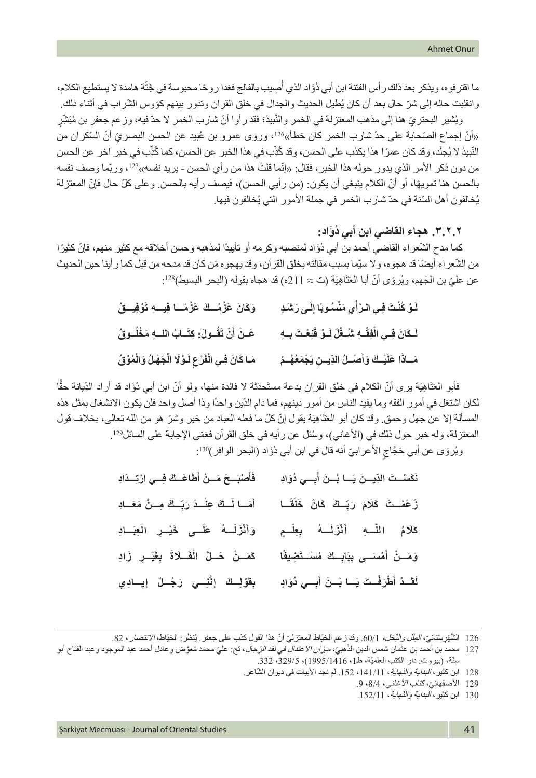ما اقتر فوه، ويذكر بعد ذلك رأس الفتنة ابن أبي دُوَّاد الذي أُصِيب بالفالج فغدا روحًا محبوسة في جُثَّة هامدة لا يستطيع الكلام، ُوانقلبت حاله إلى شرّ حال بعد أن كان يُطيل الحديث والجدال في خلق القر أن وتدور بينهم كؤوس الشّراب في أثناء ذلك.

ويُثْمير البحتريّ هنا إلى مذهب المعتزلة في الخمر والنّبيذ؛ فقد رأوا أنّ شارب الخمر لا حدّ فيه، وزعم جعفر بن مُبَشِّرٍ «أنّ إجماع الصّحابة على حدّ شارب الخمر كان خطأ»126، وروى عمرو بن عُبيد عن الحسن البصريّ أنّ السّكران من النّبيذ لا يُجلّد، وقد كان عمرًا هذا يكذب على الحسن، وقد كُذِّب في هذا الخبر عن الحسن، كما كُذِّب في خبر آخر عن الحسن ֧֧֧֢֚֚֡֓֓֓֝֬<br>֧֖֖֖֧ׅ֧֚֚֚֚֚֚֚֚֚֚֚֚֚֚֚֚֚֚֚֚֚֚֚֚֚֝֝֓ ֖֖֖֖֖֖֧֧֧֧֧֧֧֧֧֧֧֚֚֚֚֚֚֚֚֚֚֚֚֚֚֚֚֚֚֚֚֚֡֬֝֟֓֟֓֞֟֓֞֟֓֞֟֓֡֟֬֓֞֟֓֡֟֓֓֝֬֝֬֝֬֝֬֝֬֝֬֝֬֝֬֝֬֝֬ من دون ذكر الأمر الذي يدور حوله هذا الخبر ، فقال: «إنّما قلتُ هذا من ر أي الحسن - بريد نفسه»<sup>127</sup>، وربّما وصف نفسه بالحسن هنا تمويهًا، أو أنّ الكلام ينبغي أن يكون: (من رأيي الحسن)، فيصف رأيه بالحسن. وعلى كلّ حال فإنّ المعتزلة يُخالفون أهل السّنة في حدّ شارب الخمر في جملة الأمور الّتي يُخالفون فيها.

## **ُ .٣.٢.٢ هجاء القاضي ابن أبي د َؤاد:**

كما مدح الشّعر اء القاضي أحمد بن أبي دُوَّاد لمنصبه وكر مه أو تأييدًا لمذهبه وحسن أخلاقه مع كثير منهم، فإنّ كثيرً ا من الشّعر اء أيضًا قد هجوه، ولا سبِّما بسبب مقالته بخلق القرآن، وقد يهجوه مَن كان قد مدحه من قبل كما رأينا حين الحديث عن عليّ بن الجَهم، ويُروَى أنّ أبا العَنَّاهِيَة (ت $\approx 11$ ه) قد هجاه بقوله (البحر البسيط)28:

| وَكَانَ عَزْمُــكَ عَزْمًــا فِيــهِ تَوْفِيــقُ         | لَوْ كُنْتَ فِي الرَّأْيِ مَنْسُوبًا إِلَى رَشَدٍ        |
|----------------------------------------------------------|----------------------------------------------------------|
| عَـنْ أَنْ تَقُـولَ: كِتَـابُ اللــهِ مَخْلُـوقُ         | لَـكَانَ فِـي الْفِقْـهِ شُـغْلٌ لَـوْ قَنِعْتَ بِـهِ    |
| مَـا كَانَ فِـي الْفَرْعِ لَـوْلَا الْجَهْلُ وَالْمُوْقُ | مَسَاذًا عَلَيْسَكَ وَأَصْسَلُ الذِّيسِنِ يَجْمَعُهُسُمْ |

فأبو العَنَاهِيَة يرى أنّ الكلام في خلق القرآن بدعة مستَحدَثة لا فائدة منها، ولو أنّ ابن أبي دُوَاد قد أراد الدِّيانة حقًّا لكان اشتغل في أمور الفقه وما يفيد الناس من أمور دينهم، فما دام الدّين واحدًا وذا أصل واحد فلن يكون االنشغال بمثل هذه المسألة إلا عن جهل وحمق وقد كان أبو العَنَاهِيَة يقول إنّ كلّ ما فعله العباد من خير وشرّ هو من الله تعالى، بخلاف قول المعتزلة، وله خبر حول ذلك في (الأغاني)، وسُئل عن رأيه في خلق القرآن فعَمّى الإجابة على السائل?2! ويُروَى عن أبي حَجَّاجِ الأعر ابيّ أنه قال في ابن أبي دُوَّاد (البحر الوافر)<sup>130</sup>:

| فَأَصْبَــحَ مَــنْ أَطَاعَــكَ فِــي ارْتِــدَادِ | نَكَسْتَ الذِّيسنَ يَسَا بُسْنَ أَبِسِي دُوَادِ   |
|----------------------------------------------------|---------------------------------------------------|
| أَمَــا لَــكَ عِنْــدَ رَبِّــكَ مِــنْ مَعَــادِ | زَعَمْــتَ كَلَامَ رَبِّــكَ كَانَ خَلْقًــا      |
| وَأَنْزَلَــهُ عَلَــى خَيْــرِ الْعِبَــادِ       | كَلَامُ اللَّــهِ أَنْزَلَــهُ بِعِلْــمٍ         |
| كَمَسْنُ حَسْلَّ الْفَسلَاةَ بِغَيْسِ زَادِ        | وَمَــنْ أَمْسَــى بِبَابِــكَ مُسْــتَضِيفًا     |
| بِقَوْلِكْ إِنَّنِسِي رَجُلٌ إِيِسَادِي            | لَقَـٰذُ أَطْرَفْـتَ يَــا بْــنَ أَبِــي ذُوَادٍ |

126 التَّنْهُوِ سُنتان*ي، الطِّل والنِّحَل،* 1/0). وقد زعم الخيّاط المعتزليّ أنّ هذا القول كذب على جعفر. يُنظَر: الخيّاط، *الانتصار* ، 82.

130 ابن كثير ، *البداية والنّهاية*، 152/11.

<sup>֖֖֖֧֚֚֚֚֚֚֚֚֚֚֚֚֚֚֚֚֚֚֚֡֬&</sup>lt;u>֚</u> 127 محمد بن أحمد بن عثمان شمس الدين الذهبيّ، *ميزان الاعتدال في نقد الرّ*حال، نح: عليّ محمد مُعوَّض و عادل أحمد عبد الموجود وعبد الفتاح أبو سِنّة، (بيروت: دار الكتب العلميّة، ط1، 1995/1416)، 329/5، 332.

<sup>128</sup> ابن كثير ، *البداية والنّهاية* ، 141/11، 152. لم نجد الأبيات في ديوان الشّاعر .

<sup>129</sup> الأصفهانيّ، كتاب الأغاني، 8/4، 9.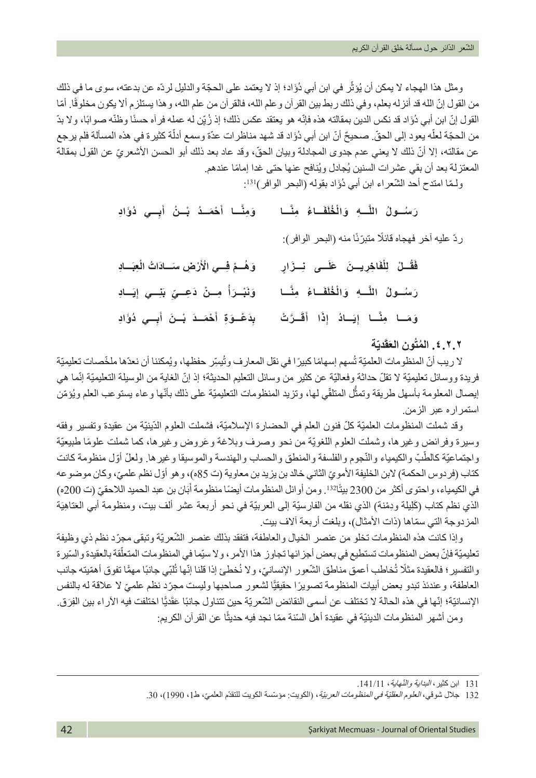ومثل هذا الهجاء لا يمكن أن يُؤثّر في ابن أبي دُوَّاد؛ إذ لا يعتمد على الحجّة والدليل لردّه عن بدعته، سوى ما في ذلك من القول إنّ الله قد أنزله بعلم، وفي ذلك ربط بين القرآن وعلم الله، فالقرآن من علم الله، وهذا يستلزم ألا يكون مخلوقًا. أمّا القول إنّ ابن أبي دُوَّاد قد نكس الدين بمقالته هذه فإنّه هو يعتقد عكس ذلك؛ إذ زُ يِّن له عمله فر آه حسنًا وظنّه صوابًا، ولا بدّ ّ من الحجّة لعلّه يعود إلى الحقّ صحيحٌ أنّ ابن أبي دُوَّاد قد شهد مناظر ات عدّة وسمع أدلّة كثيرة في هذه المسألة فلم يرجع عن مقالته، إلا أنّ ذلك لا يعني عدم جدوى المجادلة وبيان الحقّ، وقد عاد بعد ذلك أبو الحسن الأشعر يّ عن القول بمقالة المعتزلة بعد أن بقي عشرات السنين يُجادل ويُنافح عنها حتى غدا إمامًا عندهم.

ولَّمّا امتدح أحد الشُّعراء ابن أبي دُوَّاد بقوله (البحر الوافر)<sup>131</sup>:

| وَمِثَّا أَحْمَـدُ بْـنُ أَبِــي دُوَّادِ         | رَسُـولُ اللَّـهِ وَالْخُلَفَـاءُ مِنَّـا               |
|---------------------------------------------------|---------------------------------------------------------|
|                                                   | ردِّ عليه آخر فهجاه قائلًا متبرّنًا منه (البحر الوافر): |
| وَهُــمْ فِــي الْأَرْضِ مسَــادَاتُ الْعِبَــادِ | فَقُصْ لِلْفَاخِرِيسنَ عَلَــى نِسزَارٍ                 |
| وَنَبْسَرَأُ مِسْنُ دَعِسِيِّ بَنِسِي إِيَسَادِ   | رَسُـولُ اللَّـهِ وَالْخُلَفَـاءُ مِنَّـا               |
| بِدَعْـوَةِ أَحْمَــدَ بْــنَ أَبِــي دُوَّادِ    | وَمَـا مِنَّـا إِيَـادُ إِذَا أَقَـرَتْ                 |

# **ّة َدي َق ُ .٤.٢.٢ المتُون الع**

لا ريب أنّ المنظومات العلميّة تُسهم إسهامًا كبيرًا في نقل المعارف وتُيسِّر حفظها، ويُمكننا أن نعدّها ملخّصات تعليميّة فريدة ووسائل تعليميّة لا تقلّ حداثة وفعاليّة عن كثير من وسائل التعليم الحديثة؛ إذ إنّ الغاية من الوسيلة التعليميّة إنّما هي إيصال المعلومة بأسهل طريقة وتمثّل المتلقّي لها، وتزيد المنظومات التعليميّة على ذلك بأنّها وعاء يستوعب العلم ويُؤمّن استمراره عبر الزمن.

وقد شملت المنظومات العلميّة كلّ فنون العلم في الحضارة الإسلاميّة، فشملت العلوم الدّينيّة من عقيدة وتفسير وفقه وسيرة وفرائض وغيرها، وشملت العلوم اللغويّة من نحو وصرف وبلاغة وعَروض وغيرها، كما شملت علومًا طبيعيّة واجتماعيّة كالطّبّ والكيمياء والنّجوم والفلسفة والمنطق والحساب والهندسة والموسيقا وغيرها. ولعلّ أوّل منظومة كانت كتاب (فردوس الحكمة) لابن الخليفة الأمويّ الثاني خالد بن يزيد بن معاوية (ت 85ه)، وهو أوّل نظم علميّ، وكان موضوعه في الكيمياء، واحتوى أكثر من 2300 بيتًا132. ومن أوائل المنظومات أيضًا منظومة أُبَان بن عبد الحميد اللاحقيّ (ت 200ه) الذي نظم كتاب (كَلِيلة ودِمْنة) الذي نقله من الفارسيّة إلى العربيّة في نحو أربعة عشر ألف بيت، ومنظومة أبي العَناهِيَة المزدوجة التي سمّاها (ذات الأمثال)، وبلغت أربعة آلاف بيت.

وإذا كانت هذه المنظومات تخلو من عنصر الخيال والعاطفة، فتفقد بذلك عنصر الشّعريّة وتبقى مجرّد نظم ذي وظيفة ֖֖֖֖֚֚֚֚֚֚֡֝֟֟֓֝֬<br>֧֖֧֚֚֚֚֚֚֚֝<u>֚</u> تعليميّة فإنّ بعض المنظومات تستطيع في بعض أجز ائها تجاوز هذا الأمر ، ولا سيّما في المنظومات المتعلّقة بالعقيدة والسّيرة والتفسير ؛ فالعقيدة مثلًا تُخاطب أعمق مناطق الشّعور الإنسانيّ، ولا نُخطئ إذا قلنا إنّها تُلبّي جانبًا مهمًّا تفوق أهمّيته جانب العاطفة، وعندئذ تبدو بعض أبيات المنظومة تصويرًا حقيقيًا لشعور صـاحبها وليست مجرّد نظم علميّ لا علاقة له بالنفس الإنسانيّة؛ إنّها في هذه الحالة لا تختلف عن أسمى النقائض الشّعريّة حين تتناول جانبًا عَقَديًّا اختلفت فيه الآر اء بين الفِرَق. ومن أشهر المنظومات الدينيّة في عقيدة أهل السّنة ممّا نجد فيه حديثًا عن القرآن الكريم:

<sup>131</sup> ابن كثير ، *البداية والنّهاية* ، 141/11.

<sup>132</sup> جلال شوقي، *العلوم العقليّة في المنظومات العربيّ*ة ، (الكويت: مؤسّسة الكويت للتقدّم العلميّ، ط1 ، 1990) ، 30.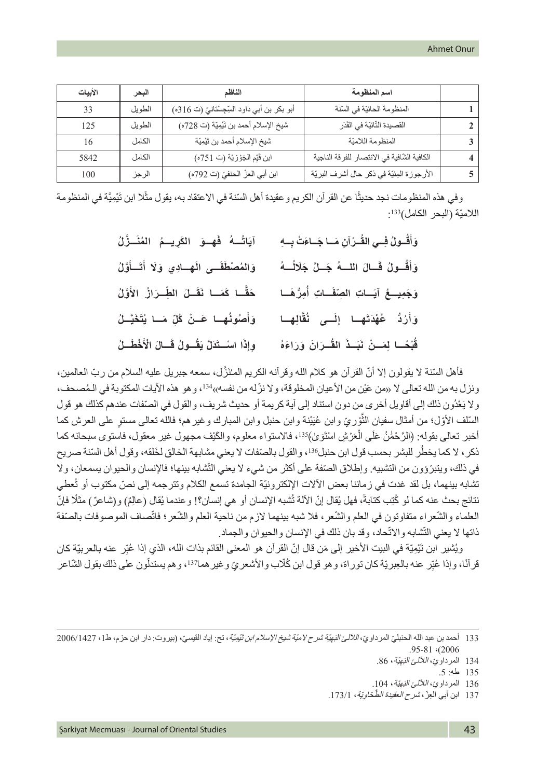| الأبيات | البحر  | الناظم                                      | اسم المنظومة                                 |  |
|---------|--------|---------------------------------------------|----------------------------------------------|--|
| 33      | الطويل | أبو بكر بن أبي داود السِّجِسْتانيّ (ت 316ه) | المنظومة الحائيّة في السّنة                  |  |
| 125     | الطويل | شيخ الإسلام أحمد بن تَيْمِيّة (ت 728ه)      | القصيدة التَّائيّة في القَدَر                |  |
| 16      | الكامل | شيخ الإسلام أحمد بن تَيْمِيّة               | المنظومة اللاميّة                            |  |
| 5842    | الكامل | ابن قَيِّم الْجَوْزِيَّة (ت 751ه)           | الكافية الشَّافية في الانتصار للفرقة الناجية |  |
| 100     | الرجز  | ابن أبي العزّ الحنفيّ (ت 792ه)              | الأرجوزة المِئيّة في ذكر حال أشرف البريّة    |  |

وفي هذه المنظومات نجد حديثًا عن القر أن الكريم و عقيدة أهل السّنة في الاعتقاد به، يقول مثّلا ابن تَيْمِيَّة في المنظومة اللاميّة (البحر الكامل)133:

| آيَاتُــهُ فَهِــوَ الكَرِيـــمُ المُنَــزَّلُ   | وَأَقُـولُ فِسى القُـرْآنِ مَسا جَساءَتْ بِسهِ |
|--------------------------------------------------|------------------------------------------------|
| وَالْمُصْطُفَــى الْهِــادِي وَلَا أَتَــأَوَّلُ | وَأَقُـولُ قَـالَ اللــهُ جَـلَّ جَلَالُــهُ   |
| حَقًّـا كَمَــا نَقَــلَ الطِّــرَازُ الأَوَّلُ  | وَجَمِيحُ آيَساتِ الصِّفَساتِ أُمِرُّهَسَا     |
| وَأَصُونُهِـا عَـنْ كُلِّ مَـا يُتَخَيَّـلُ      | وَأَرُدُّ عُهْدَتَهِا إِلَــى نُقَّالِهِــا    |
| وِإِذَا اسْتَذَلَّ يَقُولُ قَسَالَ الْأَخْطَسُ   | قُبْحًـا لِمَـنْ نَبَـذَ القُـرَانَ وَرَاءَهُ  |

فأهل السّنة لا يقولون إلا أنّ القرآن هو كلام الله وقرأنه الكريم المـُنَزّل، سمعه جبريل عليه السلام من ربّ العالمين، ونزل به من الله تعالى لا «من عَيْن من الأعيان المخلوقة، ولا نزّ له من نفسه»<sup>134</sup>، وهو هذه الآيات المكتوبة في الـمُصحف، ولا يَعْدُون ذلك إلى أقاويل أخرى من دون استناد إلى أية كريمة أو حديث شريف، والقول في الصّفات عندهم كذلك هو قول السُّلف الأوّل؛ من أمثال سفيان الثَّوْريّ وابن عُبَيْنة وابن حنبل وابن المبارك وغيرهم؛ فالله تعالى مستوٍ على العرش كما َّ أخبر تعالى بقوله: ﴿الرَّحْمَٰنُ عَلَى الْعَرْشِ اسْتَوَىٰ﴾13، فالاستواء معلوم، والكَيْف مجهول غير معقول، فاستوى سبحانه كما ذكر ، لا كما يخطُر للبشر بحسب قول ابن حنبل136، والقول بالصّفات لا يعني مشابهة الخالق لخَلقه، وقول أهل السّنة صريح في ذلك، ويتبرّوون من التشبيه. وإطلاق الصّفة على أكثر من شيء لا يعني التّشابه بينها؛ فالإنسان والحيوان يسمعان، ولا تشابه بينهما، بل لقد غدت في زماننا بعض الآلات الإلكترونيّة الجامدة تسمع الكلام وتترجمه إلى نصّ مكتوب أو تُعطي نتائج بحث عنه كما لو كُتِب كتابةً، فهل يُقال إنّ الآلة تُشبه الإنسان أو هي إنسان؟! وعندما يُقال (عالِمٌ) و(شاعرٌ ) مثلًا فإنّ العلماء والشّعراء متفاوتون في العلم والشّعر، فلا شبه بينهما لازم من ناحية العلم والشّعر؛ فاتّصاف الموصوفات بالصّفة ذاتها لا يعني التّشابه والاتّحاد، وقد بان ذلك في الإنسان والحيوان والجماد.

ويُشْير ابن تَيْمِيّة في البيت الأخير إلى مَن قال إنّ القرآن هو المعنى القائم بذات الله، الذي إذا عُبِّر عنه بالعربيّة كان ّ قرآنًا، وإذا عُبِّر عنه بالعِبريّة كان توراة، وهو قول ابن كُلّاب والأشعريّ وغير هما<sup>37</sup>ا، وهم يستدلّون على ذلك بقول الشّاعر ֧֧֧֖֧֧֧֧֧֧֧֧֧֚֚֚֝֓֝֬֝֬֝֬֓֝֬֝֬֓֝֬֓֝֬֜**֓** 

- 136 المرداويّ، *اللآلئ البَهِيّة*، 104.
- 137 ابن أبي الْعِزّ ، *شرح العقيدة الطَّخاوِيّة* ، 173/1.

<sup>133</sup> أحمد بن عبد الله الحنبليّ المرداويّ، *اللألئ البَهِيّة شرح لاميّة شيخ الإسلام ابن تَنْمِيّة* ، تح: إياد القيسيّ، (بيروت: دار ابن حزم، ط1، 2006/1427 .95-81 (2006

<sup>134</sup> المرداويّ، *اللآلئ البَهِيّة*، 86.

<sup>135</sup> طه: .5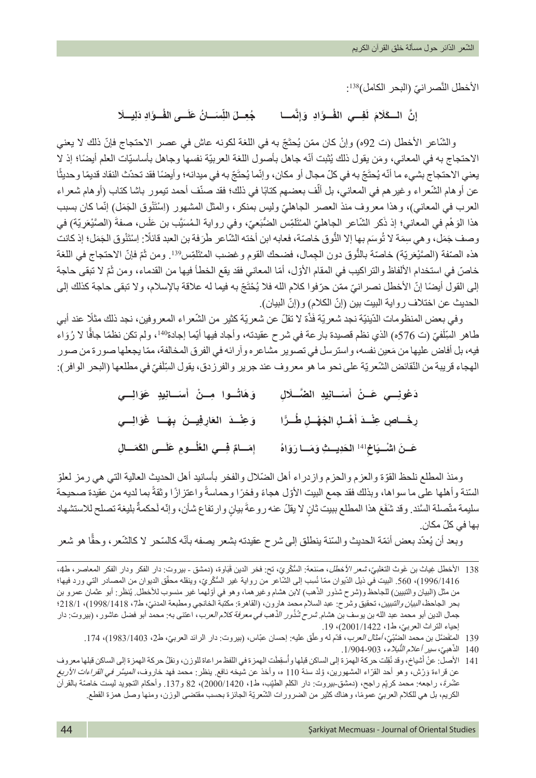الأخطل النّصر انيّ (البحر الكامل)138: َّ

إِنَّ السكَلَامَ لَفِسي الفُسوَّالِ وَإِنَّمســا جُعِسلَ اللِّسَسانُ عَلَسى الفَّ نَّ السكَلَامَ لَفِسي الفَسوَّادِ وَإِنَّمسا جُعِــلَ اللِّسَسَانُ عَلَـــى الفَسوَّادِ دَلِيسلَا **ّ**

والشّاعر الأخطل (ت 92ه) وإنْ كان ممّن يُحتَجّ به في اللُّغة لكونه عاش في عصر الاحتجاج فإنّ ذلك لا يعني الاحتجاج به في المعاني، ومَن يقول ذلك يُثبت أنّه جاهل بأصول اللغة العربيّة نفسها وجاهل بأساسيّات العلم أيضًا؛ إذ لا يعني الاحتجاج بشيء ما أنّه يُحتَجّ به في كلّ مجال أو مكان، وإنّما يُحتَجّ به في ميدانه؛ وأيضًا فقد تحدّث النقاد قديمًا وحديثًا عن أو هام الشّعر اء وغير هم في المعاني، بل ألّف بعضهم كتابًا في ذلك؛ فقد صنّف أحمد تيمور باشا كتاب (أو هام شعراء العرب في المعاني)، وهذا معروف منذ العصر الجاهليّ وليس بمنكر ، والمثل المشهور (اِسْتَنْوق الْجَمَلْ) إنّما كان بسبب هذا الوَهْم في المعاني؛ إذ ذَكر الشَّاعر الجاهليّ المـُتَلَمِّس الضُّبَعيّ، وفي رواية الـمُسَيَّب بن عَلَس، صفةُ (الصَّيْعَريّة) في وصف جَمَل، وهي سِمَة لا تُوسَم بها إلا النَّوق خاصّة، فعابه ابن أخته الشّاعر طَرَفة بن العبد قائلًا: اِسْتَنُوق الجَمَل؛ إذ كانت هذه الصّنفة (الصَّيْعَريّة) خاصَة بالنَّوق دون الجِمال، فضحك القوم وغضب المـُتَلَمِّس "3. ومن ثَمّ فإنّ الاحتجاج في اللغة خاصّ في استخدام الألفاظ والتراكيب في المقام الأوّل، أمّا المعاني فقد يقع الخطأ فيها من القدماء، ومن ثَمّ لا تبقى حاجة إلى القول أيضًا إنّ الأخطل نصر انيّ ممّن حرّفوا كلام الله فلا يُحْتَجّ به فيما له علاقة بالإسلام، ولا تبقى حاجة كذلك إلى الحديث عن اختلاف رواية البيت بين (إنّ الكلام) و(إنّ البيان).

وفي بعض المنظومات الدّينيّة نجد شعريّة فَذّة لا تقلّ عن شعريّة كثير من الشّعراء المعروفين، نجد ذلك مثلًا عند أبي ًّطاهر السِّلْفيّ (ت 576ه) الذي نظم قصيدة بار عة في شرح عقيدته، وأجاد فيها أيّما إجادة'14، ولم تكن نظمًا جافًا لا رُوَاء ۬<br>ا فيه، بل أفاض عليها من مَعين نفسه، واسترسل في تصوير مشاعره وآرائه في الفرق المخالفة، ممّا يجعلها صورة من صور َالهجاء قريبة من النّقائض الشّعريّة على نحو ما هو معروف عند جرير والفرزدق، يقول السِّلْفيّ في مطلعها (البحر الوافر):

| دَعُونِـــي عَــنْ أَسَــانِيدِ الضَّــلَالِ     وَهَاتُــوا مِــنْ أَسَــانِيدٍ عَوَالِـــي |                                                                |
|----------------------------------------------------------------------------------------------|----------------------------------------------------------------|
| رِخَـاصٍ عِنْـدَ أَهْـلِ الجَهْـلِ طُـرًّا ۚ وَعِنْـدَ العَارِفِيــنَ بِهَــا غَوَالِــي     |                                                                |
| إمَسامٌ فِسي العُلُسومِ عَلَسى الكَمَسالِ                                                    | عَسنَ اشْسِيَاخِِلَّ <sup>141</sup> الْحَدِيستِ وَمَسا رَوَاهُ |

ومنذ المطلع نلحظ القوّة والعزم والحزم وازدراء أهل الضّلال والفخر بأسانيد أهل الحديث العالية التي هي رمز لعلوّ السّنة وأهلها على ما سواها، وبذلك فقد جمع البيت الأوّل هجاءً وفخرًا وحماسةً واعتزازًا وثقةً بما لديه من عقيدة صحيحة سليمة متّصلة السَّند. وقد شفَعَ هذا المطلع ببيت ثانٍ لا يقلّ عنه روعةَ بيانٍ وارتفاع شأن، وإنّه لَحكمةٌ بليغة تصلح للاستشهاد :<br>ا ّ بها في كل مكان.

وبعد أن يُعدّد بعض أئمّة الحديث والسّنة ينطلق إلى شرح عقيدته بشعر يصفه بأنّه كالسّحر لا كالشّعر ، وحقًّا هو شعر

<sup>138</sup> الأخطل غِياث بن غَوث التغلبيّ، *شعر الأخطل*، صَنعة: السُّكَّريّ، تح: فخر الدين قَبَاوة، (دمشق - بيروت: دار الفكر ودار الفكر المعاصر ، ط4، 1996/1416)، 560. البيت في ذيل الدّيوان ممّا نُسِب إلى الشّاعر من رواية غير السُّكَريّ، وينقله محقّق الديوان من المصـادر التي ورد فيها؛ من مثل (البيان والتبيين) للجاحظ و(شرح شذور الذّهب) لابن هشام وغير هما، وهو في أوّلهما غير منسوب للأخطل. يُنظَر: أبو عثمان عمرو بن ֧֖֚֚֚֚֝<br>֧֚֝<br>֧֚֝ بحر الجاحظ، *البيان والتبيين*، تحقيق وشرح: عبد السلام محمد هارون، (القاهرة: مكتبة الخانجي ومطبعة المدنيّ، ط7، 1998/1418(؛ 218/1)، 18/141 جمال الدين أبو محمد عبد الله بن يوسف بن هشام *شرح شُذُور الذّهب في معرفة كلام العرب*، اعتنى به: محمد أبو فضل عاشور ، (بيروت: دار إحياء التراث العربيّ، ط1، 2001/1422)، 19.

<sup>139</sup> المُخْضَل بن محمد الضَّنبيّ، *أمثال العرب*، قدّم له وعلّق عليه: إحسان عبّاس، (بيروت: دار الرائد العربيّ، ط2، 1983/1403)، 174.

<sup>140</sup> الذّهبيّ، سير ٍ أعلام النِّبلاء، 903-1/904. ֖֖֖֖֪ׅ֚֚֚֚֚֚֚֚֚֚֚֚֚֚֚֚֚֞֡֟֓֡֟֓֡֡֓֞֟֓֡֡֟֓֞֓֞֡֡֬֓֞֡֟֓֞֞֝֬֝֓֞֞֝֓֞֞֝֬֝֬֞֝֬֝֬֝֬֝֬֝֬֝֬֝֬֝֬֝֞֝֬֝֝֬֝֬֝֬֝֝֬

<sup>ُ</sup>141 الأصل: عنْ أَشياخ، وقد نُقِلت حركة الهمزة إلى الساكن قبلها وأسقِطَت الهمزة في اللفظ مراعاة للوزن، ونقلُ حركة الهمزة إلى الساكن قبلها معروف عن قراءة وَرْش، وهو أحد القرّاء المشهورين، وُلد سنة 110 ه، وأخذ عن شيخه نافع. ينظر : محمد فهد خاروف، *الميسَّر في القراءات الأربع* عُشرةَ، راجعه: محمد كريِّم راجح، (دمشق-بيروت: دار الكلم الطَّيِّب، ط1، 2000/1420)، 82 و137. وأحكام النَّجويد ليست خاصَة بالقرآن الكريم، بل هي للكلام العربيّ عمومًا، وهناك كثير من الضرورات الشّعريّة الجائزة بحسب مقتضى الوزن، ومنها وصل همزة القطع.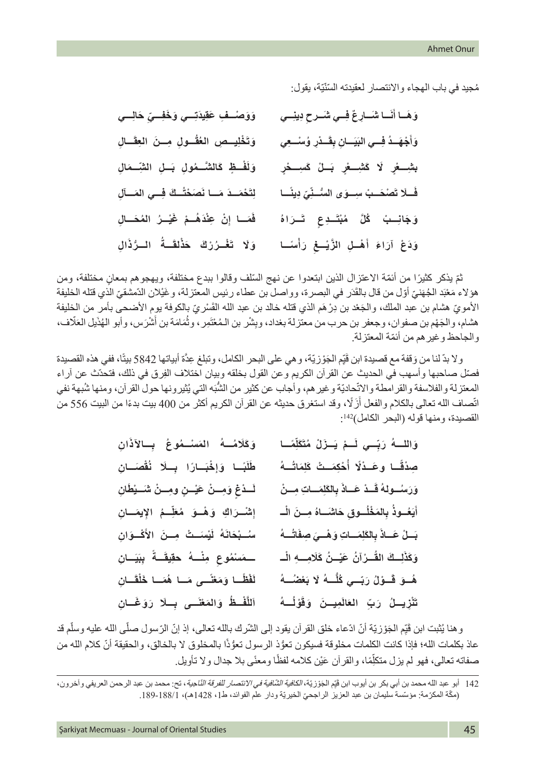مُجيد في باب الهجاء والانتصار لعقيدته السّنّيّة، يقول:

| وَوَصْـفِ عَقِيدَتِــي وَخَفِــيِّ حَالِـــي    | وَهَسا أَنَسا شَسَادِعٌ فِسى شَسرحٍ دِينِسى                  |
|-------------------------------------------------|--------------------------------------------------------------|
| وَتَخْلِيسِصِ العُقُسُولِ مِسنَ الْعِقَسَالِ    | وَأَجْهَـدُ فِسى البَيَسانِ بِقَـدْرِ وُسْسِعِي              |
| وَلَفْسِظٍ كَالشَّسْمُولِ بَسْلِ الشَّسْمَالِ   | .<br>بشِـــعْرِ    لَا   كَشِـــعْرٍ    بَــلْ   كَسِـــحْرٍ |
| لِتَحْمَــدَ مَــا نَصَحْتُــكَ فِــي المَــألِ | فَسلَا تَصْحَسبُ سِسوَى السُّسْنِّيِّ دِينَسَا               |
| فَمَـا إِنْ عِنْدَهُـمْ غَيْـرُ المُحَــالِ     | وَجَانِــبُ كُلَّ مُبْتَــدِع تَــرَاهُ                      |
| وَلَا تَغْـرُرْكَ خَذْلقَــةُ الــرُّذَالِ      | وَدَعْ آرَاءَ أَهْلِ الزَّيْسِعْ رَأْسَـا                    |

ثمّ يذكر كثيرًا من أئمّة الاعتزال الذين ابتعدوا عن نهج السّلف وقالوا ببدع مختلفة، ويهجو هم بمعان مختلفة، ومن هؤلاء مَعْبَد الْجُهَنيّ أوّل من قال بالقَدَر في البصرة، وواصل بن عطاء رئيس المعتزلة، وغَيْلان الدّمشقيّ الذي قتله الخليفة الأمويّ هشام بن عبد الملك، والْجَعْد بن دِرْهَم الذي قتله خالد بن عبد الله القَسْريّ بِالكوفة يومِ الأضحى بأمر من الخليفة هشام، والجَهْم بن صفوان، وجعفر بن حرب من معتزلة بغداد، وبِشْر بن الـمُعْتَمِر ، وثُمَامَة بن أَشْرَس، وأبو الهُذَيل العَلّاف، ؚ<br>ا ُ ّ والجاحظ وغيرهم من أئمة المعتزلة.

ولا بدّ لنا من وَقفة مع قصيدة ابن قَيِّم الْجَوْزيّة، و هي على البحر الكامل، وتبلغ عِدَّة أبياتها 5842 بيتًا، ففي هذه القصيدة ّ فصّل صاحبها وأسهب في الحديث عن القرآن الكريم وعن القول بخلقه وبيان اختلاف الفِرق في ذلك، فتحدّث عن آراء المعتزلة والفلاسفة والقرامطة والاتّحاديّة وغير هم، وأجاب عن كثير من الشَّبَه التي يُثيرونها حول القرآن، ومنها شُبهة نفي اتّصاف الله تعالى بالكلام والفعل أزَّلًا، وقد استغرق حديثه عن القرآن الكريم أكثر من 400 بيت بدءًا من البيت 556 من القصيدة، ومنها قوله (البحر الكامل)142:

| وَكَلَامُــهُ المَسْــمُوعُ بِــالآذَانِ       | وَاللَّــهُ رَبّــي لَــمْ يَــزَلْ مُتَكَلِّمًــا        |
|------------------------------------------------|-----------------------------------------------------------|
| طَلَبَـا وَإِخْبَـارًا بِـلَا نُقْصَـانِ       | صِدْقًـا وعَـدْلًا أُحْكِمَـتْ كَلِمَاتُــهُ              |
| لَسدْغِ وَمِسنْ عَيْسنِ وَمِسنْ شَسَيْطَانِ    | وَرَسُسُولَهُ قَسْدْ عَسَاذَ بِالظَلِمَسَاتِ مِسْنُ       |
| إشْرَاكِ وَهْدَ مُعَلِّمُ الإِيمَـانِ          | أَيَعُــوذُ بِالمَخْلُــوق حَاشَــاهُ مِــنَ الْــ        |
| سُــبْحَانَهُ لَيْسَــتْ مِــنَ الأَكْــوَانِ  | بَسلْ عَساذَ بِالطَلِمَساتِ وَهْسِيَ صِفَاتُسهُ           |
| ــمَسْمُوع مِنْــهُ حقِيقَــةً بِبَيَــانِ     | وَكَذَلِـــكَ القُـــرْآنُ عَيْـــنُ كَلَامِــــهِ الْـــ |
| لَفْظُـا وَمَعْنًــى مَــا هُمَــا خَلْقَــانِ | هُــوَ قَــوْلُ رَبّــي كُلُّـــهُ لَا بَعْضُـــهُ        |
| اَللَّفْـظُ وَالمَعْنَــى بِــلَا رَوَغَــانِ  | تَنْزِيسْلُ رَبِّ العَالَمِيسنَ وَقَوْلُسهُ               |

وهنا يُثبت ابن قَيِّم الْجَوْزيّة أنّ ادّعاء خلق القرآن يقود إلى الشَّرك بالله تعالى، إذ إنّ الرّسول صلَّى الله عليه وسلَّم قد ّ عاذ بكلمات الله؛ فإذا كانت الكلمات مخلوقة فسيكون تعوُّذ الرسول تعوُّذًا بالمخلوق لا بالخالق، والحقيقة أنّ كلام الله من صفاته تعالى، فهو لم يزل متكلِّمًا، والقرآن عَيْن كلامه لفظًا ومعنًى بلا جدال ولا تأويل. ֖֖֖֖֖֚֚֚֚֚֚֚֚֡֝֬<br>֧֢ׅ֧֚֝

<sup>142</sup> أبو عبد الله محمد بن أبي بكر بن أيوب ابن قَيِّم الجَوْزيّة*، الكافية الشّافية في الانتصار للفرقة النّاجية*، تح: محمد بن عبد الرحمن العريفي وآخرون، (مكّة المكرّمة: مؤسّسة سليمان بن عبد العزيز الراجحيّ الخيريّة ودار علم الفوائد، ط1، 1428هـ)، 1881-189.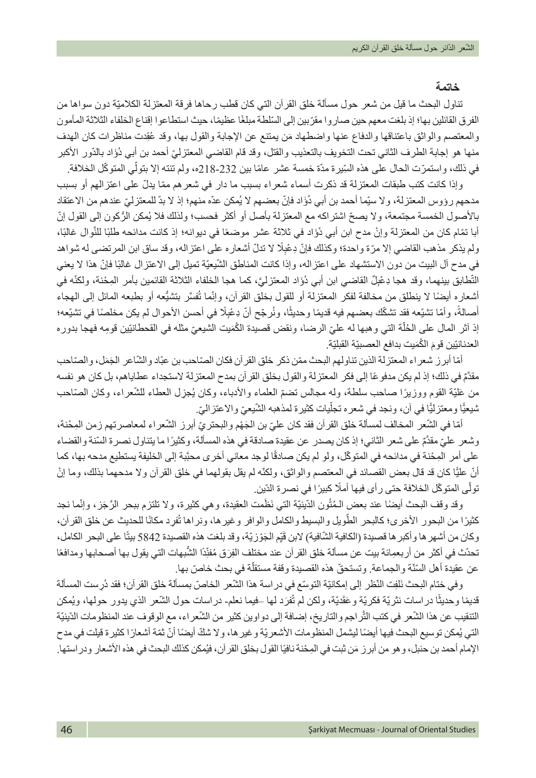### **خاتمة**

تناول البحث ما قيل من شعر حول مسألة خلق القرآن التي كان قطب رحاها فرقة المعتزلة الكلاميّة دون سواها من الفرق القائلين بها؛ إذ بلغت معهم حين صاروا مقرّبين إلى السّلطة مبلغًا عظيمًا، حيث استطاعوا إقناع الخلفاء الثلاثة المأمون والمعتصم والواثق باعتناقها والدفاع عنها واضطهاد مَن بمتنع عن الإجابة والقول بها، وقد عُقِدت مناظر ات كان الهدف منها هو إجابة الطرف الثاني تحت التخويف بالتعذيب والقتل، وقد قام القاضي المعتزليّ أحمد بن أبي دُوَّاد بالدّور الأكبر في ذلك، واستمرّت الحال على هذه السِّيرة مدّة خمسة عشر ِ عامًا بين 232-18[2ه، ولم تنته إلا بتولّي المتوكّل الخلافة.

وإذا كانت كتب طبقات المعتز لة قد ذكر ت أسماء شعر اء بسبب ما دار ً في شعر هم ممّا يدلّ على اعتز الهم أو بسبب مدحهم رؤوس المعتزلة، ولا سيّما أحمد بن أبي دُوَّاد فإنّ بعضهم لا يُمكن عدّه منهم؛ إذ لا بدّ للمعتزليّ عندهم من الاعتقاد بالأصول الخمسة مجتمعة، ولا يصحّ اشتراكه مع المعتزلة بأصل أو أكثر فحسب؛ ولذلك فلا يُمكن الرُكون إلى القول إنّ أبا تمّام كان من المعتزلة وإنْ مدح ابن أبي دُوَّاد في ثلاثة عشر موضعًا في ديوانه؛ إذ كانت مدائحه طلبًا للنّوال غالبًا، ولم يذكر مذهب القاضيي إلا مرّة واحدة؛ وكذلك فإنّ دِعْبِلًا لا تدلّ أشعاره على اعتزاله، وقد ساق ابن المرتضى له شواهد في مدح أل البيت من دون الاستشهاد على اعتزاله، وإذا كانت المناطق الشَّيعيَّة تميل إلى الاعتزال غالبًا فإنَّ هذا لا يعني التّطابق بينهما، وقد هجا دِعْبِلٌ القاضـي ابن أبي دُوَاد المعتزليَّ، كما هجا الخلفاء الثلاثة القائمين بأمر المِحْنة، ولكنّه في أشعاره أيضًا لا ينطلق من مخالفة لفكر المعتزلة أو للقول بخلق القرآن، وإنّما تُفسَّر بتشيَّعه أو بطبعه المائل إلى المهجاء أصالةً، وأمّا تشيّعه فقد تشكّك بعضمم فيه قديمًا وحديثًا، ونُرجّح أنّ دِعْبِلًا في أحسن الأحوال لم يكن مخلصًا في تشيّعه؛ ֧֖֖֚֚֚֚֚֚֚֚֚֚֚֚֚֚֝<br>֧֪֪֪֪֜֝֝֝**֓** إذ أثر المال على الحُلْة التي وهبها له عليّ الرضا، ونقض قصيدة الكُمَيت الشيعيّ مثله في القحطانيّين قومِه فهجا بدوره ֖֖֖֖֖֖֖֖֖֪ׅ֚֚֚֚֚֚֚֚֚֚֚֚֚֚֚֚֚֚֚֚֚֡֝֓֞֡֞֬֝֓֞֝֬֓֓֞֬֝֬֝֓֬֝֓֞֬֝֬֝֬ العدنانيّين قومَ الكُمَيت بدافع العصبيّة القبليّة.

امًا أبرز شعراء المعتزلة الذين تناولهم البحث ممّن ذكر خلق القرآن فكان الصّاحب بن عبّاد والشّاعر الجَمَل، والصّاحب مقدٌَّم ً في ذلك؛ إذ لم يكن مدفوعا إلى فكر المعتزلة والقول بخلق القرآن بمدح المعتزلة الستجداء عطاياهم، بل كان هو نفسه من عَلَيّة القوم ووزيرًا صـاحب سلطة، وله مجالس تضمّ العلماء والأدباء، وكان يُجزِل العطاء للشّعراء، وكان الصّاحب ثْديعيًّا ومعتزليًّا في آن، ونجد في شعره تجلّيات كثيرة لمذهبه الشّيعيّ والاعتزاليّ.

أمّا في الشّعر المخالف لمسألة خلق القرآن فقد كان عليّ بن الجَهْم والبحتريّ أبرز الشّعراء لمعاصرتهم زمن المِحْنة، ّ وشعر علي مقدٌَّم ً على شعر الثاني؛ إذ كان يصدر عن عقيدة صادقة في هذه المسألة، وكثير ّ ا ما يتناول نصرة السنة والقضاء على أمر المِحْنة في مدائحه في المتوكّل، ولو لم يكن صادقًا لوجد معاني أخرى محبَّبة إلى الخليفة يستطيع مدحه بها، كما أنّ عليًّا كان قد قال بعض القصائد في المعتصم والواثق، ولكنّه لم يقل بقولهما في خلق القرآن ولا مدحهما بذلك، وما إنْ تولّى المتوكّل الخلافة حتى ر أى فيها أملًا كبيرًا في نصرة الدّين.

وقد وقف البحث أيضًا عند بعض الـمُثُون الدّينيّة التي نَظَمت العقيدة، وهي كثيرة، ولا تلتزم ببحر الرَّجَز، وإنّما نجد كثيرًا من البحور الأخرى؛ كالبحر الطَّويل والبسيط والكامل والوافر وغيرها، ونراها تُفرِد مكانًا للحديث عن خلق القرآن، ُوكان من أشهر ها وأكبر ها قصيدة (الكافية الشّافية) لابن قَيِّم الْجَوْزيّة، وقد بلغت هذه القصيدة 5842 بيتًا على البحر الكامل، ֖֦֧֪֦֧֪֦֧֪֪֪֦֧֪֪֪֧֪֪֪֦֧֪֪֦֧֧֧֝֟֟֟֟֝֟֟֝֟֝֟֟֝֬֟֝֬֟֝֬֞֟֝֬֝֬֟֩֬ تحدّث في أكثر من أربعمِائة بيت عن مسألة خلق القرآن عند مختلف الفِرَق مُفنِّدًا الشَّبهات التي يقول بها أصحابها ومدافعًا ّ ֖֖֖֖֖֖֖֖֖֧֚֚֚֚֚֚֚֚֚֚֚֚֚֚֚֚֚֚֚֡<u>֓</u> عن عقيدة أهل السّنّة والجماعة. وتستحقّ هذه القصيدة وقفة مستقلّة في بحث خاصّ بها.

وفي ختام البحث نَلْفِت النّظر إلى إمكانيّة التوسّع في در اسة هذا الشّعر الخاصّ بمسألة خلق القر آن؛ فقد دُرِست المسألة قديمًا وحديثًا دراسات نثريّة فكريّة وعَقَديّة، ولكن لم تُفرَد لمها \_فيما نعلم- دراسات حول الشّعر الذي يدور حولها، ويُمكن ُالتنقيب عن هذا الشّعر في كتب التّر اجم والتاريخ، إضافة إلى دواوين كثير من الشّعر اء، مع الوقوف عند المنظومات الدّينيّة التي يُمكن توسيع البحث فيها أيضًا ليشمل المنظومات الأشعريّة و غير ها، ولا شكّ أيضًا أنّ ثمّة أشعارًا كثيرة قيلت في مدح الإمام أحمد بن حنبل، و هو من أبرز مَن ثبت في المِحْنة نافيًا القول بخلق القرآن، فيُمكن كذلك البحث في هذه الأشعار ودراستها.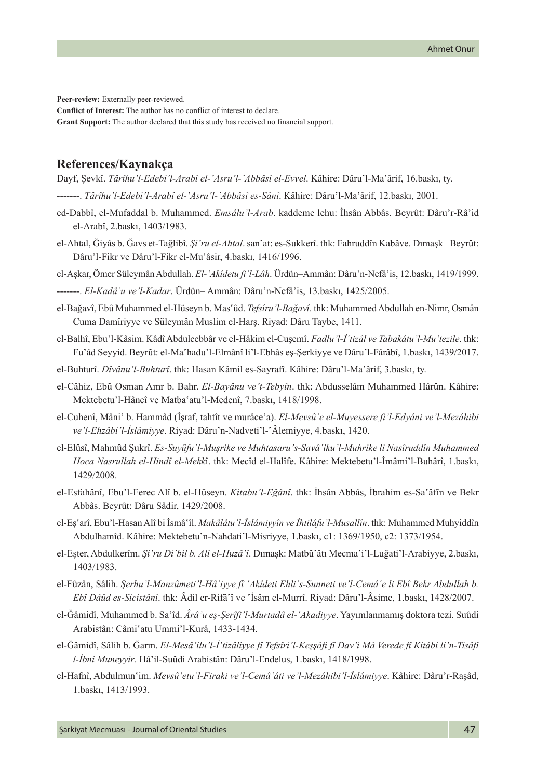**Peer-review:** Externally peer-reviewed. **Conflict of Interest:** The author has no conflict of interest to declare. **Grant Support:** The author declared that this study has received no financial support.

## **References/Kaynakça**

Dayf, Şevkî. *Târîhu'l-Edebi'l-Arabî el-ʽAsru'l-ʽAbbâsî el-Evvel*. Kâhire: Dâru'l-Maʽârif, 16.baskı, ty.

-------. *Târîhu'l-Edebi'l-Arabî el-ʽAsru'l-ʽAbbâsî es-Sânî*. Kâhire: Dâru'l-Maʽârif, 12.baskı, 2001.

- ed-Dabbî, el-Mufaddal b. Muhammed. *Emsâlu'l-Arab*. kaddeme lehu: İhsân Abbâs. Beyrût: Dâru'r-Râ'id el-Arabî, 2.baskı, 1403/1983.
- el-Ahtal, Ğiyâs b. Ğavs et-Tağlibî. *Şi'ru el-Ahtal*. san'at: es-Sukkerî. thk: Fahruddîn Kabâve. Dımaşk– Beyrût: Dâru'l-Fikr ve Dâru'l-Fikr el-Muʽâsir, 4.baskı, 1416/1996.

el-Aşkar, Ömer Süleymân Abdullah. *El-ʽAkîdetu fi'l-Lâh*. Ürdün–Ammân: Dâru'n-Nefâ'is, 12.baskı, 1419/1999.

-------. *El-Kadâ'u ve'l-Kadar*. Ürdün– Ammân: Dâru'n-Nefâ'is, 13.baskı, 1425/2005.

- el-Bağavî, Ebû Muhammed el-Hüseyn b. Mas´ûd. *Tefsîru'l-Bağavî*. thk: Muhammed Abdullah en-Nimr, Osmân Cuma Damîriyye ve Süleymân Muslim el-Harş. Riyad: Dâru Taybe, 1411.
- el-Balhî, Ebu'l-Kâsim. Kâdî Abdulcebbâr ve el-Hâkim el-Cuşemî. Fadlu'l-İ'tizâl ve Tabakâtu'l-Mu'tezile. thk: Fu'âd Seyyid. Beyrȗt: el-Maʽhadu'l-Elmânî li'l-Ebhâs eş-Şerkiyye ve Dâru'l-Fârâbî, 1.baskı, 1439/2017.
- el-Buhturî. *Dîvânu'l-Buhturî*. thk: Hasan Kâmil es-Sayrafî. Kâhire: Dâru'l-Maʽârif, 3.baskı, ty.
- el-Câhiz, Ebû Osman Amr b. Bahr. *El-Bayânu ve't-Tebyîn*. thk: Abdusselâm Muhammed Hârûn. Kâhire: Mektebetu'l-Hâncî ve Matba'atu'l-Medenî, 7.baskı, 1418/1998.
- el-Cuhenî, Mâni<sup>c</sup> b. Hammâd (İsraf, tahtît ve murâceʿa). *El-Mevsû'e el-Muyessere fi'l-Edyâni ve'l-Mezâhibi ve'l-Ehzâbi'l-İslâmiyye*. Riyad: Dâru'n-Nadveti'l-ʽÂlemiyye, 4.baskı, 1420.
- el-Elûsî, Mahmûd Sukrî. *Es-Suyûfu'l-Musrike ve Muhtasaru's-Savâ'iku'l-Muhrike li Nasîruddîn Muhammed Hoca Nasrullah el-Hindî el-Mekk*î. thk: Mecîd el-Halîfe. Kâhire: Mektebetu'l-İmâmi'l-Buhârî, 1.baskı, 1429/2008.
- el-Esfahânî, Ebu'l-Ferec Alî b. el-Hüseyn. *Kitabu'l-Eğânî*. thk: İhsân Abbâs, İbrahim es-Saʿâfîn ve Bekr Abbâs. Beyrȗt: Dâru Sâdir, 1429/2008.
- el-Eşʽarî, Ebu'l-Hasan Alî bi İsmâʽîl. *Makâlâtu'l-İslâmiyyîn ve İhtilâfu'l-Musallîn*. thk: Muhammed Muhyiddîn Abdulhamîd. Kâhire: Mektebetu'n-Nahdati'l-Misriyye, 1.baskı, c1: 1369/1950, c2: 1373/1954.
- el-Eşter, Abdulkerîm. *Şi'ru Di'bil b. Alî el-Huzâ'î*. Dımaşk: Matbû'âtı Mecma'i'l-Luğati'l-Arabiyye, 2.baskı, 1403/1983.
- el-Fûzân, Sâlih. *Şerhu'l-Manzûmeti'l-Hâ'iyye fî 'Akîdeti Ehli's-Sunneti ve'l-Cemâ'e li Ebî Bekr Abdullah b. Ebî Dâȗd es-Sicistânî*. thk: Âdil er-Rifâʽî ve ʽİsâm el-Murrî. Riyad: Dâru'l-Âsime, 1.baskı, 1428/2007.
- el-Ğâmidî, Muhammed b. Saʿîd. *Ârâ'u es-Serîfi'l-Murtadâ el-'Akadiyye*. Yayımlanmamış doktora tezi. Suûdi Arabistân: Câmiʽatu Ummi'l-Kurâ, 1433-1434.
- el-Ğâmidî, Sâlih b. Ğarm. *El-Mesâ'ilu'l-İʽtizâliyye fî Tefsîri'l-Keşşâfi fî Dav'i Mâ Verede fî Kitâbi li'n-Tisâfi l-İbni Muneyyir*. Hâ'il-Suȗdi Arabistân: Dâru'l-Endelus, 1.baskı, 1418/1998.
- el-Hafnî, Abdulmunʽim. *Mevsȗʽetu'l-Firaki ve'l-Cemâʽâti ve'l-Mezâhibi'l-İslâmiyye*. Kâhire: Dâru'r-Raşâd, 1.baskı, 1413/1993.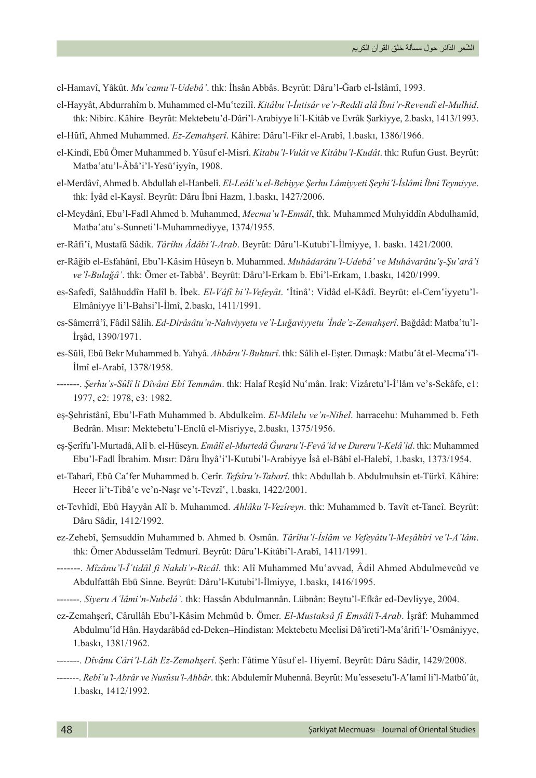el-Hamavî, Yâkȗt. *Muʽcamu'l-Udebâ'*. thk: İhsân Abbâs. Beyrȗt: Dâru'l-Ğarb el-İslâmî, 1993.

- el-Hayyât, Abdurrahîm b. Muhammed el-Muʽtezilî. *Kitâbu'l-İntisâr ve'r-Reddi alâ İbni'r-Revendî el-Mulhid*. thk: Nibirc. Kâhire–Beyrût: Mektebetu'd-Dâri'l-Arabiyye li'l-Kitâb ve Evrâk Şarkiyye, 2.baskı, 1413/1993.
- el-Hȗfî, Ahmed Muhammed. *Ez-Zemahşerî*. Kâhire: Dâru'l-Fikr el-Arabî, 1.baskı, 1386/1966.
- el-Kindî, Ebû Ömer Muhammed b. Yûsuf el-Misrî. *Kitabu'l-Vulât ve Kitâbu'l-Kudât*. thk: Rufun Gust. Beyrût: Matba'atu'l-Âbâ'i'l-Yesû'iyyîn, 1908.
- el-Merdâvî, Ahmed b. Abdullah el-Hanbelî. *El-Leâliʽu el-Behiyye Şerhu Lâmiyyeti Şeyhi'l-İslâmi İbni Teymiyye*. thk: İyâd el-Kaysî. Beyrȗt: Dâru İbni Hazm, 1.baskı, 1427/2006.
- el-Meydânî, Ebu'l-Fadl Ahmed b. Muhammed, *Mecmaʽu'l-Emsâl*, thk. Muhammed Muhyiddîn Abdulhamîd, Matba'atu's-Sunneti'l-Muhammediyye, 1374/1955.
- er-Râfiʽî, Mustafâ Sâdik. *Târîhu Âdâbi'l-Arab*. Beyrȗt: Dâru'l-Kutubi'l-İlmiyye, 1. baskı. 1421/2000.
- er-Râğib el-Esfahânî, Ebu'l-Kâsim Hüseyn b. Muhammed. *Muhâdarâtu'l-Udebâ' ve Muhâvarâtu'ş-Şuʽarâ'i ve'l-Bulağâ'*. thk: Ömer et-Tabbâʽ. Beyrȗt: Dâru'l-Erkam b. Ebi'l-Erkam, 1.baskı, 1420/1999.
- es-Safedî, Salâhuddîn Halîl b. İbek. *El-Vâfî bi'l-Vefeyât*. ʽİtinâ': Vidâd el-Kâdî. Beyrȗt: el-Cemʽiyyetu'l-Elmâniyye li'l-Bahsi'l-İlmî, 2.baskı, 1411/1991.
- es-Sâmerrâ'î, Fâdil Sâlih. *Ed-Dirâsâtu'n-Nahviyyetu ve'l-Luğaviyyetu ʽİnde'z-Zemahşerî*. Bağdâd: Matbaʽtu'l-İrşâd, 1390/1971.
- es-Sûlî, Ebû Bekr Muhammed b. Yahyâ. *Ahbâru'l-Buhturî*. thk: Sâlih el-Eşter. Dımaşk: Matbuʿât el-Mecmaʿi'l-İlmî el-Arabî, 1378/1958.
- -------. *Şerhu's-Sȗlî li Dîvâni Ebî Temmâm*. thk: Halaf Reşîd Nuʽmân. Irak: Vizâretu'l-İʽlâm ve's-Sekâfe, c1: 1977, c2: 1978, c3: 1982.
- eş-Şehristânî, Ebu'l-Fath Muhammed b. Abdulkeîm. *El-Milelu ve'n-Nihel*. harracehu: Muhammed b. Feth Bedrân. Mısır: Mektebetu'l-Enclȗ el-Misriyye, 2.baskı, 1375/1956.
- eş-Şerîfu'l-Murtadâ, Alî b. el-Hüseyn. *Emâlî el-Murtedâ Ğuraru'l-Fevâ'id ve Dureru'l-Kelâ'id*. thk: Muhammed Ebu'l-Fadl İbrahim. Mısır: Dâru İhyâ'i'l-Kutubi'l-Arabiyye İsâ el-Bâbî el-Halebî, 1.baskı, 1373/1954.
- et-Tabarî, Ebȗ Caʽfer Muhammed b. Cerîr. *Tefsîru't-Tabarî*. thk: Abdullah b. Abdulmuhsin et-Türkî. Kâhire: Hecer li't-Tibâ'e ve'n-Naşr ve't-Tevzî', 1.baskı, 1422/2001.
- et-Tevhîdî, Ebû Hayyân Alî b. Muhammed. Ahlâku'l-Vezîreyn. thk: Muhammed b. Tavît et-Tancî. Beyrût: Dâru Sâdir, 1412/1992.
- ez-Zehebî, Şemsuddîn Muhammed b. Ahmed b. Osmân. *Târîhu'l-İslâm ve Vefeyâtu'l-Meşâhîri ve'l-A'lâm*. thk: Ömer Abdusselâm Tedmurî. Beyrût: Dâru'l-Kitâbi'l-Arabî, 1411/1991.
- -------. *Mîzânu'l-İʿtidâl fi Nakdi'r-Ricâl*. thk: Alî Muhammed Muʽavvad, Âdil Ahmed Abdulmevcûd ve Abdulfattâh Ebȗ Sinne. Beyrȗt: Dâru'l-Kutubi'l-İlmiyye, 1.baskı, 1416/1995.
- -------. *Siyeru Aʿlâmi'n-Nubelâʾ*. thk: Hassân Abdulmannân. Lübnân: Beytu'l-Efkâr ed-Devliyye, 2004.
- ez-Zemahşerî, Cârullâh Ebu'l-Kâsim Mehmȗd b. Ömer. *El-Mustaksâ fî Emsâli'l-Arab*. İşrâf: Muhammed Abdulmuʿîd Hân. Haydarâbâd ed-Deken–Hindistan: Mektebetu Meclisi Dâ'ireti'l-Maʿârifi'l-ʿOsmâniyye, 1.baskı, 1381/1962.
- -------. *Dîvânu Câri'l-Lâh Ez-Zemahşerî*. Şerh: Fâtime Yȗsuf el- Hiyemî. Beyrȗt: Dâru Sâdir, 1429/2008.
- -------. *Rebîʽu'l-Abrâr ve Nusûsu'l-Ahbâr*. thk: Abdulemîr Muhennâ. Beyrȗt: Mu'essesetu'l-Aʽlamî li'l-Matbûʽât, 1.baskı, 1412/1992.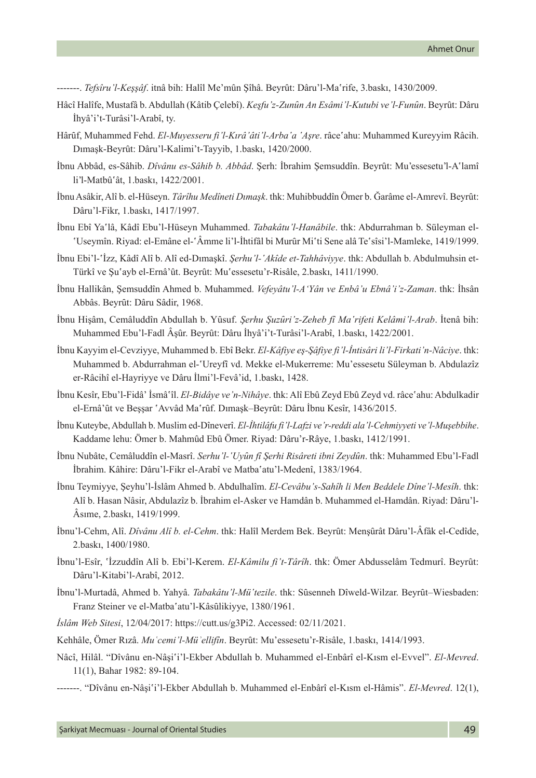- -------. *Tefsîru'l-Keşşâf*. itnâ bih: Halîl Me'mȗn Şîhâ. Beyrȗt: Dâru'l-Maʽrife, 3.baskı, 1430/2009.
- Hâcî Halîfe, Mustafâ b. Abdullah (Kâtib Çelebî). *Keşfu'z-Zunȗn An Esâmi'l-Kutubi ve'l-Funȗn*. Beyrȗt: Dâru İhyâ'i't-Turâsi'l-Arabî, ty.
- Hârûf, Muhammed Fehd. *El-Muyesseru fi'l-Kırâ'âti'l-Arba'a 'Aşre*. râce'ahu: Muhammed Kureyyim Râcih. Dımaşk-Beyrȗt: Dâru'l-Kalimi't-Tayyib, 1.baskı, 1420/2000.
- İbnu Abbâd, es-Sâhib. *Dîvânu es-Sâhib b. Abbâd*. Şerh: İbrahim Şemsuddîn. Beyrȗt: Mu'essesetu'l-Aʽlamî li'l-Matbûʽât, 1.baskı, 1422/2001.
- İbnu Asâkir, Alî b. el-Hüseyn. *Târîhu Medîneti Dımask*. thk: Muhibbuddîn Ömer b. Ğarâme el-Amrevî. Beyrût: Dâru'l-Fikr, 1.baskı, 1417/1997.
- İbnu Ebî Yaʽlâ, Kâdî Ebu'l-Hüseyn Muhammed. *Tabakâtu'l-Hanâbile*. thk: Abdurrahman b. Süleyman el-ʽUseymîn. Riyad: el-Emâne el-ʽÂmme li'l-İhtifâl bi Murȗr Miʽti Sene alâ Teʽsîsi'l-Mamleke, 1419/1999.
- İbnu Ebi'l-ʽİzz, Kâdî Alî b. Alî ed-Dımaşkî. *Şerhu'l-ʽAkîde et-Tahhâviyye*. thk: Abdullah b. Abdulmuhsin et-Türkî ve Şuʿayb el-Ernâ'ût. Beyrût: Muʿessesetu'r-Risâle, 2.baskı, 1411/1990.
- İbnu Hallikân, Şemsuddîn Ahmed b. Muhammed. *Vefeyâtu'l-A'Yân ve Enbâ'u Ebnâ'i'z-Zaman*. thk: İhsân Abbâs. Beyrȗt: Dâru Sâdir, 1968.
- İbnu Hişâm, Cemâluddîn Abdullah b. Yȗsuf. *Şerhu Şuzȗri'z-Zeheb fî Maʽrifeti Kelâmi'l-Arab*. İtenâ bih: Muhammed Ebu'l-Fadl Âşûr. Beyrût: Dâru İhyâ'i't-Turâsi'l-Arabî, 1.baskı, 1422/2001.
- İbnu Kayyim el-Cevziyye, Muhammed b. Ebî Bekr. *El-Kâfiye eş-Şâfiye fi'l-İntisâri li'l-Firkati'n-Nâciye*. thk: Muhammed b. Abdurrahman el-'Ureyfî vd. Mekke el-Mukerreme: Mu'essesetu Süleyman b. Abdulazîz er-Râcihî el-Hayriyye ve Dâru İlmi'l-Fevâ'id, 1.baskı, 1428.
- İbnu Kesîr, Ebu'l-Fidâ' İsmâʽîl. *El-Bidâye ve'n-Nihâye*. thk: Alî Ebȗ Zeyd Ebȗ Zeyd vd. râceʽahu: Abdulkadir el-Ernâ'ût ve Bessar 'Avvâd Ma'rûf. Dımaşk–Beyrût: Dâru İbnu Kesîr, 1436/2015.
- İbnu Kuteybe, Abdullah b. Muslim ed-Dîneverî. *El-İhtilâfu fi'l-Lafzi ve'r-reddi ala'l-Cehmiyyeti ve'l-Muşebbihe*. Kaddame lehu: Ömer b. Mahmȗd Ebȗ Ömer. Riyad: Dâru'r-Râye, 1.baskı, 1412/1991.
- İbnu Nubâte, Cemâluddîn el-Masrî. *Serhu'l-ʽUyȗn fî Şerhi Risâreti ibni Zeydȗn*. thk: Muhammed Ebu'l-Fadl İbrahim. Kâhire: Dâru'l-Fikr el-Arabî ve Matba'atu'l-Medenî, 1383/1964.
- İbnu Teymiyye, Şeyhu'l-İslâm Ahmed b. Abdulhalîm. *El-Cevâbu's-Sahîh li Men Beddele Dîne'l-Mesîh*. thk: Alî b. Hasan Nâsir, Abdulazîz b. İbrahim el-Asker ve Hamdân b. Muhammed el-Hamdân. Riyad: Dâru'l-Âsıme, 2.baskı, 1419/1999.
- İbnu'l-Cehm, Alî. *Dîvânu Alî b. el-Cehm*. thk: Halîl Merdem Bek. Beyrȗt: Menşȗrât Dâru'l-Âfâk el-Cedîde, 2.baskı, 1400/1980.
- İbnu'l-Esîr, ʽİzzuddîn Alî b. Ebi'l-Kerem. *El-Kâmilu fi't-Târîh*. thk: Ömer Abdusselâm Tedmurî. Beyrȗt: Dâru'l-Kitabi'l-Arabî, 2012.
- İbnu'l-Murtadâ, Ahmed b. Yahyâ. *Tabakâtu'l-Müʽtezile*. thk: Sȗsenneh Dîweld-Wilzar. Beyrȗt–Wiesbaden: Franz Steiner ve el-Matbaʿatu'l-Kâsûlikiyye, 1380/1961.
- *İslâm Web Sitesi*, 12/04/2017: <https://cutt.us/g3Pi2>. Accessed: 02/11/2021.
- Kehhâle, Ömer Rızâ. *Muʿcemi'l-Müʾellifîn*. Beyrȗt: Mu'essesetu'r-Risâle, 1.baskı, 1414/1993.
- Nâcî, Hilâl. "Dîvânu en-Nâşiʽi'l-Ekber Abdullah b. Muhammed el-Enbârî el-Kısm el-Evvel". *El-Mevred*. 11(1), Bahar 1982: 89-104.
- -------. "Dîvânu en-Nâşiʽi'l-Ekber Abdullah b. Muhammed el-Enbârî el-Kısm el-Hâmis". *El-Mevred*. 12(1),